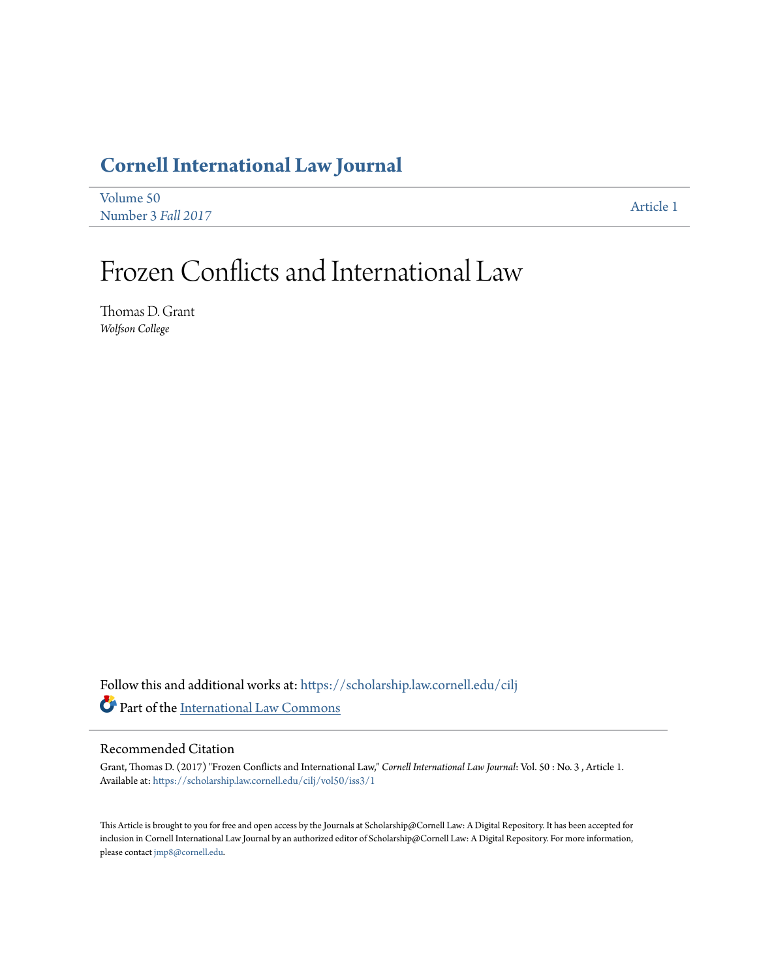# **[Cornell International Law Journal](https://scholarship.law.cornell.edu/cilj?utm_source=scholarship.law.cornell.edu%2Fcilj%2Fvol50%2Fiss3%2F1&utm_medium=PDF&utm_campaign=PDFCoverPages)**

| Volume 50          | Article 1 |
|--------------------|-----------|
| Number 3 Fall 2017 |           |

# Frozen Conflicts and International Law

Thomas D. Grant *Wolfson College*

Follow this and additional works at: [https://scholarship.law.cornell.edu/cilj](https://scholarship.law.cornell.edu/cilj?utm_source=scholarship.law.cornell.edu%2Fcilj%2Fvol50%2Fiss3%2F1&utm_medium=PDF&utm_campaign=PDFCoverPages) Part of the [International Law Commons](http://network.bepress.com/hgg/discipline/609?utm_source=scholarship.law.cornell.edu%2Fcilj%2Fvol50%2Fiss3%2F1&utm_medium=PDF&utm_campaign=PDFCoverPages)

### Recommended Citation

Grant, Thomas D. (2017) "Frozen Conflicts and International Law," *Cornell International Law Journal*: Vol. 50 : No. 3 , Article 1. Available at: [https://scholarship.law.cornell.edu/cilj/vol50/iss3/1](https://scholarship.law.cornell.edu/cilj/vol50/iss3/1?utm_source=scholarship.law.cornell.edu%2Fcilj%2Fvol50%2Fiss3%2F1&utm_medium=PDF&utm_campaign=PDFCoverPages)

This Article is brought to you for free and open access by the Journals at Scholarship@Cornell Law: A Digital Repository. It has been accepted for inclusion in Cornell International Law Journal by an authorized editor of Scholarship@Cornell Law: A Digital Repository. For more information, please contact [jmp8@cornell.edu.](mailto:jmp8@cornell.edu)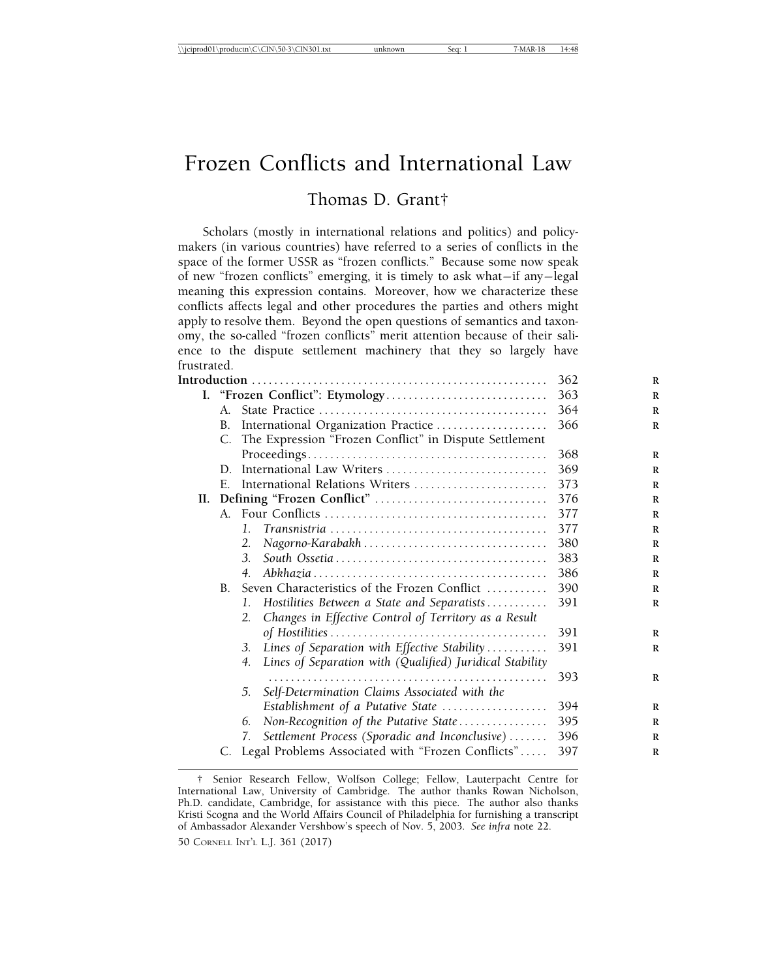## Frozen Conflicts and International Law

## Thomas D. Grant†

Scholars (mostly in international relations and politics) and policymakers (in various countries) have referred to a series of conflicts in the space of the former USSR as "frozen conflicts." Because some now speak of new "frozen conflicts" emerging, it is timely to ask what— if any— legal meaning this expression contains. Moreover, how we characterize these conflicts affects legal and other procedures the parties and others might apply to resolve them. Beyond the open questions of semantics and taxonomy, the so-called "frozen conflicts" merit attention because of their salience to the dispute settlement machinery that they so largely have frustrated.

|  |             |                                                                                                             | 362 |
|--|-------------|-------------------------------------------------------------------------------------------------------------|-----|
|  |             |                                                                                                             | 363 |
|  | A.          |                                                                                                             | 364 |
|  | B.          | International Organization Practice                                                                         | 366 |
|  |             | C. The Expression "Frozen Conflict" in Dispute Settlement                                                   |     |
|  |             |                                                                                                             | 368 |
|  | D.          | International Law Writers                                                                                   | 369 |
|  | E.          | International Relations Writers                                                                             | 373 |
|  |             |                                                                                                             | 376 |
|  |             |                                                                                                             | 377 |
|  |             | $\mathbf{1}_{\cdot}$                                                                                        | 377 |
|  |             | 2.                                                                                                          | 380 |
|  |             | 3.                                                                                                          | 383 |
|  |             | 4.<br>$Abkhazia \ldots \ldots \ldots \ldots \ldots \ldots \ldots \ldots \ldots \ldots \ldots \ldots \ldots$ | 386 |
|  | $B_{\cdot}$ | Seven Characteristics of the Frozen Conflict                                                                | 390 |
|  |             | Hostilities Between a State and Separatists<br>1.                                                           | 391 |
|  |             | Changes in Effective Control of Territory as a Result<br>2.                                                 |     |
|  |             |                                                                                                             | 391 |
|  |             | Lines of Separation with Effective Stability<br>3.                                                          | 391 |
|  |             | Lines of Separation with (Qualified) Juridical Stability<br>4.                                              |     |
|  |             |                                                                                                             | 393 |
|  |             | Self-Determination Claims Associated with the<br>5.                                                         |     |
|  |             | Establishment of a Putative State                                                                           | 394 |
|  |             | Non-Recognition of the Putative State<br>6.                                                                 | 395 |
|  |             | Settlement Process (Sporadic and Inconclusive)<br>7.                                                        | 396 |
|  |             | Legal Problems Associated with "Frozen Conflicts"                                                           | 397 |
|  |             |                                                                                                             |     |

<sup>†</sup> Senior Research Fellow, Wolfson College; Fellow, Lauterpacht Centre for International Law, University of Cambridge. The author thanks Rowan Nicholson, Ph.D. candidate, Cambridge, for assistance with this piece. The author also thanks Kristi Scogna and the World Affairs Council of Philadelphia for furnishing a transcript of Ambassador Alexander Vershbow's speech of Nov. 5, 2003. *See infra* note 22.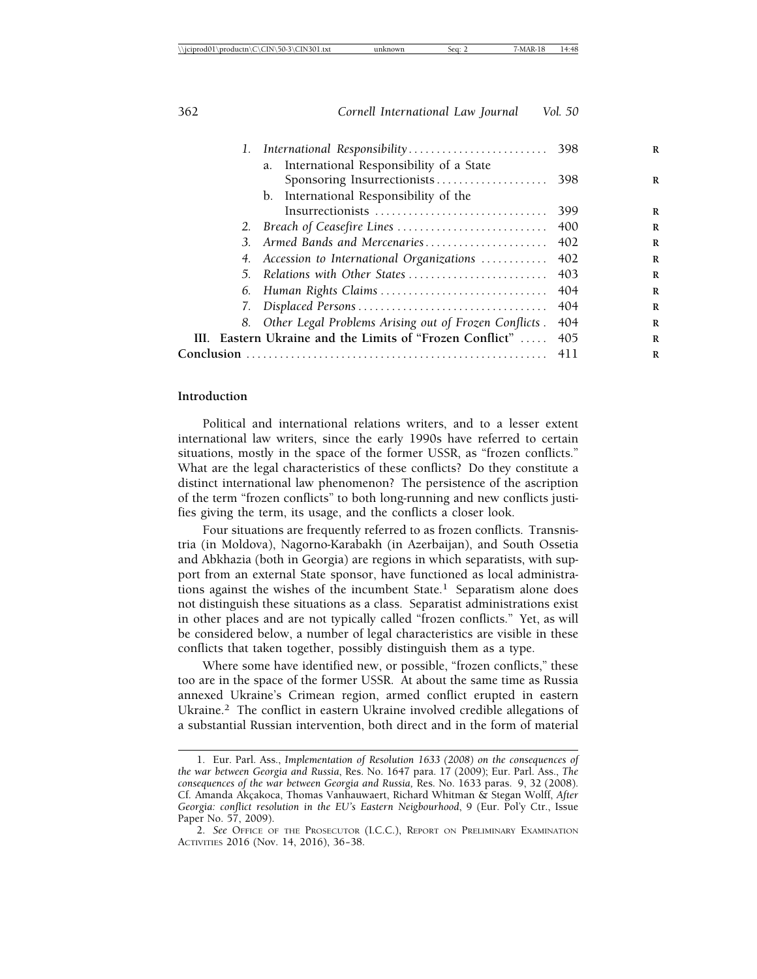| 1. | International Responsibility 398                         |       |
|----|----------------------------------------------------------|-------|
|    | International Responsibility of a State<br>a.            |       |
|    |                                                          |       |
|    | b. International Responsibility of the                   |       |
|    | Insurrectionists                                         | 399   |
|    |                                                          | -400  |
| 3. | Armed Bands and Mercenaries 402                          |       |
|    | 4. Accession to International Organizations              | 402   |
| 5. |                                                          |       |
| 6. | Human Rights Claims                                      | -404  |
|    |                                                          | 404   |
| 8. | Other Legal Problems Arising out of Frozen Conflicts.    | 404   |
|    | III. Eastern Ukraine and the Limits of "Frozen Conflict" | 405   |
|    |                                                          | 4 L L |
|    |                                                          |       |

#### **Introduction**

Political and international relations writers, and to a lesser extent international law writers, since the early 1990s have referred to certain situations, mostly in the space of the former USSR, as "frozen conflicts." What are the legal characteristics of these conflicts? Do they constitute a distinct international law phenomenon? The persistence of the ascription of the term "frozen conflicts" to both long-running and new conflicts justifies giving the term, its usage, and the conflicts a closer look.

Four situations are frequently referred to as frozen conflicts. Transnistria (in Moldova), Nagorno-Karabakh (in Azerbaijan), and South Ossetia and Abkhazia (both in Georgia) are regions in which separatists, with support from an external State sponsor, have functioned as local administrations against the wishes of the incumbent State.<sup>1</sup> Separatism alone does not distinguish these situations as a class. Separatist administrations exist in other places and are not typically called "frozen conflicts." Yet, as will be considered below, a number of legal characteristics are visible in these conflicts that taken together, possibly distinguish them as a type.

Where some have identified new, or possible, "frozen conflicts," these too are in the space of the former USSR. At about the same time as Russia annexed Ukraine's Crimean region, armed conflict erupted in eastern Ukraine.<sup>2</sup> The conflict in eastern Ukraine involved credible allegations of a substantial Russian intervention, both direct and in the form of material

<sup>1.</sup> Eur. Parl. Ass., *Implementation of Resolution 1633 (2008) on the consequences of the war between Georgia and Russia*, Res. No. 1647 para. 17 (2009); Eur. Parl. Ass., *The consequences of the war between Georgia and Russia,* Res. No. 1633 paras. 9, 32 (2008). Cf. Amanda Akçakoca, Thomas Vanhauwaert, Richard Whitman & Stegan Wolff, *After Georgia: conflict resolution in the EU's Eastern Neigbourhood*, 9 (Eur. Pol'y Ctr., Issue Paper No. 57, 2009).

<sup>2.</sup> *See* OFFICE OF THE PROSECUTOR (I.C.C.), REPORT ON PRELIMINARY EXAMINATION ACTIVITIES 2016 (Nov. 14, 2016), 36-38.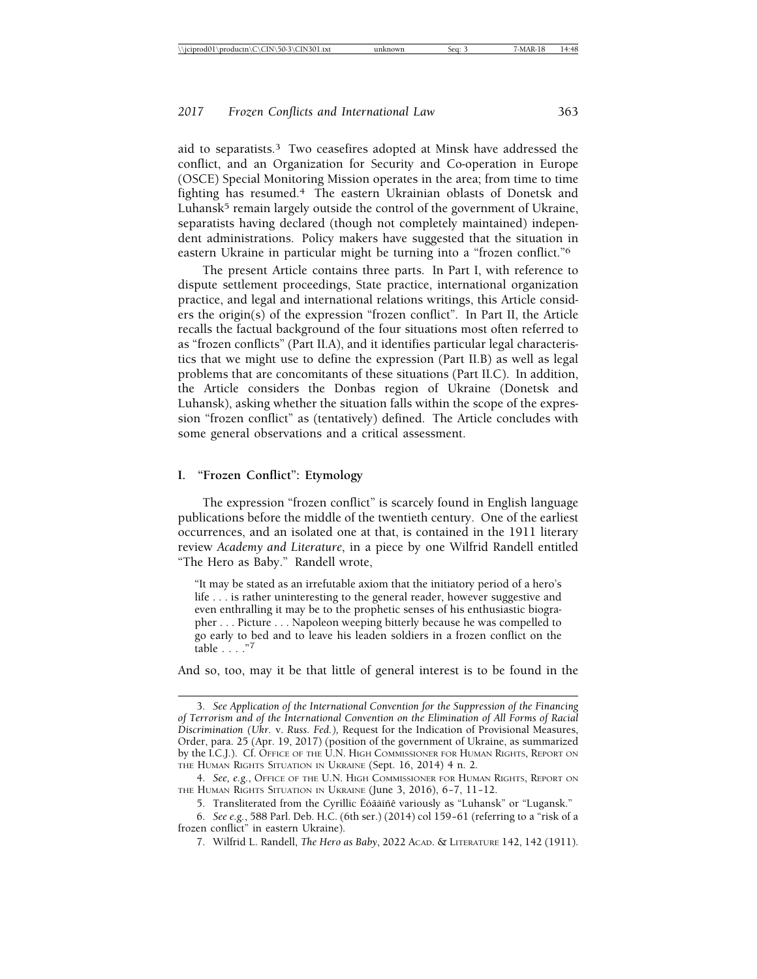aid to separatists.3 Two ceasefires adopted at Minsk have addressed the conflict, and an Organization for Security and Co-operation in Europe (OSCE) Special Monitoring Mission operates in the area; from time to time fighting has resumed.4 The eastern Ukrainian oblasts of Donetsk and Luhansk $<sup>5</sup>$  remain largely outside the control of the government of Ukraine,</sup> separatists having declared (though not completely maintained) independent administrations. Policy makers have suggested that the situation in eastern Ukraine in particular might be turning into a "frozen conflict."6

The present Article contains three parts. In Part I, with reference to dispute settlement proceedings, State practice, international organization practice, and legal and international relations writings, this Article considers the origin(s) of the expression "frozen conflict". In Part II, the Article recalls the factual background of the four situations most often referred to as "frozen conflicts" (Part II.A), and it identifies particular legal characteristics that we might use to define the expression (Part II.B) as well as legal problems that are concomitants of these situations (Part II.C). In addition, the Article considers the Donbas region of Ukraine (Donetsk and Luhansk), asking whether the situation falls within the scope of the expression "frozen conflict" as (tentatively) defined. The Article concludes with some general observations and a critical assessment.

#### **I. "Frozen Conflict": Etymology**

The expression "frozen conflict" is scarcely found in English language publications before the middle of the twentieth century. One of the earliest occurrences, and an isolated one at that, is contained in the 1911 literary review *Academy and Literature*, in a piece by one Wilfrid Randell entitled "The Hero as Baby." Randell wrote,

"It may be stated as an irrefutable axiom that the initiatory period of a hero's life . . . is rather uninteresting to the general reader, however suggestive and even enthralling it may be to the prophetic senses of his enthusiastic biographer . . . Picture . . . Napoleon weeping bitterly because he was compelled to go early to bed and to leave his leaden soldiers in a frozen conflict on the table . . . ."7

And so, too, may it be that little of general interest is to be found in the

<sup>3.</sup> *See Application of the International Convention for the Suppression of the Financing of Terrorism and of the International Convention on the Elimination of All Forms of Racial Discrimination (Ukr.* v. *Russ. Fed.),* Request for the Indication of Provisional Measures, Order, para. 25 (Apr. 19, 2017) (position of the government of Ukraine, as summarized by the I.C.J.). Cf. OFFICE OF THE U.N. HIGH COMMISSIONER FOR HUMAN RIGHTS, REPORT ON THE HUMAN RIGHTS SITUATION IN UKRAINE (Sept. 16, 2014) 4 n. 2.

<sup>4.</sup> *See, e.g.*, OFFICE OF THE U.N. HIGH COMMISSIONER FOR HUMAN RIGHTS, REPORT ON THE HUMAN RIGHTS SITUATION IN UKRAINE (June 3, 2016), 6-7, 11-12.

<sup>5.</sup> Transliterated from the Cyrillic Ëóãàíñê variously as "Luhansk" or "Lugansk."

<sup>6.</sup> *See e.g.*, 588 Parl. Deb. H.C. (6th ser.) (2014) col 159– 61 (referring to a "risk of a frozen conflict" in eastern Ukraine).

<sup>7.</sup> Wilfrid L. Randell, *The Hero as Baby*, 2022 ACAD. & LITERATURE 142, 142 (1911).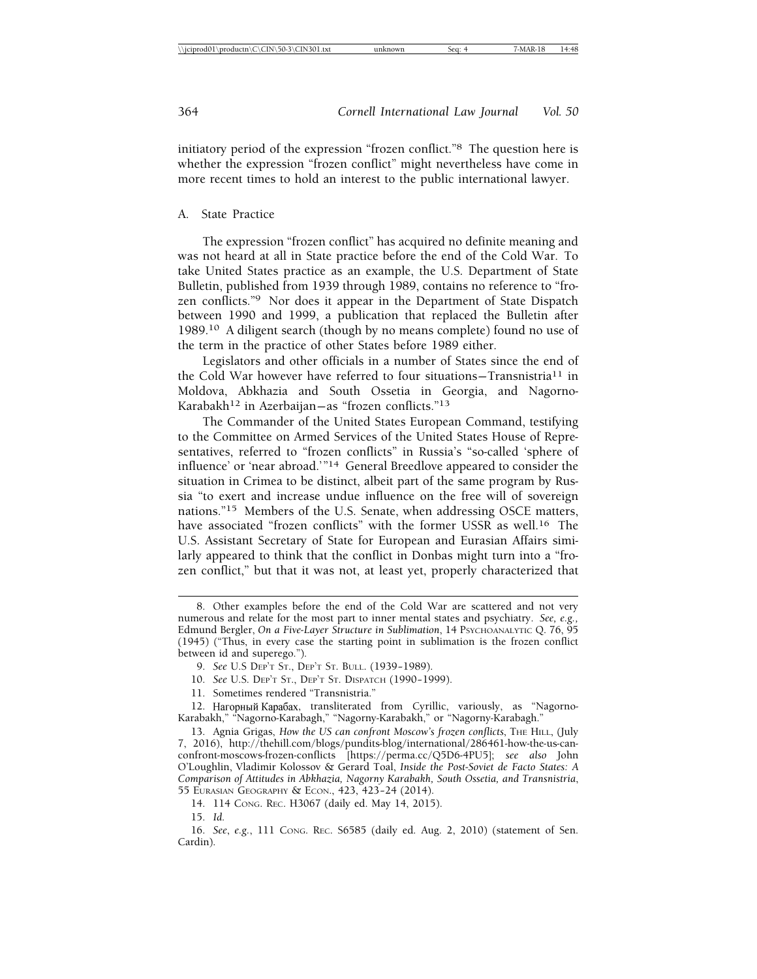initiatory period of the expression "frozen conflict."8 The question here is whether the expression "frozen conflict" might nevertheless have come in more recent times to hold an interest to the public international lawyer.

#### A. State Practice

The expression "frozen conflict" has acquired no definite meaning and was not heard at all in State practice before the end of the Cold War. To take United States practice as an example, the U.S. Department of State Bulletin, published from 1939 through 1989, contains no reference to "frozen conflicts."9 Nor does it appear in the Department of State Dispatch between 1990 and 1999, a publication that replaced the Bulletin after 1989.10 A diligent search (though by no means complete) found no use of the term in the practice of other States before 1989 either.

Legislators and other officials in a number of States since the end of the Cold War however have referred to four situations-Transnistria<sup>11</sup> in Moldova, Abkhazia and South Ossetia in Georgia, and Nagorno-Karabakh<sup>12</sup> in Azerbaijan-as "frozen conflicts."<sup>13</sup>

The Commander of the United States European Command, testifying to the Committee on Armed Services of the United States House of Representatives, referred to "frozen conflicts" in Russia's "so-called 'sphere of influence' or 'near abroad.'"14 General Breedlove appeared to consider the situation in Crimea to be distinct, albeit part of the same program by Russia "to exert and increase undue influence on the free will of sovereign nations."15 Members of the U.S. Senate, when addressing OSCE matters, have associated "frozen conflicts" with the former USSR as well.<sup>16</sup> The U.S. Assistant Secretary of State for European and Eurasian Affairs similarly appeared to think that the conflict in Donbas might turn into a "frozen conflict," but that it was not, at least yet, properly characterized that

- 10. *See* U.S. DEP'T ST., DEP'T ST. DISPATCH (1990– 1999).
- 11. Sometimes rendered "Transnistria."

15. *Id.*

<sup>8.</sup> Other examples before the end of the Cold War are scattered and not very numerous and relate for the most part to inner mental states and psychiatry. *See, e.g.,* Edmund Bergler, *On a Five-Layer Structure in Sublimation*, 14 PSYCHOANALYTIC Q. 76, 95 (1945) ("Thus, in every case the starting point in sublimation is the frozen conflict between id and superego.").

<sup>9.</sup> *See* U.S DEP'T ST., DEP'T ST. BULL. (1939– 1989).

<sup>12.</sup> Нагорный Карабах, transliterated from Cyrillic, variously, as "Nagorno-Karabakh," "Nagorno-Karabagh," "Nagorny-Karabakh," or "Nagorny-Karabagh."

<sup>13.</sup> Agnia Grigas, *How the US can confront Moscow's frozen conflicts*, THE HILL, (July 7, 2016), http://thehill.com/blogs/pundits-blog/international/286461-how-the-us-canconfront-moscows-frozen-conflicts [https://perma.cc/Q5D6-4PU5]; *see also* John O'Loughlin, Vladimir Kolossov & Gerard Toal, *Inside the Post-Soviet de Facto States: A Comparison of Attitudes in Abkhazia, Nagorny Karabakh, South Ossetia, and Transnistria*, 55 EURASIAN GEOGRAPHY & ECON., 423, 423– 24 (2014).

<sup>14. 114</sup> CONG. REC. H3067 (daily ed. May 14, 2015).

<sup>16.</sup> *See*, *e.g.*, 111 CONG. REC. S6585 (daily ed. Aug. 2, 2010) (statement of Sen. Cardin).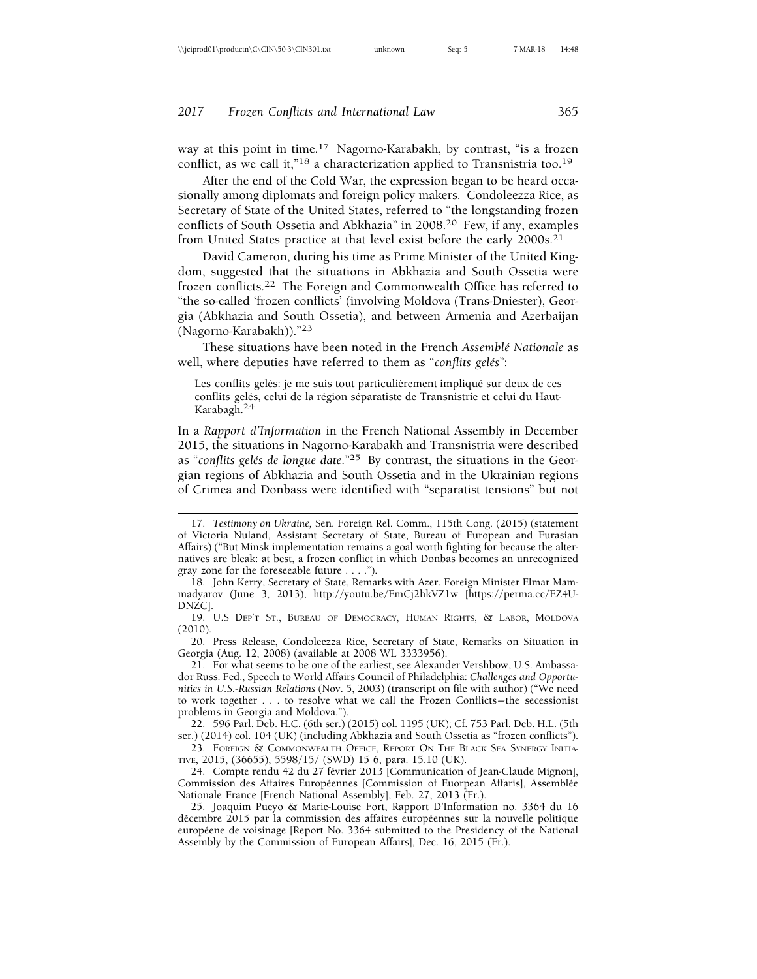way at this point in time.17 Nagorno-Karabakh, by contrast, "is a frozen conflict, as we call it,"<sup>18</sup> a characterization applied to Transnistria too.<sup>19</sup>

After the end of the Cold War, the expression began to be heard occasionally among diplomats and foreign policy makers. Condoleezza Rice, as Secretary of State of the United States, referred to "the longstanding frozen conflicts of South Ossetia and Abkhazia" in 2008.20 Few, if any, examples from United States practice at that level exist before the early 2000s.<sup>21</sup>

David Cameron, during his time as Prime Minister of the United Kingdom, suggested that the situations in Abkhazia and South Ossetia were frozen conflicts.22 The Foreign and Commonwealth Office has referred to "the so-called 'frozen conflicts' (involving Moldova (Trans-Dniester), Georgia (Abkhazia and South Ossetia), and between Armenia and Azerbaijan (Nagorno-Karabakh))."<sup>23</sup>

These situations have been noted in the French *Assembl´e Nationale* as well, where deputies have referred to them as "*conflits gelés*":

Les conflits gelés: je me suis tout particulièrement impliqué sur deux de ces conflits gelés, celui de la région séparatiste de Transnistrie et celui du Haut-Karabagh.24

In a *Rapport d'Information* in the French National Assembly in December 2015*,* the situations in Nagorno-Karabakh and Transnistria were described as "conflits gelés de longue date."<sup>25</sup> By contrast, the situations in the Georgian regions of Abkhazia and South Ossetia and in the Ukrainian regions of Crimea and Donbass were identified with "separatist tensions" but not

20. Press Release, Condoleezza Rice, Secretary of State, Remarks on Situation in Georgia (Aug. 12, 2008) (available at 2008 WL 3333956).

<sup>17.</sup> *Testimony on Ukraine,* Sen. Foreign Rel. Comm., 115th Cong. (2015) (statement of Victoria Nuland, Assistant Secretary of State, Bureau of European and Eurasian Affairs) ("But Minsk implementation remains a goal worth fighting for because the alternatives are bleak: at best, a frozen conflict in which Donbas becomes an unrecognized gray zone for the foreseeable future . . . .").

<sup>18.</sup> John Kerry, Secretary of State, Remarks with Azer. Foreign Minister Elmar Mammadyarov (June 3, 2013), http://youtu.be/EmCj2hkVZ1w [https://perma.cc/EZ4U-DNZC].

<sup>19.</sup> U.S DEP'T ST., BUREAU OF DEMOCRACY, HUMAN RIGHTS, & LABOR, MOLDOVA (2010).

<sup>21.</sup> For what seems to be one of the earliest, see Alexander Vershbow, U.S. Ambassador Russ. Fed., Speech to World Affairs Council of Philadelphia: *Challenges and Opportunities in U.S.-Russian Relations* (Nov. 5, 2003) (transcript on file with author) ("We need to work together . . . to resolve what we call the Frozen Conflicts— the secessionist problems in Georgia and Moldova.").

<sup>22. 596</sup> Parl. Deb. H.C. (6th ser.) (2015) col. 1195 (UK); Cf. 753 Parl. Deb. H.L. (5th ser.) (2014) col. 104 (UK) (including Abkhazia and South Ossetia as "frozen conflicts").

<sup>23.</sup> FOREIGN & COMMONWEALTH OFFICE, REPORT ON THE BLACK SEA SYNERGY INITIA-TIVE, 2015, (36655), 5598/15/ (SWD) 15 6, para. 15.10 (UK).

<sup>24.</sup> Compte rendu 42 du 27 février 2013 [Communication of Jean-Claude Mignon], Commission des Affaires Européennes [Commission of Euorpean Affaris], Assemblée Nationale France [French National Assembly], Feb. 27, 2013 (Fr.).

<sup>25.</sup> Joaquim Pueyo & Marie-Louise Fort, Rapport D'Information no. 3364 du 16 dêcembre 2015 par la commission des affaires européennes sur la nouvelle politique européene de voisinage [Report No. 3364 submitted to the Presidency of the National Assembly by the Commission of European Affairs], Dec. 16, 2015 (Fr.).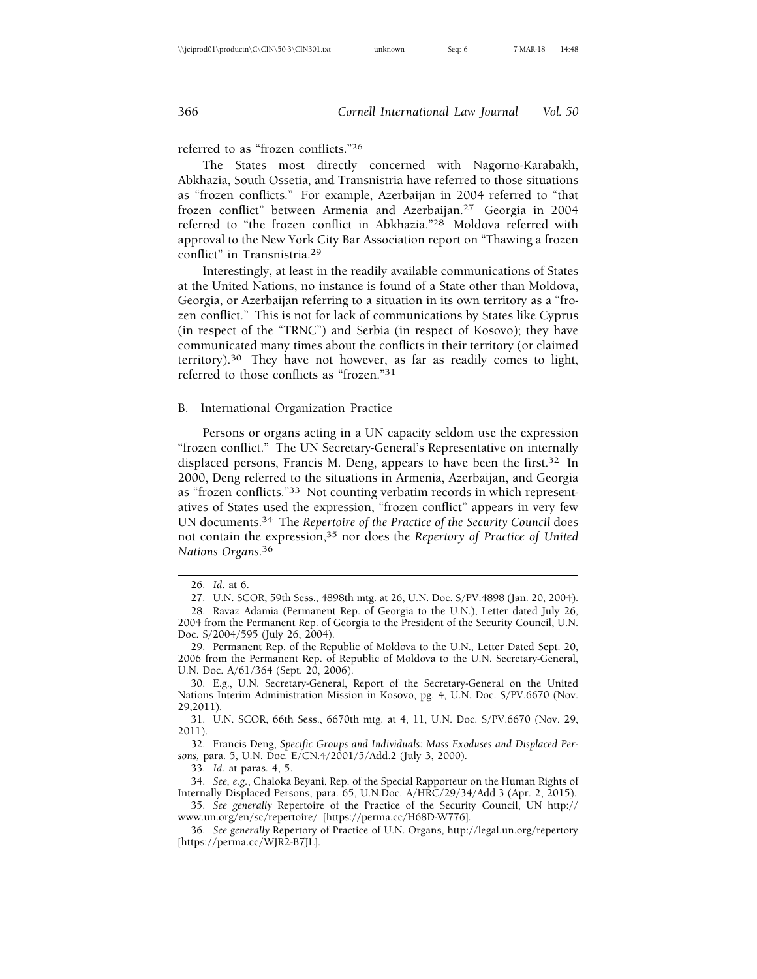referred to as "frozen conflicts."26

The States most directly concerned with Nagorno-Karabakh, Abkhazia, South Ossetia, and Transnistria have referred to those situations as "frozen conflicts." For example, Azerbaijan in 2004 referred to "that frozen conflict" between Armenia and Azerbaijan.27 Georgia in 2004 referred to "the frozen conflict in Abkhazia."28 Moldova referred with approval to the New York City Bar Association report on "Thawing a frozen conflict" in Transnistria.29

Interestingly, at least in the readily available communications of States at the United Nations, no instance is found of a State other than Moldova, Georgia, or Azerbaijan referring to a situation in its own territory as a "frozen conflict." This is not for lack of communications by States like Cyprus (in respect of the "TRNC") and Serbia (in respect of Kosovo); they have communicated many times about the conflicts in their territory (or claimed territory).30 They have not however, as far as readily comes to light, referred to those conflicts as "frozen."31

B. International Organization Practice

Persons or organs acting in a UN capacity seldom use the expression "frozen conflict." The UN Secretary-General's Representative on internally displaced persons, Francis M. Deng, appears to have been the first.<sup>32</sup> In 2000, Deng referred to the situations in Armenia, Azerbaijan, and Georgia as "frozen conflicts."33 Not counting verbatim records in which representatives of States used the expression, "frozen conflict" appears in very few UN documents.34 The *Repertoire of the Practice of the Security Council* does not contain the expression,35 nor does the *Repertory of Practice of United Nations Organs*. 36

29. Permanent Rep. of the Republic of Moldova to the U.N., Letter Dated Sept. 20, 2006 from the Permanent Rep. of Republic of Moldova to the U.N. Secretary-General, U.N. Doc. A/61/364 (Sept. 20, 2006).

30. E.g., U.N. Secretary-General, Report of the Secretary-General on the United Nations Interim Administration Mission in Kosovo, pg. 4, U.N. Doc. S/PV.6670 (Nov. 29,2011).

31. U.N. SCOR, 66th Sess., 6670th mtg. at 4, 11, U.N. Doc. S/PV.6670 (Nov. 29, 2011).

32. Francis Deng, *Specific Groups and Individuals: Mass Exoduses and Displaced Persons,* para. 5, U.N. Doc. E/CN.4/2001/5/Add.2 (July 3, 2000).

33. *Id.* at paras. 4, 5.

<sup>26.</sup> *Id*. at 6.

<sup>27.</sup> U.N. SCOR, 59th Sess., 4898th mtg. at 26, U.N. Doc. S/PV.4898 (Jan. 20, 2004).

<sup>28.</sup> Ravaz Adamia (Permanent Rep. of Georgia to the U.N.), Letter dated July 26, 2004 from the Permanent Rep. of Georgia to the President of the Security Council, U.N. Doc. S/2004/595 (July 26, 2004).

<sup>34.</sup> *See, e.g.*, Chaloka Beyani, Rep. of the Special Rapporteur on the Human Rights of Internally Displaced Persons, para. 65, U.N.Doc. A/HRC/29/34/Add.3 (Apr. 2, 2015).

<sup>35.</sup> *See generally* Repertoire of the Practice of the Security Council, UN http:// www.un.org/en/sc/repertoire/ [https://perma.cc/H68D-W776].

<sup>36.</sup> *See generally* Repertory of Practice of U.N. Organs, http://legal.un.org/repertory [https://perma.cc/WJR2-B7JL].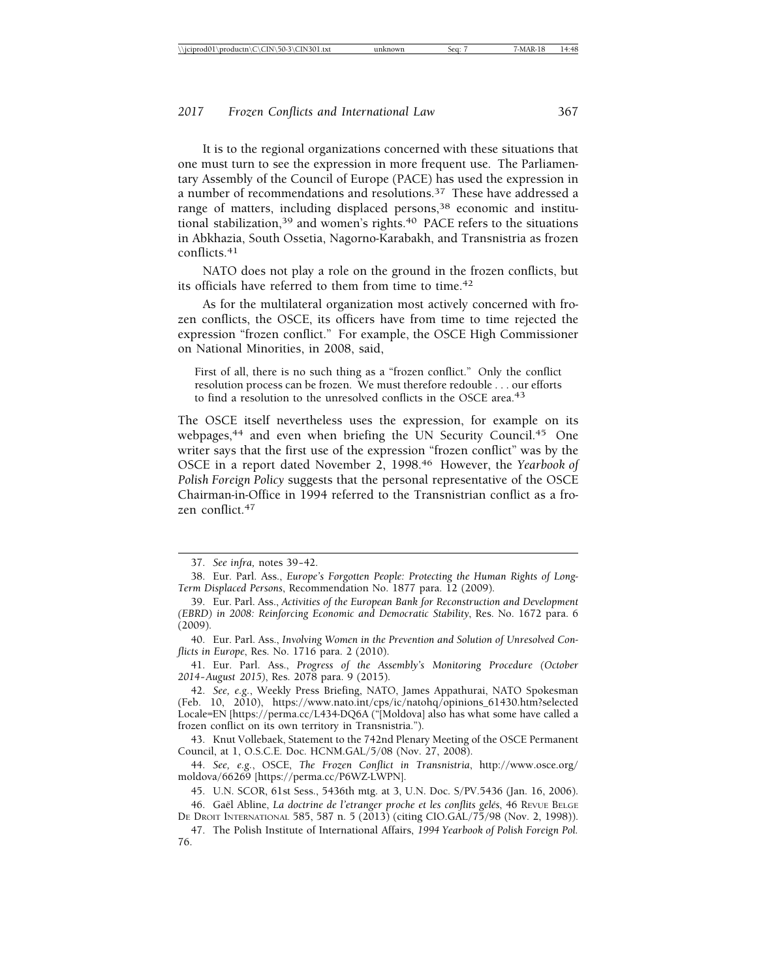It is to the regional organizations concerned with these situations that one must turn to see the expression in more frequent use. The Parliamentary Assembly of the Council of Europe (PACE) has used the expression in a number of recommendations and resolutions.37 These have addressed a range of matters, including displaced persons,<sup>38</sup> economic and institutional stabilization,<sup>39</sup> and women's rights.<sup>40</sup> PACE refers to the situations in Abkhazia, South Ossetia, Nagorno-Karabakh, and Transnistria as frozen conflicts.<sup>41</sup>

NATO does not play a role on the ground in the frozen conflicts, but its officials have referred to them from time to time.<sup>42</sup>

As for the multilateral organization most actively concerned with frozen conflicts, the OSCE, its officers have from time to time rejected the expression "frozen conflict." For example, the OSCE High Commissioner on National Minorities, in 2008, said,

First of all, there is no such thing as a "frozen conflict." Only the conflict resolution process can be frozen. We must therefore redouble . . . our efforts to find a resolution to the unresolved conflicts in the OSCE area.<sup>43</sup>

The OSCE itself nevertheless uses the expression, for example on its webpages,<sup>44</sup> and even when briefing the UN Security Council.<sup>45</sup> One writer says that the first use of the expression "frozen conflict" was by the OSCE in a report dated November 2, 1998.46 However, the *Yearbook of Polish Foreign Policy* suggests that the personal representative of the OSCE Chairman-in-Office in 1994 referred to the Transnistrian conflict as a frozen conflict.47

40. Eur. Parl. Ass., *Involving Women in the Prevention and Solution of Unresolved Conflicts in Europe*, Res. No. 1716 para. 2 (2010).

41. Eur. Parl. Ass., *Progress of the Assembly's Monitoring Procedure (October 2014– August 2015)*, Res. 2078 para. 9 (2015).

42. *See, e.g.*, Weekly Press Briefing, NATO, James Appathurai, NATO Spokesman (Feb. 10, 2010), https://www.nato.int/cps/ic/natohq/opinions\_61430.htm?selected Locale=EN [https://perma.cc/L434-DQ6A ("[Moldova] also has what some have called a frozen conflict on its own territory in Transnistria.").

43. Knut Vollebaek, Statement to the 742nd Plenary Meeting of the OSCE Permanent Council, at 1, O.S.C.E. Doc. HCNM.GAL/5/08 (Nov. 27, 2008).

44. *See, e.g.*, OSCE, *The Frozen Conflict in Transnistria*, http://www.osce.org/ moldova/66269 [https://perma.cc/P6WZ-LWPN].

<sup>37.</sup> See infra, notes 39-42.

<sup>38.</sup> Eur. Parl. Ass., *Europe's Forgotten People: Protecting the Human Rights of Long-Term Displaced Persons*, Recommendation No. 1877 para. 12 (2009).

<sup>39.</sup> Eur. Parl. Ass., *Activities of the European Bank for Reconstruction and Development (EBRD) in 2008: Reinforcing Economic and Democratic Stability*, Res. No. 1672 para. 6 (2009).

<sup>45.</sup> U.N. SCOR, 61st Sess., 5436th mtg. at 3, U.N. Doc. S/PV.5436 (Jan. 16, 2006).

<sup>46.</sup> Gaël Abline, *La doctrine de l'etranger proche et les conflits gelés*, 46 REVUE BELGE DE DROIT INTERNATIONAL 585, 587 n. 5 (2013) (citing CIO.GAL/75/98 (Nov. 2, 1998)).

<sup>47.</sup> The Polish Institute of International Affairs, *1994 Yearbook of Polish Foreign Pol.* 76.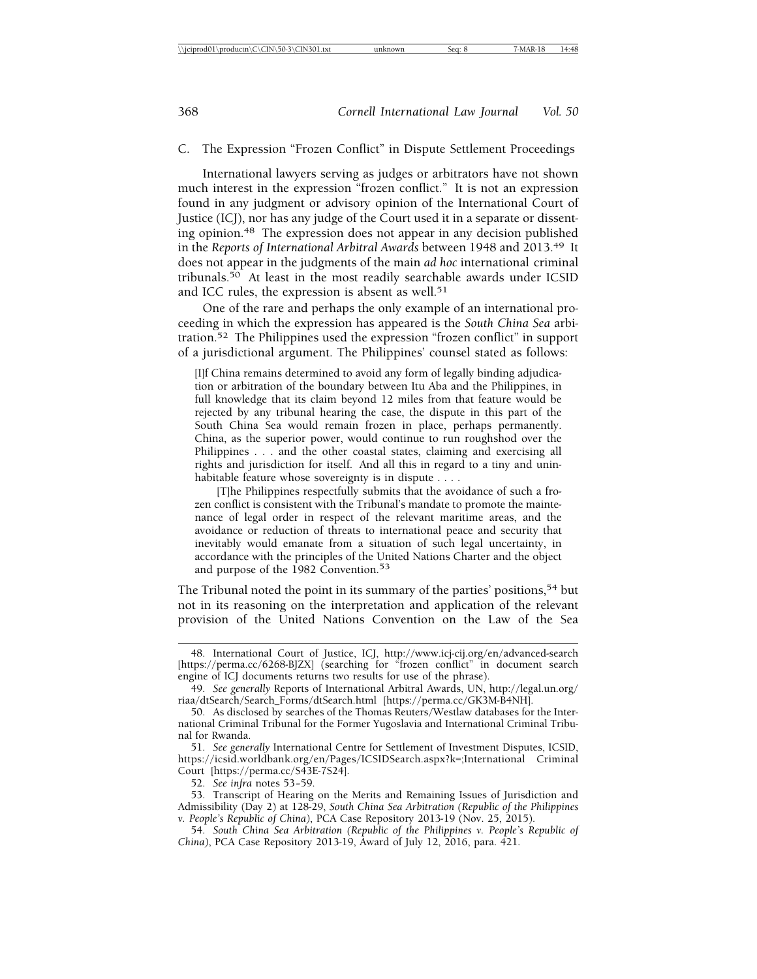#### C. The Expression "Frozen Conflict" in Dispute Settlement Proceedings

International lawyers serving as judges or arbitrators have not shown much interest in the expression "frozen conflict." It is not an expression found in any judgment or advisory opinion of the International Court of Justice (ICJ), nor has any judge of the Court used it in a separate or dissenting opinion.48 The expression does not appear in any decision published in the *Reports of International Arbitral Awards* between 1948 and 2013.49 It does not appear in the judgments of the main *ad hoc* international criminal tribunals.50 At least in the most readily searchable awards under ICSID and ICC rules, the expression is absent as well.<sup>51</sup>

One of the rare and perhaps the only example of an international proceeding in which the expression has appeared is the *South China Sea* arbitration.52 The Philippines used the expression "frozen conflict" in support of a jurisdictional argument. The Philippines' counsel stated as follows:

[I]f China remains determined to avoid any form of legally binding adjudication or arbitration of the boundary between Itu Aba and the Philippines, in full knowledge that its claim beyond 12 miles from that feature would be rejected by any tribunal hearing the case, the dispute in this part of the South China Sea would remain frozen in place, perhaps permanently. China, as the superior power, would continue to run roughshod over the Philippines . . . and the other coastal states, claiming and exercising all rights and jurisdiction for itself. And all this in regard to a tiny and uninhabitable feature whose sovereignty is in dispute . . . .

[T]he Philippines respectfully submits that the avoidance of such a frozen conflict is consistent with the Tribunal's mandate to promote the maintenance of legal order in respect of the relevant maritime areas, and the avoidance or reduction of threats to international peace and security that inevitably would emanate from a situation of such legal uncertainty, in accordance with the principles of the United Nations Charter and the object and purpose of the 1982 Convention.<sup>53</sup>

The Tribunal noted the point in its summary of the parties' positions,<sup>54</sup> but not in its reasoning on the interpretation and application of the relevant provision of the United Nations Convention on the Law of the Sea

<sup>48.</sup> International Court of Justice, ICJ, http://www.icj-cij.org/en/advanced-search [https://perma.cc/6268-BJZX] (searching for "frozen conflict" in document search engine of ICJ documents returns two results for use of the phrase).

<sup>49.</sup> *See generally* Reports of International Arbitral Awards, UN, http://legal.un.org/ riaa/dtSearch/Search\_Forms/dtSearch.html [https://perma.cc/GK3M-B4NH].

<sup>50.</sup> As disclosed by searches of the Thomas Reuters/Westlaw databases for the International Criminal Tribunal for the Former Yugoslavia and International Criminal Tribunal for Rwanda.

<sup>51.</sup> *See generally* International Centre for Settlement of Investment Disputes, ICSID, https://icsid.worldbank.org/en/Pages/ICSIDSearch.aspx?k=;International Criminal Court [https://perma.cc/S43E-7S24].

<sup>52.</sup> *See infra* notes 53– 59.

<sup>53.</sup> Transcript of Hearing on the Merits and Remaining Issues of Jurisdiction and Admissibility (Day 2) at 128-29, *South China Sea Arbitration (Republic of the Philippines v. People's Republic of China)*, PCA Case Repository 2013-19 (Nov. 25, 2015).

<sup>54.</sup> *South China Sea Arbitration (Republic of the Philippines v. People's Republic of China)*, PCA Case Repository 2013-19, Award of July 12, 2016, para. 421.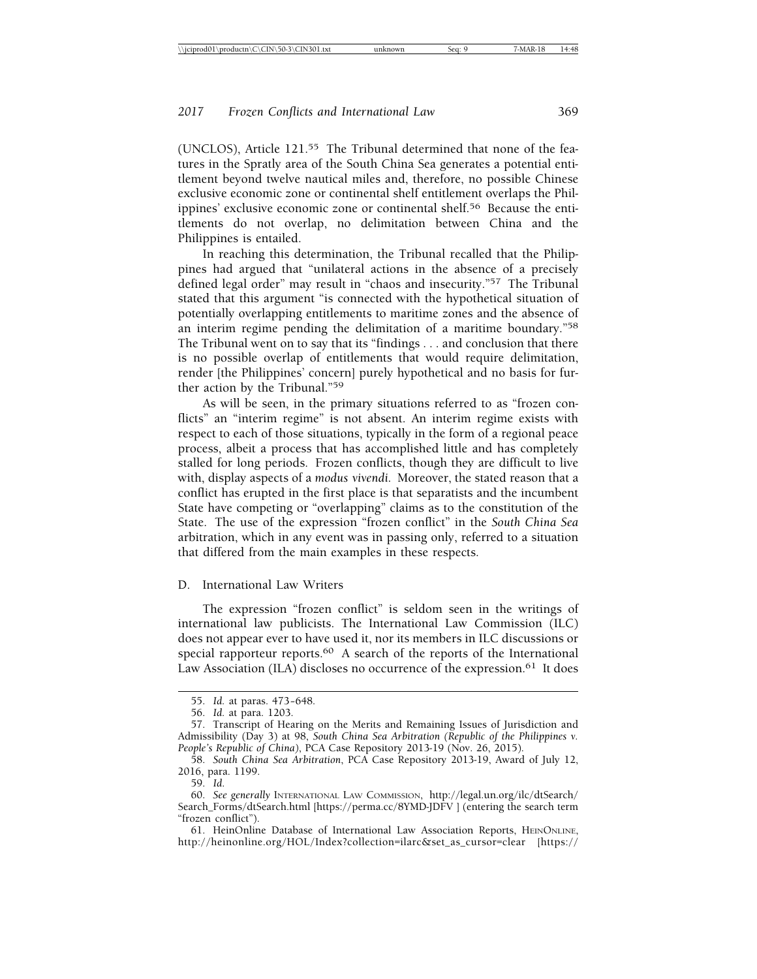(UNCLOS), Article 121.55 The Tribunal determined that none of the features in the Spratly area of the South China Sea generates a potential entitlement beyond twelve nautical miles and, therefore, no possible Chinese exclusive economic zone or continental shelf entitlement overlaps the Philippines' exclusive economic zone or continental shelf.<sup>56</sup> Because the entitlements do not overlap, no delimitation between China and the Philippines is entailed.

In reaching this determination, the Tribunal recalled that the Philippines had argued that "unilateral actions in the absence of a precisely defined legal order" may result in "chaos and insecurity."57 The Tribunal stated that this argument "is connected with the hypothetical situation of potentially overlapping entitlements to maritime zones and the absence of an interim regime pending the delimitation of a maritime boundary."58 The Tribunal went on to say that its "findings . . . and conclusion that there is no possible overlap of entitlements that would require delimitation, render [the Philippines' concern] purely hypothetical and no basis for further action by the Tribunal."59

As will be seen, in the primary situations referred to as "frozen conflicts" an "interim regime" is not absent. An interim regime exists with respect to each of those situations, typically in the form of a regional peace process, albeit a process that has accomplished little and has completely stalled for long periods. Frozen conflicts, though they are difficult to live with, display aspects of a *modus vivendi*. Moreover, the stated reason that a conflict has erupted in the first place is that separatists and the incumbent State have competing or "overlapping" claims as to the constitution of the State. The use of the expression "frozen conflict" in the *South China Sea* arbitration, which in any event was in passing only, referred to a situation that differed from the main examples in these respects.

D. International Law Writers

The expression "frozen conflict" is seldom seen in the writings of international law publicists. The International Law Commission (ILC) does not appear ever to have used it, nor its members in ILC discussions or special rapporteur reports.<sup>60</sup> A search of the reports of the International Law Association (ILA) discloses no occurrence of the expression.<sup>61</sup> It does

<sup>55.</sup> *Id.* at paras. 473– 648.

<sup>56.</sup> *Id.* at para. 1203.

<sup>57.</sup> Transcript of Hearing on the Merits and Remaining Issues of Jurisdiction and Admissibility (Day 3) at 98, *South China Sea Arbitration (Republic of the Philippines v. People's Republic of China)*, PCA Case Repository 2013-19 (Nov. 26, 2015).

<sup>58.</sup> *South China Sea Arbitration*, PCA Case Repository 2013-19, Award of July 12, 2016, para. 1199.

<sup>59.</sup> *Id*.

<sup>60.</sup> *See generally* INTERNATIONAL LAW COMMISSION, http://legal.un.org/ilc/dtSearch/ Search\_Forms/dtSearch.html [https://perma.cc/8YMD-JDFV ] (entering the search term "frozen conflict").

<sup>61.</sup> HeinOnline Database of International Law Association Reports, HEINONLINE, http://heinonline.org/HOL/Index?collection=ilarc&set\_as\_cursor=clear [https://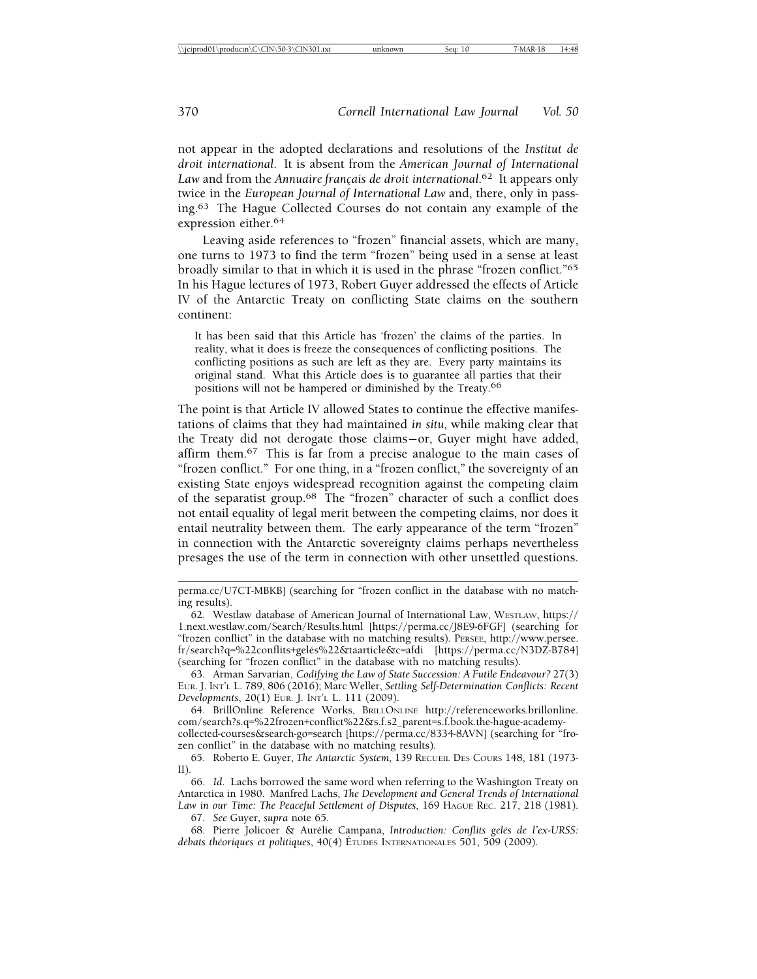not appear in the adopted declarations and resolutions of the *Institut de droit international*. It is absent from the *American Journal of International* Law and from the *Annuaire français de droit international*.<sup>62</sup> It appears only twice in the *European Journal of International Law* and, there, only in passing.63 The Hague Collected Courses do not contain any example of the expression either.64

Leaving aside references to "frozen" financial assets, which are many, one turns to 1973 to find the term "frozen" being used in a sense at least broadly similar to that in which it is used in the phrase "frozen conflict."65 In his Hague lectures of 1973, Robert Guyer addressed the effects of Article IV of the Antarctic Treaty on conflicting State claims on the southern continent:

It has been said that this Article has 'frozen' the claims of the parties. In reality, what it does is freeze the consequences of conflicting positions. The conflicting positions as such are left as they are. Every party maintains its original stand. What this Article does is to guarantee all parties that their positions will not be hampered or diminished by the Treaty.66

The point is that Article IV allowed States to continue the effective manifestations of claims that they had maintained *in situ*, while making clear that the Treaty did not derogate those claims— or, Guyer might have added, affirm them.67 This is far from a precise analogue to the main cases of "frozen conflict." For one thing, in a "frozen conflict," the sovereignty of an existing State enjoys widespread recognition against the competing claim of the separatist group.68 The "frozen" character of such a conflict does not entail equality of legal merit between the competing claims, nor does it entail neutrality between them. The early appearance of the term "frozen" in connection with the Antarctic sovereignty claims perhaps nevertheless presages the use of the term in connection with other unsettled questions.

67. *See* Guyer, *supra* note 65.

68. Pierre Jolicoer & Aurélie Campana, *Introduction: Conflits gelés de l'ex-URSS*: *débats théoriques et politiques*, 40(4) ÉTUDES INTERNATIONALES 501, 509 (2009).

perma.cc/U7CT-MBKB] (searching for "frozen conflict in the database with no matching results).

<sup>62.</sup> Westlaw database of American Journal of International Law, WESTLAW, https:// 1.next.westlaw.com/Search/Results.html [https://perma.cc/J8E9-6FGF] (searching for "frozen conflict" in the database with no matching results). PERSEE, http://www.persee. fr/search?q=%22conflits+gelés%22&taarticle&c=afdi [https://perma.cc/N3DZ-B784] (searching for "frozen conflict" in the database with no matching results).

<sup>63.</sup> Arman Sarvarian, *Codifying the Law of State Succession: A Futile Endeavour?* 27(3) EUR. J. INT'L L. 789, 806 (2016); Marc Weller, *Settling Self-Determination Conflicts: Recent Developments*, 20(1) EUR. J. INT'L L. 111 (2009).

<sup>64.</sup> BrillOnline Reference Works, BRILLONLINE http://referenceworks.brillonline. com/search?s.q=%22frozen+conflict%22&s.f.s2\_parent=s.f.book.the-hague-academycollected-courses&search-go=search [https://perma.cc/8334-8AVN] (searching for "frozen conflict" in the database with no matching results).

<sup>65.</sup> Roberto E. Guyer, *The Antarctic System*, 139 RECUEIL DES COURS 148, 181 (1973- II).

<sup>66.</sup> *Id.* Lachs borrowed the same word when referring to the Washington Treaty on Antarctica in 1980. Manfred Lachs, *The Development and General Trends of International* Law in our Time: The Peaceful Settlement of Disputes, 169 HAGUE REC. 217, 218 (1981).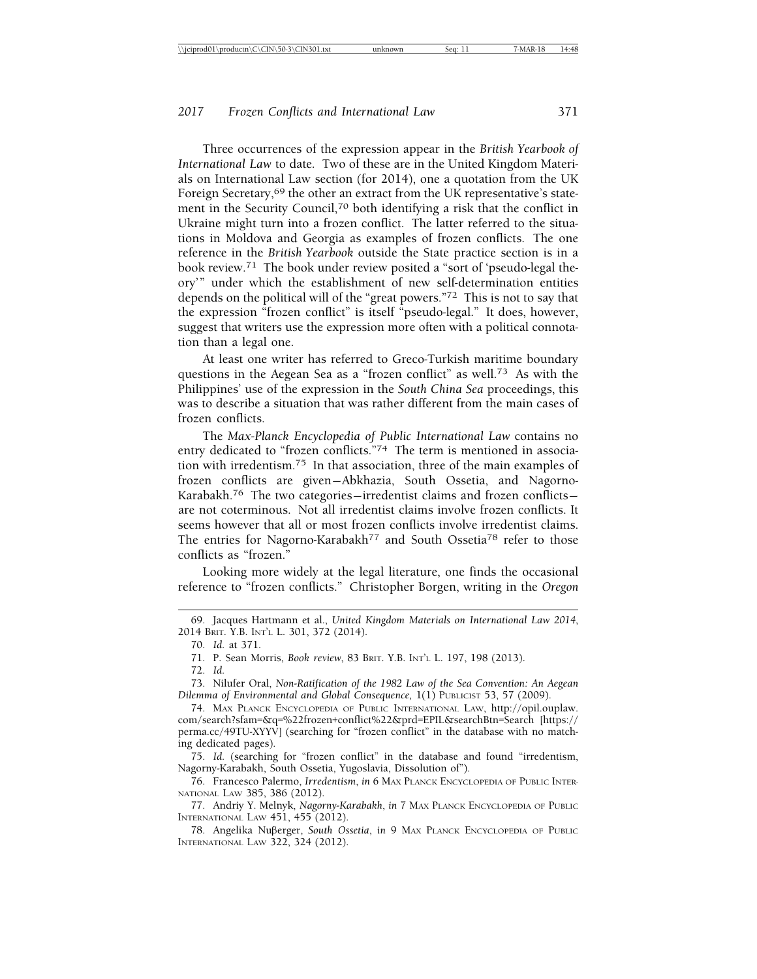Three occurrences of the expression appear in the *British Yearbook of International Law* to date*.* Two of these are in the United Kingdom Materials on International Law section (for 2014), one a quotation from the UK Foreign Secretary,<sup>69</sup> the other an extract from the UK representative's statement in the Security Council,70 both identifying a risk that the conflict in Ukraine might turn into a frozen conflict. The latter referred to the situations in Moldova and Georgia as examples of frozen conflicts. The one reference in the *British Yearbook* outside the State practice section is in a book review.71 The book under review posited a "sort of 'pseudo-legal theory'" under which the establishment of new self-determination entities depends on the political will of the "great powers."72 This is not to say that the expression "frozen conflict" is itself "pseudo-legal." It does, however, suggest that writers use the expression more often with a political connotation than a legal one.

At least one writer has referred to Greco-Turkish maritime boundary questions in the Aegean Sea as a "frozen conflict" as well.73 As with the Philippines' use of the expression in the *South China Sea* proceedings, this was to describe a situation that was rather different from the main cases of frozen conflicts.

The *Max-Planck Encyclopedia of Public International Law* contains no entry dedicated to "frozen conflicts."<sup>74</sup> The term is mentioned in association with irredentism.75 In that association, three of the main examples of frozen conflicts are given— Abkhazia, South Ossetia, and Nagorno-Karabakh.<sup>76</sup> The two categories-irredentist claims and frozen conflictsare not coterminous. Not all irredentist claims involve frozen conflicts. It seems however that all or most frozen conflicts involve irredentist claims. The entries for Nagorno-Karabakh<sup>77</sup> and South Ossetia<sup>78</sup> refer to those conflicts as "frozen."

Looking more widely at the legal literature, one finds the occasional reference to "frozen conflicts." Christopher Borgen, writing in the *Oregon*

73. Nilufer Oral, *Non-Ratification of the 1982 Law of the Sea Convention: An Aegean Dilemma of Environmental and Global Consequence,* 1(1) PUBLICIST 53, 57 (2009).

74. MAX PLANCK ENCYCLOPEDIA OF PUBLIC INTERNATIONAL LAW, http://opil.ouplaw. com/search?sfam=&q=%22frozen+conflict%22&prd=EPIL&searchBtn=Search [https:// perma.cc/49TU-XYYV] (searching for "frozen conflict" in the database with no matching dedicated pages).

75. *Id.* (searching for "frozen conflict" in the database and found "irredentism, Nagorny-Karabakh, South Ossetia, Yugoslavia, Dissolution of").

76. Francesco Palermo, *Irredentism*, *in* 6 MAX PLANCK ENCYCLOPEDIA OF PUBLIC INTER-NATIONAL LAW 385, 386 (2012).

77. Andriy Y. Melnyk, *Nagorny-Karabakh*, *in* 7 MAX PLANCK ENCYCLOPEDIA OF PUBLIC INTERNATIONAL LAW 451, 455 (2012).

78. Angelika Nuberger, *South Ossetia*, *in* 9 MAX PLANCK ENCYCLOPEDIA OF PUBLIC INTERNATIONAL LAW 322, 324 (2012).

<sup>69.</sup> Jacques Hartmann et al., *United Kingdom Materials on International Law 2014*, 2014 BRIT. Y.B. INT'L L. 301, 372 (2014).

<sup>70.</sup> *Id.* at 371.

<sup>71.</sup> P. Sean Morris, *Book review*, 83 BRIT. Y.B. INT'L L. 197, 198 (2013).

<sup>72.</sup> *Id.*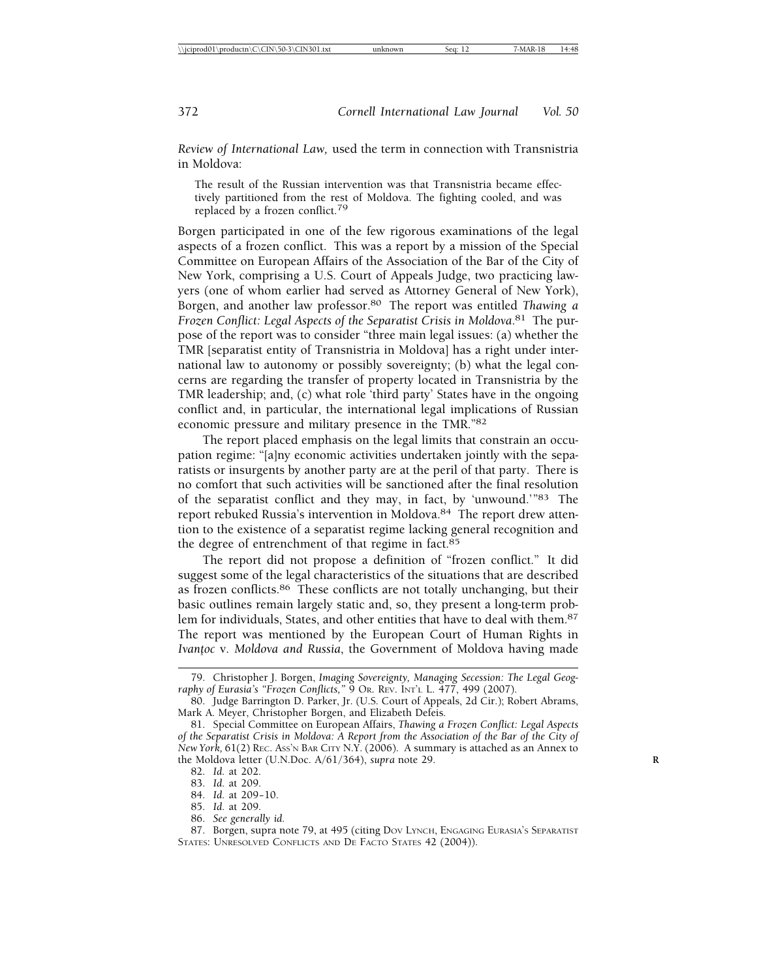*Review of International Law,* used the term in connection with Transnistria in Moldova:

The result of the Russian intervention was that Transnistria became effectively partitioned from the rest of Moldova. The fighting cooled, and was replaced by a frozen conflict.79

Borgen participated in one of the few rigorous examinations of the legal aspects of a frozen conflict. This was a report by a mission of the Special Committee on European Affairs of the Association of the Bar of the City of New York, comprising a U.S. Court of Appeals Judge, two practicing lawyers (one of whom earlier had served as Attorney General of New York), Borgen, and another law professor.80 The report was entitled *Thawing a* Frozen Conflict: Legal Aspects of the Separatist Crisis in Moldova.<sup>81</sup> The purpose of the report was to consider "three main legal issues: (a) whether the TMR [separatist entity of Transnistria in Moldova] has a right under international law to autonomy or possibly sovereignty; (b) what the legal concerns are regarding the transfer of property located in Transnistria by the TMR leadership; and, (c) what role 'third party' States have in the ongoing conflict and, in particular, the international legal implications of Russian economic pressure and military presence in the TMR."82

The report placed emphasis on the legal limits that constrain an occupation regime: "[a]ny economic activities undertaken jointly with the separatists or insurgents by another party are at the peril of that party. There is no comfort that such activities will be sanctioned after the final resolution of the separatist conflict and they may, in fact, by 'unwound.'"83 The report rebuked Russia's intervention in Moldova.84 The report drew attention to the existence of a separatist regime lacking general recognition and the degree of entrenchment of that regime in fact.85

The report did not propose a definition of "frozen conflict." It did suggest some of the legal characteristics of the situations that are described as frozen conflicts.86 These conflicts are not totally unchanging, but their basic outlines remain largely static and, so, they present a long-term problem for individuals, States, and other entities that have to deal with them.<sup>87</sup> The report was mentioned by the European Court of Human Rights in *Ivan¸toc* v. *Moldova and Russia*, the Government of Moldova having made

86. *See generally id.*

87. Borgen, supra note 79, at 495 (citing DOV LYNCH, ENGAGING EURASIA'S SEPARATIST STATES: UNRESOLVED CONFLICTS AND DE FACTO STATES 42 (2004)).

<sup>79.</sup> Christopher J. Borgen, *Imaging Sovereignty, Managing Secession: The Legal Geography of Eurasia's "Frozen Conflicts,"* 9 OR. REV. INT'L L. 477, 499 (2007).

<sup>80.</sup> Judge Barrington D. Parker, Jr. (U.S. Court of Appeals, 2d Cir.); Robert Abrams, Mark A. Meyer, Christopher Borgen, and Elizabeth Defeis.

<sup>81.</sup> Special Committee on European Affairs, *Thawing a Frozen Conflict: Legal Aspects of the Separatist Crisis in Moldova: A Report from the Association of the Bar of the City of New York,* 61(2) REC. ASS'N BAR CITY N.Y. (2006). A summary is attached as an Annex to the Moldova letter (U.N.Doc. A/61/364), *supra* note 29. **R**

<sup>82.</sup> *Id.* at 202.

<sup>83.</sup> *Id.* at 209.

<sup>84.</sup> *Id.* at 209– 10.

<sup>85.</sup> *Id.* at 209.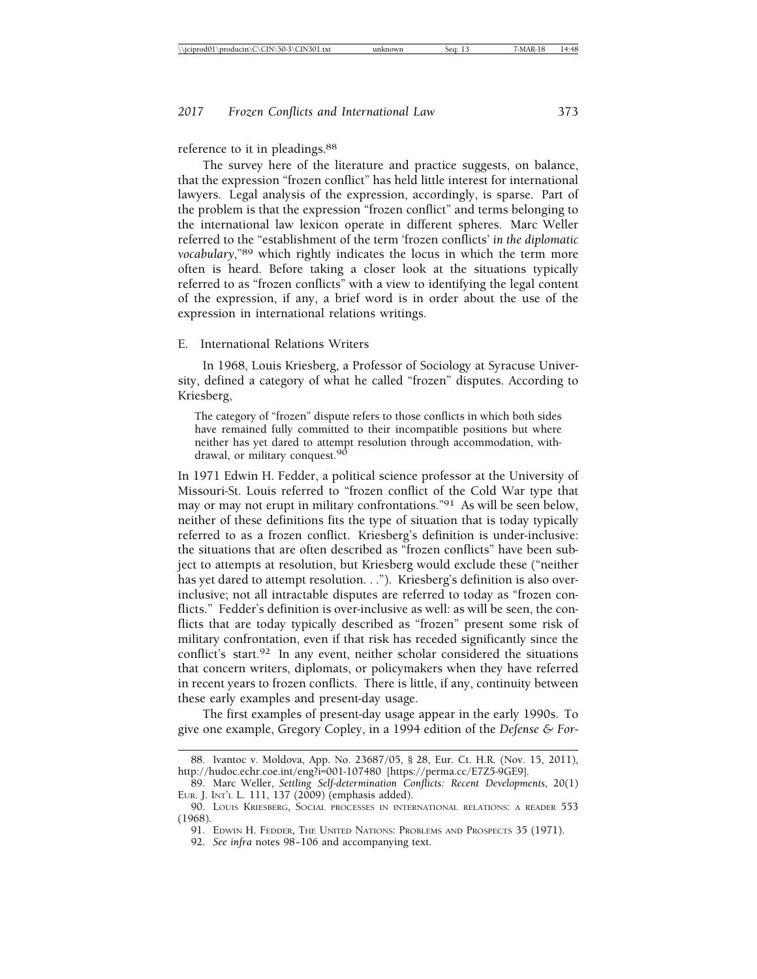#### reference to it in pleadings.<sup>88</sup>

The survey here of the literature and practice suggests, on balance, that the expression "frozen conflict" has held little interest for international lawyers. Legal analysis of the expression, accordingly, is sparse. Part of the problem is that the expression "frozen conflict" and terms belonging to the international law lexicon operate in different spheres. Marc Weller referred to the "establishment of the term 'frozen conflicts' *in the diplomatic vocabulary*,"89 which rightly indicates the locus in which the term more often is heard. Before taking a closer look at the situations typically referred to as "frozen conflicts" with a view to identifying the legal content of the expression, if any, a brief word is in order about the use of the expression in international relations writings.

#### E. International Relations Writers

In 1968, Louis Kriesberg, a Professor of Sociology at Syracuse University, defined a category of what he called "frozen" disputes. According to Kriesberg,

The category of "frozen" dispute refers to those conflicts in which both sides have remained fully committed to their incompatible positions but where neither has yet dared to attempt resolution through accommodation, withdrawal, or military conquest.<sup>90</sup>

In 1971 Edwin H. Fedder, a political science professor at the University of Missouri-St. Louis referred to "frozen conflict of the Cold War type that may or may not erupt in military confrontations."91 As will be seen below, neither of these definitions fits the type of situation that is today typically referred to as a frozen conflict. Kriesberg's definition is under-inclusive: the situations that are often described as "frozen conflicts" have been subject to attempts at resolution, but Kriesberg would exclude these ("neither has yet dared to attempt resolution. . ."). Kriesberg's definition is also overinclusive; not all intractable disputes are referred to today as "frozen conflicts." Fedder's definition is over-inclusive as well: as will be seen, the conflicts that are today typically described as "frozen" present some risk of military confrontation, even if that risk has receded significantly since the conflict's start.92 In any event, neither scholar considered the situations that concern writers, diplomats, or policymakers when they have referred in recent years to frozen conflicts. There is little, if any, continuity between these early examples and present-day usage.

The first examples of present-day usage appear in the early 1990s. To give one example, Gregory Copley, in a 1994 edition of the *Defense & For-*

<sup>88.</sup> Ivantoc v. Moldova, App. No. 23687/05, § 28, Eur. Ct. H.R. (Nov. 15, 2011), http://hudoc.echr.coe.int/eng?i=001-107480 [https://perma.cc/E7Z5-9GE9].

<sup>89.</sup> Marc Weller, *Settling Self-determination Conflicts: Recent Developments*, 20(1) EUR. J. INT'L L*.* 111, 137 (2009) (emphasis added).

<sup>90.</sup> LOUIS KRIESBERG, SOCIAL PROCESSES IN INTERNATIONAL RELATIONS: A READER 553 (1968).

<sup>91.</sup> EDWIN H. FEDDER, THE UNITED NATIONS: PROBLEMS AND PROSPECTS 35 (1971).

<sup>92.</sup> *See infra* notes 98– 106 and accompanying text.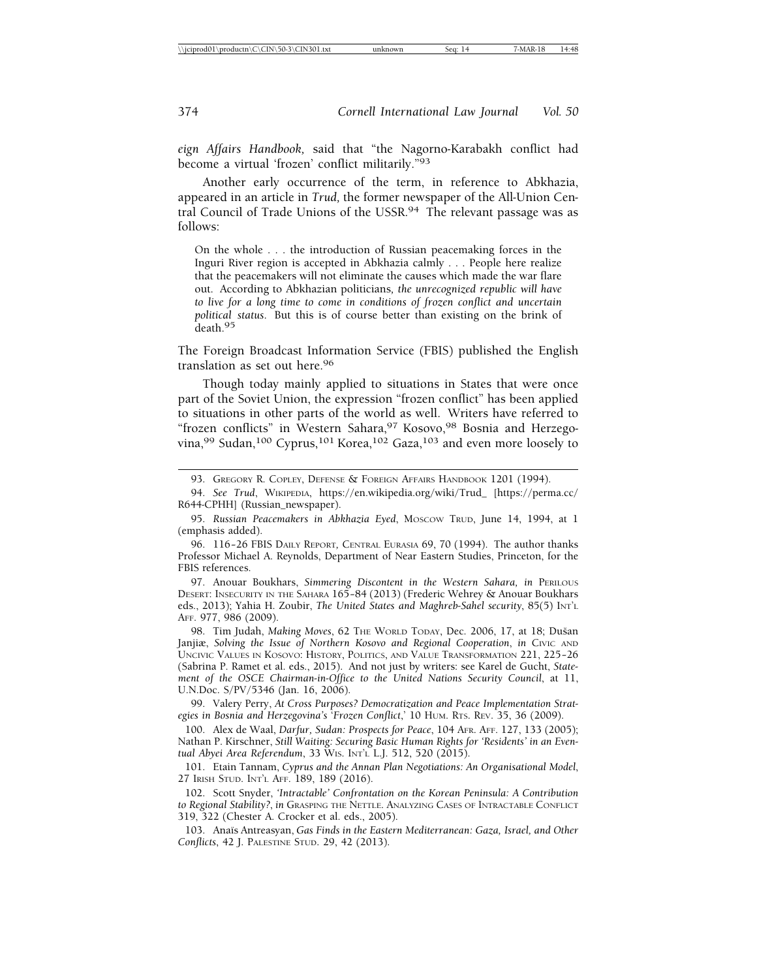*eign Affairs Handbook,* said that "the Nagorno-Karabakh conflict had become a virtual 'frozen' conflict militarily."93

Another early occurrence of the term, in reference to Abkhazia, appeared in an article in *Trud,* the former newspaper of the All-Union Central Council of Trade Unions of the USSR.94 The relevant passage was as follows:

On the whole . . . the introduction of Russian peacemaking forces in the Inguri River region is accepted in Abkhazia calmly . . . People here realize that the peacemakers will not eliminate the causes which made the war flare out. According to Abkhazian politicians*, the unrecognized republic will have to live for a long time to come in conditions of frozen conflict and uncertain political status*. But this is of course better than existing on the brink of death.<sup>95</sup>

The Foreign Broadcast Information Service (FBIS) published the English translation as set out here.96

Though today mainly applied to situations in States that were once part of the Soviet Union, the expression "frozen conflict" has been applied to situations in other parts of the world as well. Writers have referred to "frozen conflicts" in Western Sahara, 97 Kosovo, 98 Bosnia and Herzegovina,99 Sudan,100 Cyprus,101 Korea,102 Gaza,103 and even more loosely to

97. Anouar Boukhars, *Simmering Discontent in the Western Sahara, in* PERILOUS DESERT: INSECURITY IN THE SAHARA 165– 84 (2013) (Frederic Wehrey & Anouar Boukhars eds., 2013); Yahia H. Zoubir, *The United States and Maghreb-Sahel security*, 85(5) INT'L AFF. 977, 986 (2009).

98. Tim Judah, *Making Moves*, 62 THE WORLD TODAY, Dec. 2006, 17, at 18; Dušan Janjiæ, *Solving the Issue of Northern Kosovo and Regional Cooperation*, *in* Civic AND UNCIVIC VALUES IN KOSOVO: HISTORY, POLITICS, AND VALUE TRANSFORMATION 221, 225– 26 (Sabrina P. Ramet et al. eds., 2015). And not just by writers: see Karel de Gucht, *Statement of the OSCE Chairman-in-Office to the United Nations Security Council*, at 11, U.N.Doc. S/PV/5346 (Jan. 16, 2006).

99. Valery Perry, *At Cross Purposes? Democratization and Peace Implementation Strategies in Bosnia and Herzegovina's* '*Frozen Conflict*,' 10 HUM. RTS. REV. 35, 36 (2009).

100. Alex de Waal, *Darfur, Sudan: Prospects for Peace*, 104 AFR. AFF. 127, 133 (2005); Nathan P. Kirschner, *Still Waiting: Securing Basic Human Rights for 'Residents' in an Eventual Abyei Area Referendum*, 33 WIS. INT'L L.J. 512, 520 (2015).

101. Etain Tannam, *Cyprus and the Annan Plan Negotiations: An Organisational Model*, 27 IRISH STUD. INT'L AFF. 189, 189 (2016).

102. Scott Snyder, *'Intractable' Confrontation on the Korean Peninsula: A Contribution to Regional Stability?*, *in* GRASPING THE NETTLE. ANALYZING CASES OF INTRACTABLE CONFLICT 319, 322 (Chester A. Crocker et al. eds., 2005).

103. Ana¨ıs Antreasyan, *Gas Finds in the Eastern Mediterranean: Gaza, Israel, and Other Conflicts*, 42 J. PALESTINE STUD. 29, 42 (2013).

<sup>93.</sup> GREGORY R. COPLEY, DEFENSE & FOREIGN AFFAIRS HANDBOOK 1201 (1994).

<sup>94.</sup> *See Trud*, WIKIPEDIA, https://en.wikipedia.org/wiki/Trud\_ [https://perma.cc/ R644-CPHH] (Russian\_newspaper).

<sup>95.</sup> *Russian Peacemakers in Abkhazia Eyed*, MOSCOW TRUD, June 14, 1994, at 1 (emphasis added).

<sup>96. 116– 26</sup> FBIS DAILY REPORT*,* CENTRAL EURASIA 69, 70 (1994). The author thanks Professor Michael A. Reynolds, Department of Near Eastern Studies, Princeton, for the FBIS references.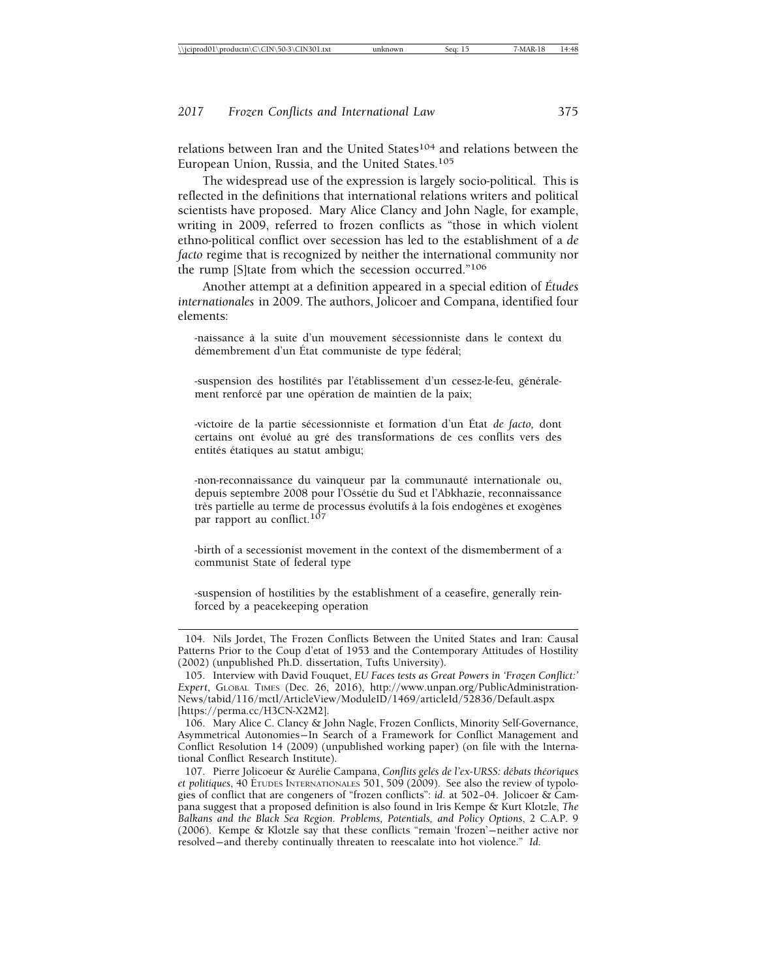relations between Iran and the United States<sup>104</sup> and relations between the European Union, Russia, and the United States.105

The widespread use of the expression is largely socio-political. This is reflected in the definitions that international relations writers and political scientists have proposed. Mary Alice Clancy and John Nagle, for example, writing in 2009, referred to frozen conflicts as "those in which violent ethno-political conflict over secession has led to the establishment of a *de facto* regime that is recognized by neither the international community nor the rump [S]tate from which the secession occurred."106

Another attempt at a definition appeared in a special edition of *Etudes ´ internationales* in 2009. The authors, Jolicoer and Compana, identified four elements:

-naissance à la suite d'un mouvement sécessionniste dans le context du démembrement d'un État communiste de type fédéral;

-suspension des hostilités par l'établissement d'un cessez-le-feu, généralement renforcé par une opération de maintien de la paix;

-victoire de la partie sécessionniste et formation d'un État de facto, dont certains ont évolué au gré des transformations de ces conflits vers des entités étatiques au statut ambigu;

-non-reconnaissance du vainqueur par la communauté internationale ou, depuis septembre 2008 pour l'Ossétie du Sud et l'Abkhazie, reconnaissance très partielle au terme de processus évolutifs à la fois endogènes et exogènes par rapport au conflict.<sup>107</sup>

-birth of a secessionist movement in the context of the dismemberment of a communist State of federal type

-suspension of hostilities by the establishment of a ceasefire, generally reinforced by a peacekeeping operation

106. Mary Alice C. Clancy & John Nagle, Frozen Conflicts, Minority Self-Governance, Asymmetrical Autonomies— In Search of a Framework for Conflict Management and Conflict Resolution 14 (2009) (unpublished working paper) (on file with the International Conflict Research Institute).

107. Pierre Jolicoeur & Aurélie Campana, *Conflits gelés de l'ex-URSS: débats théoriques et politiques*, 40 ÉTUDES INTERNATIONALES 501, 509 (2009). See also the review of typologies of conflict that are congeners of "frozen conflicts": *id.* at 502– 04. Jolicoer & Campana suggest that a proposed definition is also found in Iris Kempe & Kurt Klotzle, *The Balkans and the Black Sea Region. Problems, Potentials, and Policy Options*, 2 C.A.P. 9 (2006). Kempe & Klotzle say that these conflicts "remain 'frozen'— neither active nor resolved— and thereby continually threaten to reescalate into hot violence." *Id.*

<sup>104.</sup> Nils Jordet, The Frozen Conflicts Between the United States and Iran: Causal Patterns Prior to the Coup d'etat of 1953 and the Contemporary Attitudes of Hostility (2002) (unpublished Ph.D. dissertation, Tufts University).

<sup>105.</sup> Interview with David Fouquet, *EU Faces tests as Great Powers in 'Frozen Conflict:' Expert*, GLOBAL TIMES (Dec. 26, 2016), http://www.unpan.org/PublicAdministration-News/tabid/116/mctl/ArticleView/ModuleID/1469/articleId/52836/Default.aspx [https://perma.cc/H3CN-X2M2].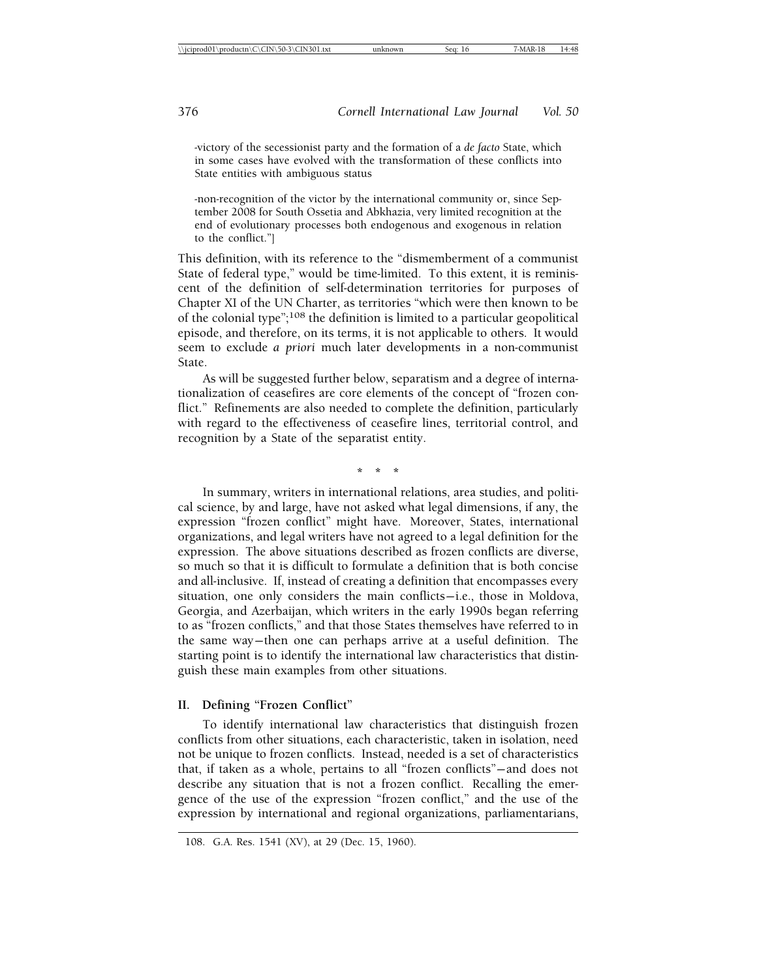-victory of the secessionist party and the formation of a *de facto* State, which in some cases have evolved with the transformation of these conflicts into State entities with ambiguous status

-non-recognition of the victor by the international community or, since September 2008 for South Ossetia and Abkhazia, very limited recognition at the end of evolutionary processes both endogenous and exogenous in relation to the conflict."]

This definition, with its reference to the "dismemberment of a communist State of federal type," would be time-limited. To this extent, it is reminiscent of the definition of self-determination territories for purposes of Chapter XI of the UN Charter, as territories "which were then known to be of the colonial type";108 the definition is limited to a particular geopolitical episode, and therefore, on its terms, it is not applicable to others. It would seem to exclude *a priori* much later developments in a non-communist State.

As will be suggested further below, separatism and a degree of internationalization of ceasefires are core elements of the concept of "frozen conflict." Refinements are also needed to complete the definition, particularly with regard to the effectiveness of ceasefire lines, territorial control, and recognition by a State of the separatist entity.

**\*\*\***

In summary, writers in international relations, area studies, and political science, by and large, have not asked what legal dimensions, if any, the expression "frozen conflict" might have. Moreover, States, international organizations, and legal writers have not agreed to a legal definition for the expression. The above situations described as frozen conflicts are diverse, so much so that it is difficult to formulate a definition that is both concise and all-inclusive. If, instead of creating a definition that encompasses every situation, one only considers the main conflicts-i.e., those in Moldova, Georgia, and Azerbaijan, which writers in the early 1990s began referring to as "frozen conflicts," and that those States themselves have referred to in the same way— then one can perhaps arrive at a useful definition. The starting point is to identify the international law characteristics that distinguish these main examples from other situations.

#### **II. Defining "Frozen Conflict"**

To identify international law characteristics that distinguish frozen conflicts from other situations, each characteristic, taken in isolation, need not be unique to frozen conflicts. Instead, needed is a set of characteristics that, if taken as a whole, pertains to all "frozen conflicts"— and does not describe any situation that is not a frozen conflict. Recalling the emergence of the use of the expression "frozen conflict," and the use of the expression by international and regional organizations, parliamentarians,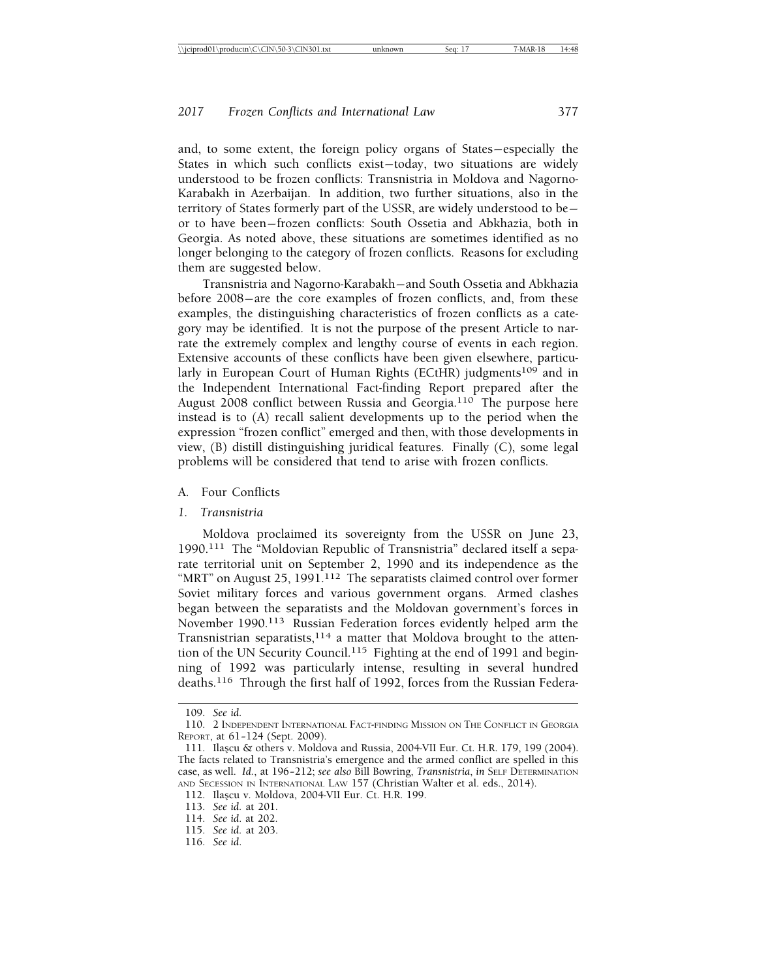and, to some extent, the foreign policy organs of States— especially the States in which such conflicts exist— today, two situations are widely understood to be frozen conflicts: Transnistria in Moldova and Nagorno-Karabakh in Azerbaijan. In addition, two further situations, also in the territory of States formerly part of the USSR, are widely understood to be or to have been— frozen conflicts: South Ossetia and Abkhazia, both in Georgia. As noted above, these situations are sometimes identified as no longer belonging to the category of frozen conflicts. Reasons for excluding them are suggested below.

Transnistria and Nagorno-Karabakh— and South Ossetia and Abkhazia before 2008— are the core examples of frozen conflicts, and, from these examples, the distinguishing characteristics of frozen conflicts as a category may be identified. It is not the purpose of the present Article to narrate the extremely complex and lengthy course of events in each region. Extensive accounts of these conflicts have been given elsewhere, particularly in European Court of Human Rights (ECtHR) judgments<sup>109</sup> and in the Independent International Fact-finding Report prepared after the August 2008 conflict between Russia and Georgia.<sup>110</sup> The purpose here instead is to (A) recall salient developments up to the period when the expression "frozen conflict" emerged and then, with those developments in view, (B) distill distinguishing juridical features. Finally (C), some legal problems will be considered that tend to arise with frozen conflicts.

#### A. Four Conflicts

#### *1. Transnistria*

Moldova proclaimed its sovereignty from the USSR on June 23, 1990.111 The "Moldovian Republic of Transnistria" declared itself a separate territorial unit on September 2, 1990 and its independence as the "MRT" on August 25, 1991.<sup>112</sup> The separatists claimed control over former Soviet military forces and various government organs. Armed clashes began between the separatists and the Moldovan government's forces in November 1990.113 Russian Federation forces evidently helped arm the Transnistrian separatists,  $114$  a matter that Moldova brought to the attention of the UN Security Council.<sup>115</sup> Fighting at the end of 1991 and beginning of 1992 was particularly intense, resulting in several hundred deaths.116 Through the first half of 1992, forces from the Russian Federa-

<sup>109.</sup> *See id.*

<sup>110. 2</sup> INDEPENDENT INTERNATIONAL FACT-FINDING MISSION ON THE CONFLICT IN GEORGIA REPORT, at 61-124 (Sept. 2009).

<sup>111.</sup> Ila¸scu & others v. Moldova and Russia, 2004-VII Eur. Ct. H.R. 179, 199 (2004). The facts related to Transnistria's emergence and the armed conflict are spelled in this case, as well. *Id.*, at 196– 212; *see also* Bill Bowring, *Transnistria*, *in* SELF DETERMINATION AND SECESSION IN INTERNATIONAL LAW 157 (Christian Walter et al. eds., 2014).

<sup>112.</sup> Ila¸scu v. Moldova, 2004-VII Eur. Ct. H.R. 199.

<sup>113.</sup> *See id.* at 201*.*

<sup>114.</sup> *See id*. at 202.

<sup>115.</sup> *See id.* at 203.

<sup>116.</sup> *See id*.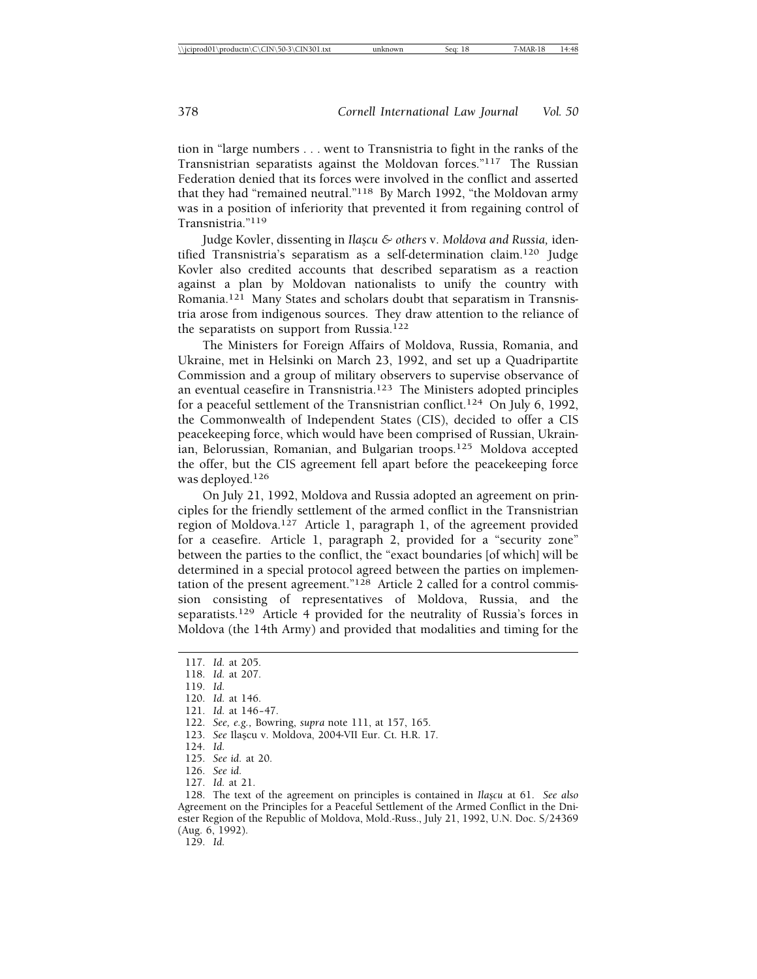tion in "large numbers . . . went to Transnistria to fight in the ranks of the Transnistrian separatists against the Moldovan forces."117 The Russian Federation denied that its forces were involved in the conflict and asserted that they had "remained neutral."118 By March 1992, "the Moldovan army was in a position of inferiority that prevented it from regaining control of Transnistria."119

Judge Kovler, dissenting in *Ila¸scu & others* v. *Moldova and Russia,* identified Transnistria's separatism as a self-determination claim.120 Judge Kovler also credited accounts that described separatism as a reaction against a plan by Moldovan nationalists to unify the country with Romania.121 Many States and scholars doubt that separatism in Transnistria arose from indigenous sources. They draw attention to the reliance of the separatists on support from Russia.<sup>122</sup>

The Ministers for Foreign Affairs of Moldova, Russia, Romania, and Ukraine, met in Helsinki on March 23, 1992, and set up a Quadripartite Commission and a group of military observers to supervise observance of an eventual ceasefire in Transnistria.123 The Ministers adopted principles for a peaceful settlement of the Transnistrian conflict.<sup>124</sup> On July 6, 1992, the Commonwealth of Independent States (CIS), decided to offer a CIS peacekeeping force, which would have been comprised of Russian, Ukrainian, Belorussian, Romanian, and Bulgarian troops.125 Moldova accepted the offer, but the CIS agreement fell apart before the peacekeeping force was deployed.126

On July 21, 1992, Moldova and Russia adopted an agreement on principles for the friendly settlement of the armed conflict in the Transnistrian region of Moldova.<sup>127</sup> Article 1, paragraph 1, of the agreement provided for a ceasefire. Article 1, paragraph 2, provided for a "security zone" between the parties to the conflict, the "exact boundaries [of which] will be determined in a special protocol agreed between the parties on implementation of the present agreement."128 Article 2 called for a control commission consisting of representatives of Moldova, Russia, and the separatists.<sup>129</sup> Article 4 provided for the neutrality of Russia's forces in Moldova (the 14th Army) and provided that modalities and timing for the

127. *Id.* at 21.

128. The text of the agreement on principles is contained in *Ila¸scu* at 61. *See also* Agreement on the Principles for a Peaceful Settlement of the Armed Conflict in the Dniester Region of the Republic of Moldova, Mold.-Russ., July 21, 1992, U.N. Doc. S/24369 (Aug. 6, 1992).

129. *Id.*

<sup>117.</sup> *Id.* at 205. 118. *Id.* at 207. 119. *Id.* 120. *Id.* at 146. 121. *Id.* at 146-47. 122. *See, e.g.,* Bowring, *supra* note 111, at 157, 165. 123. *See* Ila¸scu v. Moldova, 2004-VII Eur. Ct. H.R. 17. 124. *Id.*

<sup>125.</sup> *See id.* at 20.

<sup>126.</sup> *See id.*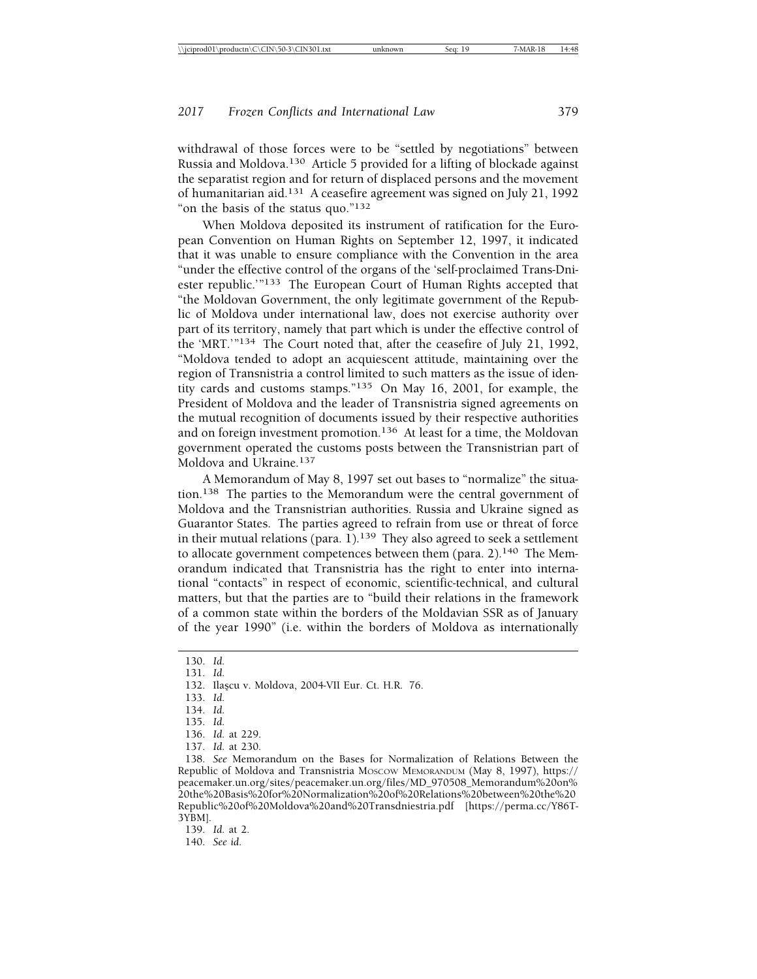withdrawal of those forces were to be "settled by negotiations" between Russia and Moldova.130 Article 5 provided for a lifting of blockade against the separatist region and for return of displaced persons and the movement of humanitarian aid.131 A ceasefire agreement was signed on July 21, 1992 "on the basis of the status quo."132

When Moldova deposited its instrument of ratification for the European Convention on Human Rights on September 12, 1997, it indicated that it was unable to ensure compliance with the Convention in the area "under the effective control of the organs of the 'self-proclaimed Trans-Dniester republic.'"133 The European Court of Human Rights accepted that "the Moldovan Government, the only legitimate government of the Republic of Moldova under international law, does not exercise authority over part of its territory, namely that part which is under the effective control of the 'MRT.'"134 The Court noted that, after the ceasefire of July 21, 1992, "Moldova tended to adopt an acquiescent attitude, maintaining over the region of Transnistria a control limited to such matters as the issue of identity cards and customs stamps."135 On May 16, 2001, for example, the President of Moldova and the leader of Transnistria signed agreements on the mutual recognition of documents issued by their respective authorities and on foreign investment promotion.136 At least for a time, the Moldovan government operated the customs posts between the Transnistrian part of Moldova and Ukraine.<sup>137</sup>

A Memorandum of May 8, 1997 set out bases to "normalize" the situation.138 The parties to the Memorandum were the central government of Moldova and the Transnistrian authorities. Russia and Ukraine signed as Guarantor States. The parties agreed to refrain from use or threat of force in their mutual relations (para.  $1$ ).<sup>139</sup> They also agreed to seek a settlement to allocate government competences between them (para. 2).140 The Memorandum indicated that Transnistria has the right to enter into international "contacts" in respect of economic, scientific-technical, and cultural matters, but that the parties are to "build their relations in the framework of a common state within the borders of the Moldavian SSR as of January of the year 1990" (i.e. within the borders of Moldova as internationally

<sup>130.</sup> *Id.*

<sup>131.</sup> *Id.*

<sup>132.</sup> Ila¸scu v. Moldova, 2004-VII Eur. Ct. H.R. 76.

<sup>133.</sup> *Id.*

<sup>134.</sup> *Id.*

<sup>135.</sup> *Id.*

<sup>136.</sup> *Id.* at 229.

<sup>137.</sup> *Id.* at 230.

<sup>138.</sup> *See* Memorandum on the Bases for Normalization of Relations Between the Republic of Moldova and Transnistria MOSCOW MEMORANDUM (May 8, 1997), https:// peacemaker.un.org/sites/peacemaker.un.org/files/MD\_970508\_Memorandum%20on% 20the%20Basis%20for%20Normalization%20of%20Relations%20between%20the%20 Republic%20of%20Moldova%20and%20Transdniestria.pdf [https://perma.cc/Y86T-3YBM].

<sup>139.</sup> *Id.* at 2.

<sup>140.</sup> *See id.*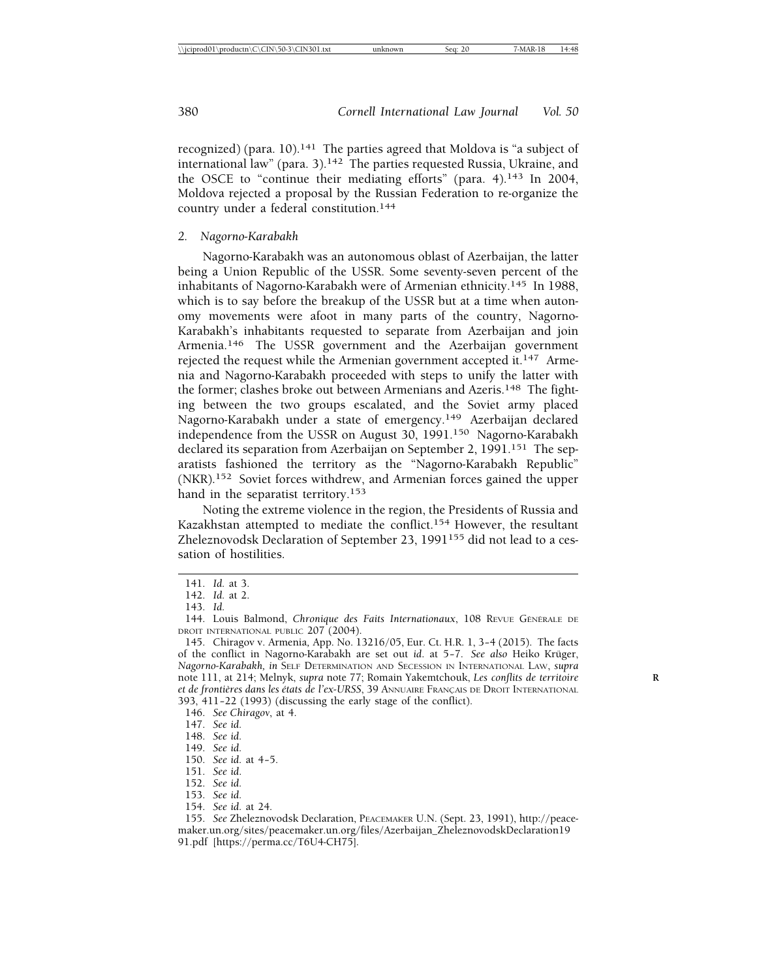recognized) (para.  $10$ ).<sup>141</sup> The parties agreed that Moldova is "a subject of international law" (para. 3).142 The parties requested Russia, Ukraine, and the OSCE to "continue their mediating efforts" (para. 4).143 In 2004, Moldova rejected a proposal by the Russian Federation to re-organize the country under a federal constitution.144

#### *2. Nagorno-Karabakh*

Nagorno-Karabakh was an autonomous oblast of Azerbaijan, the latter being a Union Republic of the USSR. Some seventy-seven percent of the inhabitants of Nagorno-Karabakh were of Armenian ethnicity.145 In 1988, which is to say before the breakup of the USSR but at a time when autonomy movements were afoot in many parts of the country, Nagorno-Karabakh's inhabitants requested to separate from Azerbaijan and join Armenia.146 The USSR government and the Azerbaijan government rejected the request while the Armenian government accepted it.<sup>147</sup> Armenia and Nagorno-Karabakh proceeded with steps to unify the latter with the former; clashes broke out between Armenians and Azeris.<sup>148</sup> The fighting between the two groups escalated, and the Soviet army placed Nagorno-Karabakh under a state of emergency.149 Azerbaijan declared independence from the USSR on August 30, 1991.150 Nagorno-Karabakh declared its separation from Azerbaijan on September 2, 1991.<sup>151</sup> The separatists fashioned the territory as the "Nagorno-Karabakh Republic" (NKR).152 Soviet forces withdrew, and Armenian forces gained the upper hand in the separatist territory.<sup>153</sup>

Noting the extreme violence in the region, the Presidents of Russia and Kazakhstan attempted to mediate the conflict.154 However, the resultant Zheleznovodsk Declaration of September 23, 1991<sup>155</sup> did not lead to a cessation of hostilities.

146. *See Chiragov*, at 4.

154. *See id.* at 24.

<sup>141.</sup> *Id.* at 3.

<sup>142.</sup> *Id.* at 2.

<sup>143.</sup> *Id.*

<sup>144.</sup> Louis Balmond, *Chronique des Faits Internationaux*, 108 REVUE GÉNÉRALE DE DROIT INTERNATIONAL PUBLIC 207 (2004).

<sup>145.</sup> Chiragov v. Armenia*,* App. No. 13216/05, Eur. Ct. H.R. 1, 3– 4 (2015). The facts of the conflict in Nagorno-Karabakh are set out *id*. at 5-7. See also Heiko Krüger, *Nagorno-Karabakh, in* SELF DETERMINATION AND SECESSION IN INTERNATIONAL LAW, *supra* note 111, at 214; Melnyk, *supra* note 77; Romain Yakemtchouk, *Les conflits de territoire* **R** *et de frontières dans les états de l'ex-URSS*, 39 ANNUAIRE FRANÇAIS DE DROIT INTERNATIONAL 393, 411– 22 (1993) (discussing the early stage of the conflict).

<sup>147.</sup> *See id.*

<sup>148.</sup> *See id.*

<sup>149.</sup> *See id.*

<sup>150.</sup> *See id.* at 4-5.

<sup>151.</sup> *See id*.

<sup>152.</sup> *See id.*

<sup>153.</sup> *See id.*

<sup>155.</sup> *See* Zheleznovodsk Declaration, PEACEMAKER U.N. (Sept. 23, 1991), http://peacemaker.un.org/sites/peacemaker.un.org/files/Azerbaijan\_ZheleznovodskDeclaration19 91.pdf [https://perma.cc/T6U4-CH75].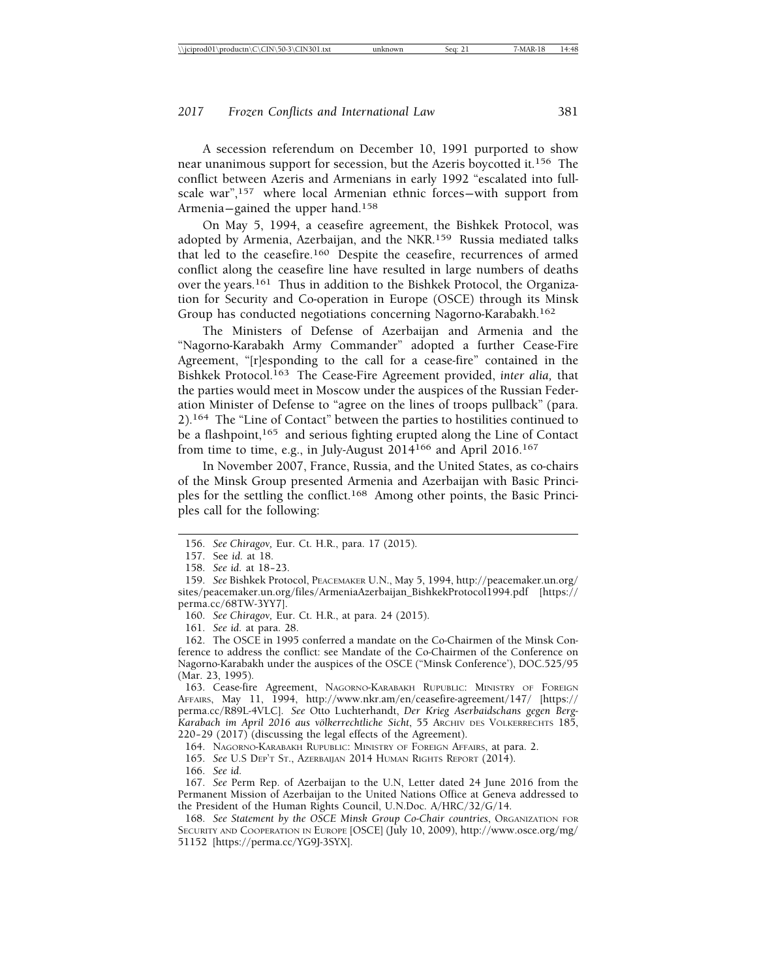A secession referendum on December 10, 1991 purported to show near unanimous support for secession, but the Azeris boycotted it.156 The conflict between Azeris and Armenians in early 1992 "escalated into fullscale war",<sup>157</sup> where local Armenian ethnic forces—with support from Armenia-gained the upper hand.<sup>158</sup>

On May 5, 1994, a ceasefire agreement, the Bishkek Protocol, was adopted by Armenia, Azerbaijan, and the NKR.159 Russia mediated talks that led to the ceasefire.160 Despite the ceasefire, recurrences of armed conflict along the ceasefire line have resulted in large numbers of deaths over the years.161 Thus in addition to the Bishkek Protocol, the Organization for Security and Co-operation in Europe (OSCE) through its Minsk Group has conducted negotiations concerning Nagorno-Karabakh.162

The Ministers of Defense of Azerbaijan and Armenia and the "Nagorno-Karabakh Army Commander" adopted a further Cease-Fire Agreement, "[r]esponding to the call for a cease-fire" contained in the Bishkek Protocol.163 The Cease-Fire Agreement provided, *inter alia,* that the parties would meet in Moscow under the auspices of the Russian Federation Minister of Defense to "agree on the lines of troops pullback" (para. 2).164 The "Line of Contact" between the parties to hostilities continued to be a flashpoint,<sup>165</sup> and serious fighting erupted along the Line of Contact from time to time, e.g., in July-August 2014166 and April 2016.167

In November 2007, France, Russia, and the United States, as co-chairs of the Minsk Group presented Armenia and Azerbaijan with Basic Principles for the settling the conflict.168 Among other points, the Basic Principles call for the following:

161. *See id.* at para. 28.

162. The OSCE in 1995 conferred a mandate on the Co-Chairmen of the Minsk Conference to address the conflict: see Mandate of the Co-Chairmen of the Conference on Nagorno-Karabakh under the auspices of the OSCE ("Minsk Conference'), DOC.525/95 (Mar. 23, 1995).

163. Cease-fire Agreement, NAGORNO-KARABAKH RUPUBLIC: MINISTRY OF FOREIGN AFFAIRS, May 11, 1994, http://www.nkr.am/en/ceasefire-agreement/147/ [https:// perma.cc/R89L-4VLC]. *See* Otto Luchterhandt, *Der Krieg Aserbaidschans gegen Berg-*Karabach im April 2016 aus völkerrechtliche Sicht, 55 ARCHIV DES VÖLKERRECHTS 185,  $220-29$   $(2017)$  (discussing the legal effects of the Agreement).

164. NAGORNO-KARABAKH RUPUBLIC: MINISTRY OF FOREIGN AFFAIRS, at para. 2.

165. *See* U.S DEP'T ST., AZERBAIJAN 2014 HUMAN RIGHTS REPORT (2014).

166. *See id.*

167. *See* Perm Rep. of Azerbaijan to the U.N, Letter dated 24 June 2016 from the Permanent Mission of Azerbaijan to the United Nations Office at Geneva addressed to the President of the Human Rights Council, U.N.Doc. A/HRC/32/G/14.

168. *See Statement by the OSCE Minsk Group Co-Chair countries*, ORGANIZATION FOR SECURITY AND COOPERATION IN EUROPE [OSCE] (July 10, 2009), http://www.osce.org/mg/ 51152 [https://perma.cc/YG9J-3SYX].

<sup>156.</sup> *See Chiragov,* Eur. Ct. H.R., para. 17 (2015).

<sup>157.</sup> See *id.* at 18.

<sup>158.</sup> See id. at 18-23.

<sup>159.</sup> *See* Bishkek Protocol, PEACEMAKER U.N., May 5, 1994, http://peacemaker.un.org/ sites/peacemaker.un.org/files/ArmeniaAzerbaijan\_BishkekProtocol1994.pdf [https:// perma.cc/68TW-3YY7].

<sup>160.</sup> *See Chiragov,* Eur. Ct. H.R., at para. 24 (2015).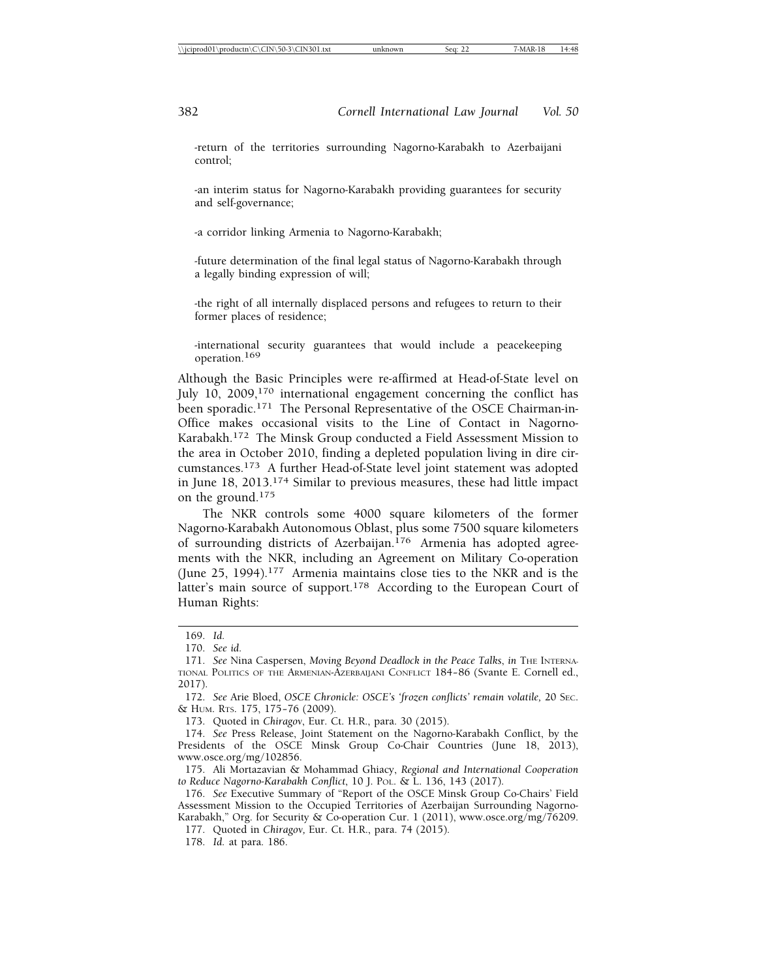-return of the territories surrounding Nagorno-Karabakh to Azerbaijani control;

-an interim status for Nagorno-Karabakh providing guarantees for security and self-governance;

-a corridor linking Armenia to Nagorno-Karabakh;

-future determination of the final legal status of Nagorno-Karabakh through a legally binding expression of will;

-the right of all internally displaced persons and refugees to return to their former places of residence;

-international security guarantees that would include a peacekeeping operation.169

Although the Basic Principles were re-affirmed at Head-of-State level on July 10, 2009,<sup>170</sup> international engagement concerning the conflict has been sporadic.171 The Personal Representative of the OSCE Chairman-in-Office makes occasional visits to the Line of Contact in Nagorno-Karabakh.172 The Minsk Group conducted a Field Assessment Mission to the area in October 2010, finding a depleted population living in dire circumstances.173 A further Head-of-State level joint statement was adopted in June 18, 2013.174 Similar to previous measures, these had little impact on the ground.175

The NKR controls some 4000 square kilometers of the former Nagorno-Karabakh Autonomous Oblast, plus some 7500 square kilometers of surrounding districts of Azerbaijan.<sup>176</sup> Armenia has adopted agreements with the NKR, including an Agreement on Military Co-operation (June 25, 1994).177 Armenia maintains close ties to the NKR and is the latter's main source of support.<sup>178</sup> According to the European Court of Human Rights:

177. Quoted in *Chiragov,* Eur. Ct. H.R., para. 74 (2015).

<sup>169.</sup> *Id.*

<sup>170.</sup> *See id.*

<sup>171.</sup> *See* Nina Caspersen, *Moving Beyond Deadlock in the Peace Talks*, *in* THE INTERNA-TIONAL POLITICS OF THE ARMENIAN-AZERBAIJANI CONFLICT 184– 86 (Svante E. Cornell ed., 2017).

<sup>172.</sup> *See* Arie Bloed, *OSCE Chronicle: OSCE's 'frozen conflicts' remain volatile,* 20 SEC. & HUM. RTS. 175, 175– 76 (2009).

<sup>173.</sup> Quoted in *Chiragov*, Eur. Ct. H.R., para. 30 (2015).

<sup>174.</sup> *See* Press Release, Joint Statement on the Nagorno-Karabakh Conflict, by the Presidents of the OSCE Minsk Group Co-Chair Countries (June 18, 2013), www.osce.org/mg/102856.

<sup>175.</sup> Ali Mortazavian & Mohammad Ghiacy, *Regional and International Cooperation to Reduce Nagorno-Karabakh Conflict*, 10 J. POL. & L. 136, 143 (2017).

<sup>176.</sup> *See* Executive Summary of "Report of the OSCE Minsk Group Co-Chairs' Field Assessment Mission to the Occupied Territories of Azerbaijan Surrounding Nagorno-Karabakh," Org. for Security & Co-operation Cur. 1 (2011), www.osce.org/mg/76209.

<sup>178.</sup> *Id.* at para. 186.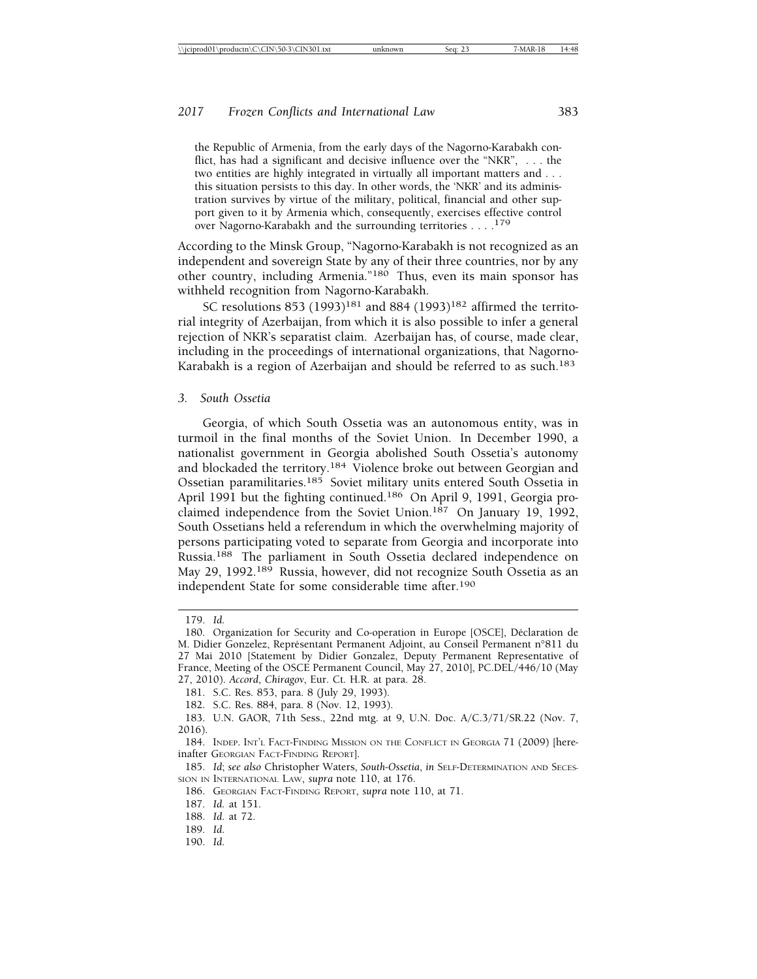the Republic of Armenia, from the early days of the Nagorno-Karabakh conflict, has had a significant and decisive influence over the "NKR", . . . the two entities are highly integrated in virtually all important matters and . . . this situation persists to this day. In other words, the 'NKR' and its administration survives by virtue of the military, political, financial and other support given to it by Armenia which, consequently, exercises effective control over Nagorno-Karabakh and the surrounding territories . . . <sup>179</sup>

According to the Minsk Group, "Nagorno-Karabakh is not recognized as an independent and sovereign State by any of their three countries, nor by any other country, including Armenia."180 Thus, even its main sponsor has withheld recognition from Nagorno-Karabakh.

SC resolutions 853 (1993)<sup>181</sup> and 884 (1993)<sup>182</sup> affirmed the territorial integrity of Azerbaijan, from which it is also possible to infer a general rejection of NKR's separatist claim. Azerbaijan has, of course, made clear, including in the proceedings of international organizations, that Nagorno-Karabakh is a region of Azerbaijan and should be referred to as such.<sup>183</sup>

*3. South Ossetia*

Georgia, of which South Ossetia was an autonomous entity, was in turmoil in the final months of the Soviet Union. In December 1990, a nationalist government in Georgia abolished South Ossetia's autonomy and blockaded the territory.<sup>184</sup> Violence broke out between Georgian and Ossetian paramilitaries.<sup>185</sup> Soviet military units entered South Ossetia in April 1991 but the fighting continued.<sup>186</sup> On April 9, 1991, Georgia proclaimed independence from the Soviet Union.187 On January 19, 1992, South Ossetians held a referendum in which the overwhelming majority of persons participating voted to separate from Georgia and incorporate into Russia.<sup>188</sup> The parliament in South Ossetia declared independence on May 29, 1992.<sup>189</sup> Russia, however, did not recognize South Ossetia as an independent State for some considerable time after.190

190. *Id.*

<sup>179.</sup> *Id.*

<sup>180.</sup> Organization for Security and Co-operation in Europe [OSCE], Déclaration de M. Didier Gonzelez, Représentant Permanent Adjoint, au Conseil Permanent n°811 du 27 Mai 2010 [Statement by Didier Gonzalez, Deputy Permanent Representative of France, Meeting of the OSCE Permanent Council, May 27, 2010], PC.DEL/446/10 (May 27, 2010). *Accord*, *Chiragov*, Eur. Ct. H.R. at para. 28.

<sup>181.</sup> S.C. Res. 853, para. 8 (July 29, 1993).

<sup>182.</sup> S.C. Res. 884, para. 8 (Nov. 12, 1993).

<sup>183.</sup> U.N. GAOR, 71th Sess., 22nd mtg. at 9, U.N. Doc. A/C.3/71/SR.22 (Nov. 7, 2016).

<sup>184.</sup> INDEP. INT'L FACT-FINDING MISSION ON THE CONFLICT IN GEORGIA 71 (2009) [hereinafter GEORGIAN FACT-FINDING REPORT].

<sup>185.</sup> *Id*; *see also* Christopher Waters, *South-Ossetia*, *in* SELF-DETERMINATION AND SECES-SION IN INTERNATIONAL LAW, *supra* note 110, at 176.

<sup>186.</sup> GEORGIAN FACT-FINDING REPORT, *supra* note 110, at 71.

<sup>187.</sup> *Id.* at 151.

<sup>188.</sup> *Id.* at 72.

<sup>189.</sup> *Id.*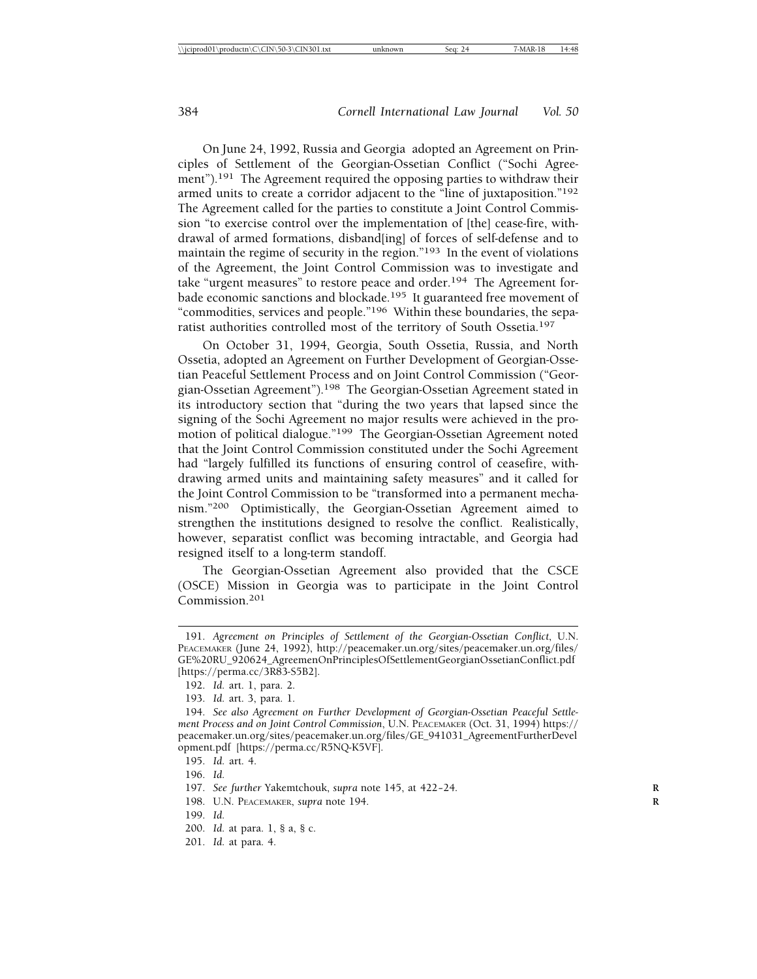On June 24, 1992, Russia and Georgia adopted an Agreement on Principles of Settlement of the Georgian-Ossetian Conflict ("Sochi Agreement").<sup>191</sup> The Agreement required the opposing parties to withdraw their armed units to create a corridor adjacent to the "line of juxtaposition."192 The Agreement called for the parties to constitute a Joint Control Commission "to exercise control over the implementation of [the] cease-fire, withdrawal of armed formations, disband[ing] of forces of self-defense and to maintain the regime of security in the region."193 In the event of violations of the Agreement, the Joint Control Commission was to investigate and take "urgent measures" to restore peace and order.194 The Agreement forbade economic sanctions and blockade.195 It guaranteed free movement of "commodities, services and people."196 Within these boundaries, the separatist authorities controlled most of the territory of South Ossetia.197

On October 31, 1994, Georgia, South Ossetia, Russia, and North Ossetia, adopted an Agreement on Further Development of Georgian-Ossetian Peaceful Settlement Process and on Joint Control Commission ("Georgian-Ossetian Agreement").198 The Georgian-Ossetian Agreement stated in its introductory section that "during the two years that lapsed since the signing of the Sochi Agreement no major results were achieved in the promotion of political dialogue."<sup>199</sup> The Georgian-Ossetian Agreement noted that the Joint Control Commission constituted under the Sochi Agreement had "largely fulfilled its functions of ensuring control of ceasefire, withdrawing armed units and maintaining safety measures" and it called for the Joint Control Commission to be "transformed into a permanent mechanism."200 Optimistically, the Georgian-Ossetian Agreement aimed to strengthen the institutions designed to resolve the conflict. Realistically, however, separatist conflict was becoming intractable, and Georgia had resigned itself to a long-term standoff.

The Georgian-Ossetian Agreement also provided that the CSCE (OSCE) Mission in Georgia was to participate in the Joint Control Commission.<sup>201</sup>

- 199. *Id.*
- 200. *Id.* at para. 1, § a, § c.
- 201. *Id.* at para. 4.

<sup>191.</sup> *Agreement on Principles of Settlement of the Georgian-Ossetian Conflict*, U.N. PEACEMAKER (June 24, 1992), http://peacemaker.un.org/sites/peacemaker.un.org/files/ GE%20RU\_920624\_AgreemenOnPrinciplesOfSettlementGeorgianOssetianConflict.pdf [https://perma.cc/3R83-S5B2].

<sup>192.</sup> *Id.* art. 1, para. 2.

<sup>193.</sup> *Id.* art. 3, para. 1.

<sup>194.</sup> *See also Agreement on Further Development of Georgian-Ossetian Peaceful Settlement Process and on Joint Control Commission*, U.N. PEACEMAKER (Oct. 31, 1994) https:// peacemaker.un.org/sites/peacemaker.un.org/files/GE\_941031\_AgreementFurtherDevel opment.pdf [https://perma.cc/R5NQ-K5VF].

<sup>195.</sup> *Id.* art. 4.

<sup>196.</sup> *Id.*

<sup>197.</sup> See further Yakemtchouk, *supra* note 145, at 422-24.

<sup>198.</sup> U.N. PEACEMAKER, *supra* note 194. **R**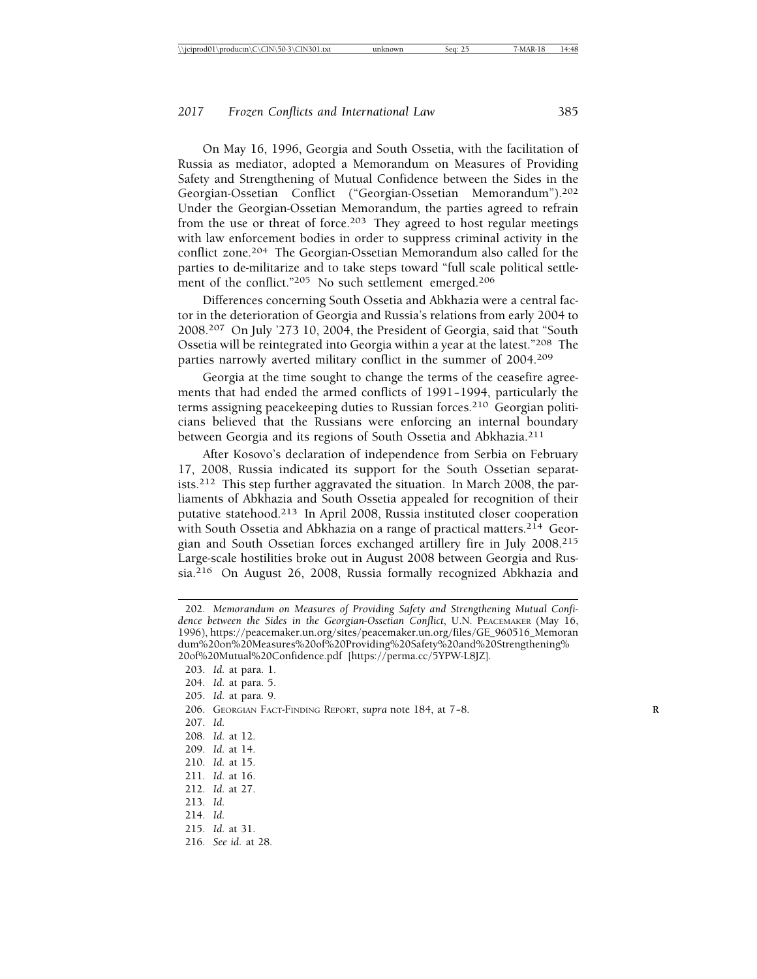On May 16, 1996, Georgia and South Ossetia, with the facilitation of Russia as mediator, adopted a Memorandum on Measures of Providing Safety and Strengthening of Mutual Confidence between the Sides in the Georgian-Ossetian Conflict ("Georgian-Ossetian Memorandum").<sup>202</sup> Under the Georgian-Ossetian Memorandum, the parties agreed to refrain from the use or threat of force.<sup>203</sup> They agreed to host regular meetings with law enforcement bodies in order to suppress criminal activity in the conflict zone.<sup>204</sup> The Georgian-Ossetian Memorandum also called for the parties to de-militarize and to take steps toward "full scale political settlement of the conflict."205 No such settlement emerged.206

Differences concerning South Ossetia and Abkhazia were a central factor in the deterioration of Georgia and Russia's relations from early 2004 to 2008.207 On July '273 10, 2004, the President of Georgia, said that "South Ossetia will be reintegrated into Georgia within a year at the latest."208 The parties narrowly averted military conflict in the summer of 2004.209

Georgia at the time sought to change the terms of the ceasefire agreements that had ended the armed conflicts of 1991– 1994, particularly the terms assigning peacekeeping duties to Russian forces.210 Georgian politicians believed that the Russians were enforcing an internal boundary between Georgia and its regions of South Ossetia and Abkhazia.<sup>211</sup>

After Kosovo's declaration of independence from Serbia on February 17, 2008, Russia indicated its support for the South Ossetian separatists.212 This step further aggravated the situation. In March 2008, the parliaments of Abkhazia and South Ossetia appealed for recognition of their putative statehood.213 In April 2008, Russia instituted closer cooperation with South Ossetia and Abkhazia on a range of practical matters.<sup>214</sup> Georgian and South Ossetian forces exchanged artillery fire in July 2008.215 Large-scale hostilities broke out in August 2008 between Georgia and Russia.216 On August 26, 2008, Russia formally recognized Abkhazia and

- 205. *Id.* at para. 9.
- 206. GEORGIAN FACT-FINDING REPORT, *supra* note 184, at 7-8.
- 207. *Id.*
- 208. *Id.* at 12.
- 209. *Id.* at 14.
- 210. *Id.* at 15.
- 211. *Id.* at 16.
- 212. *Id.* at 27.
- 213. *Id.*
- 214. *Id.*
- 215. *Id.* at 31.
- 216. *See id.* at 28.

<sup>202.</sup> *Memorandum on Measures of Providing Safety and Strengthening Mutual Confidence between the Sides in the Georgian-Ossetian Conflict*, U.N. PEACEMAKER (May 16, 1996), https://peacemaker.un.org/sites/peacemaker.un.org/files/GE\_960516\_Memoran dum%20on%20Measures%20of%20Providing%20Safety%20and%20Strengthening% 20of%20Mutual%20Confidence.pdf [https://perma.cc/5YPW-L8JZ].

<sup>203.</sup> *Id.* at para. 1.

<sup>204.</sup> *Id.* at para. 5.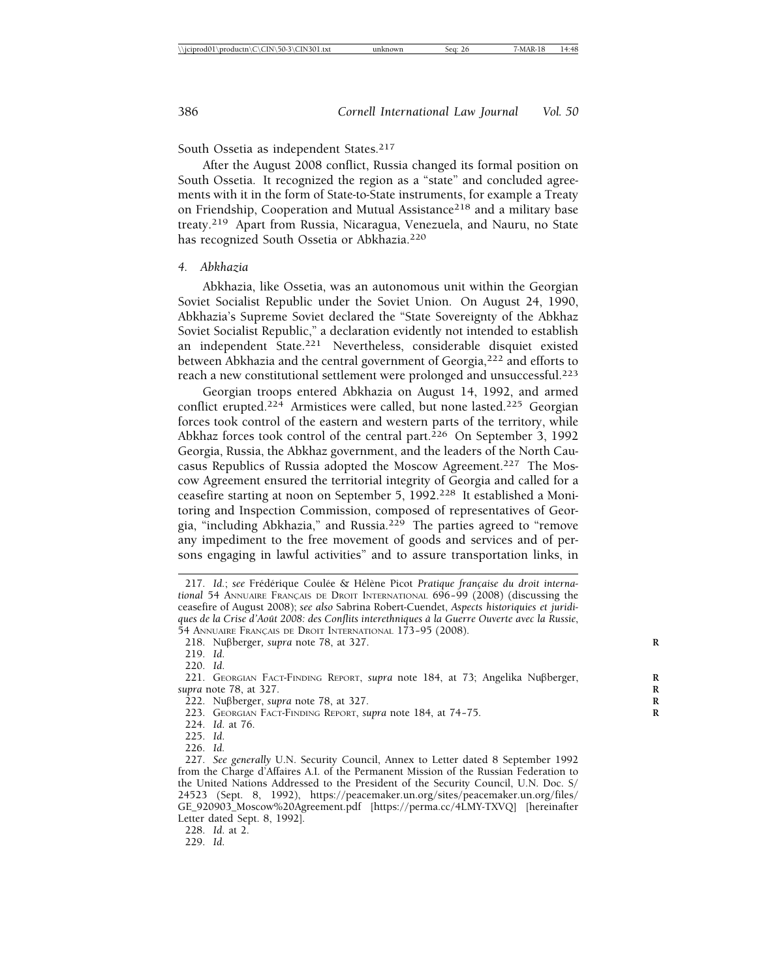South Ossetia as independent States.<sup>217</sup>

After the August 2008 conflict, Russia changed its formal position on South Ossetia. It recognized the region as a "state" and concluded agreements with it in the form of State-to-State instruments, for example a Treaty on Friendship, Cooperation and Mutual Assistance<sup>218</sup> and a military base treaty.219 Apart from Russia, Nicaragua, Venezuela, and Nauru, no State has recognized South Ossetia or Abkhazia.<sup>220</sup>

#### *4. Abkhazia*

Abkhazia, like Ossetia, was an autonomous unit within the Georgian Soviet Socialist Republic under the Soviet Union. On August 24, 1990, Abkhazia's Supreme Soviet declared the "State Sovereignty of the Abkhaz Soviet Socialist Republic," a declaration evidently not intended to establish an independent State.221 Nevertheless, considerable disquiet existed between Abkhazia and the central government of Georgia,<sup>222</sup> and efforts to reach a new constitutional settlement were prolonged and unsuccessful.223

Georgian troops entered Abkhazia on August 14, 1992, and armed conflict erupted.<sup>224</sup> Armistices were called, but none lasted.<sup>225</sup> Georgian forces took control of the eastern and western parts of the territory, while Abkhaz forces took control of the central part.<sup>226</sup> On September 3, 1992 Georgia, Russia, the Abkhaz government, and the leaders of the North Caucasus Republics of Russia adopted the Moscow Agreement.227 The Moscow Agreement ensured the territorial integrity of Georgia and called for a ceasefire starting at noon on September 5, 1992.228 It established a Monitoring and Inspection Commission, composed of representatives of Georgia, "including Abkhazia," and Russia.229 The parties agreed to "remove any impediment to the free movement of goods and services and of persons engaging in lawful activities" and to assure transportation links, in

226. *Id.*

229. *Id*.

<sup>217.</sup> Id.; see Frédérique Coulée & Hélène Picot Pratique française du droit interna*tional* 54 ANNUAIRE FRANÇAIS DE DROIT INTERNATIONAL 696-99 (2008) (discussing the ceasefire of August 2008); *see also* Sabrina Robert-Cuendet, *Aspects historiquies et juridiques de la Crise d'Aoˆut 2008: des Conflits interethniques `a la Guerre Ouverte avec la Russie*, 54 ANNUAIRE FRANÇAIS DE DROIT INTERNATIONAL 173-95 (2008).

<sup>218.</sup> Nubberger*, supra* note 78, at 327. **R**

<sup>219.</sup> *Id*.

<sup>220.</sup> *Id*.

<sup>221.</sup> GEORGIAN FACT-FINDING REPORT, *supra* note 184, at 73; Angelika Nubberger, **R** *supra* note 78, at 327. **R**

 $\overline{222}$ . Nußberger, *supra* note 78, at 327.

<sup>223.</sup> GEORGIAN FACT-FINDING REPORT, *supra* note 184, at 74-75.

<sup>224.</sup> *Id*. at 76.

<sup>225.</sup> *Id*.

<sup>227.</sup> *See generally* U.N. Security Council, Annex to Letter dated 8 September 1992 from the Charge d'Affaires A.I. of the Permanent Mission of the Russian Federation to the United Nations Addressed to the President of the Security Council, U.N. Doc. S/ 24523 (Sept. 8, 1992), https://peacemaker.un.org/sites/peacemaker.un.org/files/ GE\_920903\_Moscow%20Agreement.pdf [https://perma.cc/4LMY-TXVQ] [hereinafter Letter dated Sept. 8, 1992].

<sup>228.</sup> *Id*. at 2.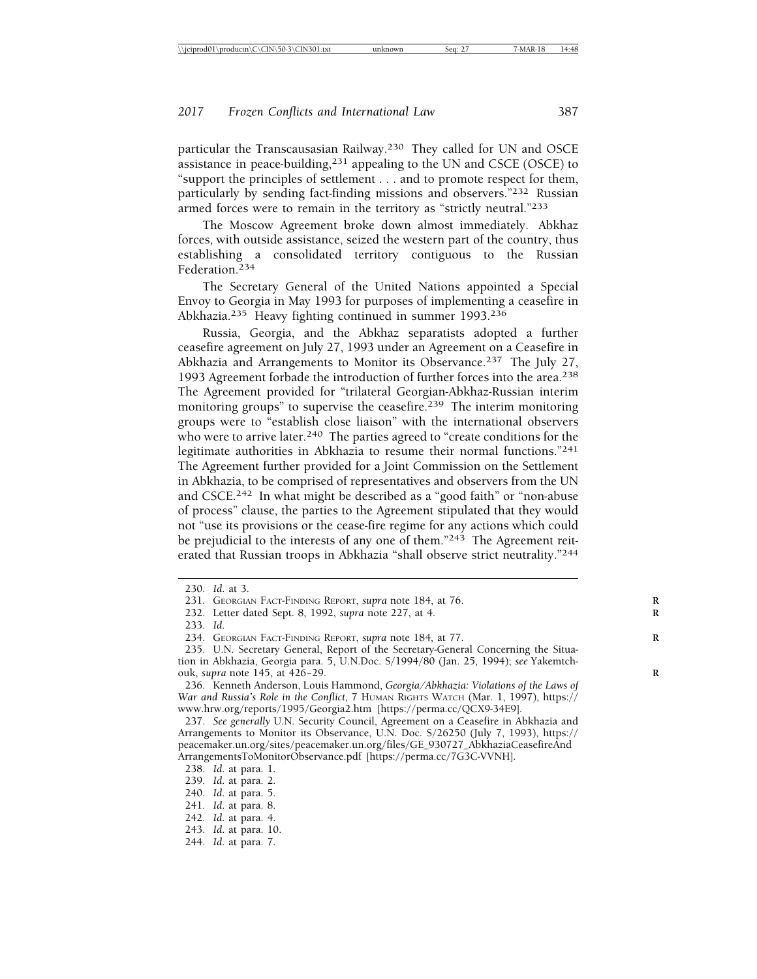particular the Transcausasian Railway.230 They called for UN and OSCE assistance in peace-building, $231$  appealing to the UN and CSCE (OSCE) to "support the principles of settlement . . . and to promote respect for them, particularly by sending fact-finding missions and observers."232 Russian armed forces were to remain in the territory as "strictly neutral."233

The Moscow Agreement broke down almost immediately. Abkhaz forces, with outside assistance, seized the western part of the country, thus establishing a consolidated territory contiguous to the Russian Federation.<sup>234</sup>

The Secretary General of the United Nations appointed a Special Envoy to Georgia in May 1993 for purposes of implementing a ceasefire in Abkhazia.235 Heavy fighting continued in summer 1993.236

Russia, Georgia, and the Abkhaz separatists adopted a further ceasefire agreement on July 27, 1993 under an Agreement on a Ceasefire in Abkhazia and Arrangements to Monitor its Observance.<sup>237</sup> The July 27, 1993 Agreement forbade the introduction of further forces into the area.<sup>238</sup> The Agreement provided for "trilateral Georgian-Abkhaz-Russian interim monitoring groups" to supervise the ceasefire.<sup>239</sup> The interim monitoring groups were to "establish close liaison" with the international observers who were to arrive later.<sup>240</sup> The parties agreed to "create conditions for the legitimate authorities in Abkhazia to resume their normal functions."241 The Agreement further provided for a Joint Commission on the Settlement in Abkhazia, to be comprised of representatives and observers from the UN and CSCE.242 In what might be described as a "good faith" or "non-abuse of process" clause, the parties to the Agreement stipulated that they would not "use its provisions or the cease-fire regime for any actions which could be prejudicial to the interests of any one of them."<sup>243</sup> The Agreement reiterated that Russian troops in Abkhazia "shall observe strict neutrality."244

<sup>230.</sup> *Id*. at 3.

<sup>231.</sup> GEORGIAN FACT-FINDING REPORT, *supra* note 184, at 76. **R**

<sup>232.</sup> Letter dated Sept. 8, 1992, *supra* note 227, at 4. **R**

<sup>233.</sup> *Id*.

<sup>234.</sup> GEORGIAN FACT-FINDING REPORT, *supra* note 184, at 77.

<sup>235.</sup> U.N. Secretary General, Report of the Secretary-General Concerning the Situation in Abkhazia, Georgia para. 5, U.N.Doc. S/1994/80 (Jan. 25, 1994); *see* Yakemtchouk, *supra* note 145, at 426-29.

<sup>236.</sup> Kenneth Anderson, Louis Hammond, *Georgia/Abkhazia: Violations of the Laws of War and Russia's Role in the Conflict*, 7 HUMAN RIGHTS WATCH (Mar. 1, 1997), https:// www.hrw.org/reports/1995/Georgia2.htm [https://perma.cc/QCX9-34E9].

<sup>237.</sup> *See generally* U.N. Security Council, Agreement on a Ceasefire in Abkhazia and Arrangements to Monitor its Observance, U.N. Doc. S/26250 (July 7, 1993), https:// peacemaker.un.org/sites/peacemaker.un.org/files/GE\_930727\_AbkhaziaCeasefireAnd ArrangementsToMonitorObservance.pdf [https://perma.cc/7G3C-VVNH].

<sup>238.</sup> *Id*. at para. 1.

<sup>239.</sup> *Id*. at para. 2.

<sup>240.</sup> *Id*. at para. 5.

<sup>241.</sup> *Id*. at para. 8.

<sup>242.</sup> *Id*. at para. 4.

<sup>243.</sup> *Id*. at para. 10.

<sup>244.</sup> *Id*. at para. 7.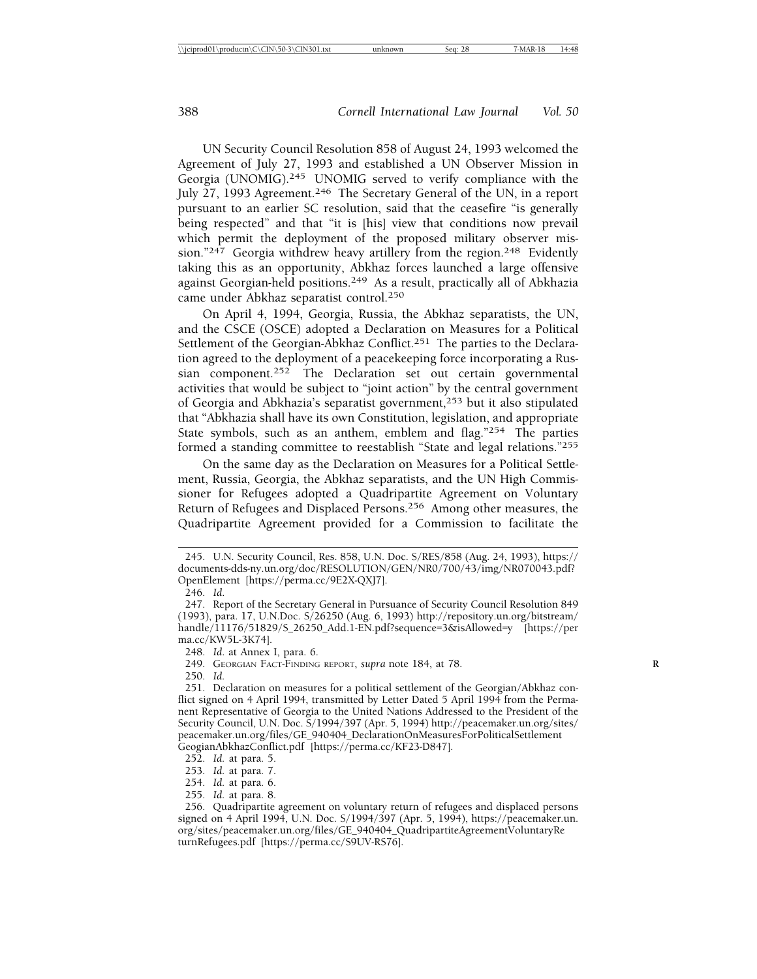UN Security Council Resolution 858 of August 24, 1993 welcomed the Agreement of July 27, 1993 and established a UN Observer Mission in Georgia (UNOMIG).<sup>245</sup> UNOMIG served to verify compliance with the July 27, 1993 Agreement.246 The Secretary General of the UN, in a report pursuant to an earlier SC resolution, said that the ceasefire "is generally being respected" and that "it is [his] view that conditions now prevail which permit the deployment of the proposed military observer mission."<sup>247</sup> Georgia withdrew heavy artillery from the region.<sup>248</sup> Evidently taking this as an opportunity, Abkhaz forces launched a large offensive against Georgian-held positions.249 As a result, practically all of Abkhazia came under Abkhaz separatist control.250

On April 4, 1994, Georgia, Russia, the Abkhaz separatists, the UN, and the CSCE (OSCE) adopted a Declaration on Measures for a Political Settlement of the Georgian-Abkhaz Conflict.<sup>251</sup> The parties to the Declaration agreed to the deployment of a peacekeeping force incorporating a Russian component.<sup>252</sup> The Declaration set out certain governmental activities that would be subject to "joint action" by the central government of Georgia and Abkhazia's separatist government,253 but it also stipulated that "Abkhazia shall have its own Constitution, legislation, and appropriate State symbols, such as an anthem, emblem and flag."254 The parties formed a standing committee to reestablish "State and legal relations."255

On the same day as the Declaration on Measures for a Political Settlement, Russia, Georgia, the Abkhaz separatists, and the UN High Commissioner for Refugees adopted a Quadripartite Agreement on Voluntary Return of Refugees and Displaced Persons.256 Among other measures, the Quadripartite Agreement provided for a Commission to facilitate the

255. *Id.* at para. 8.

<sup>245.</sup> U.N. Security Council, Res. 858, U.N. Doc. S/RES/858 (Aug. 24, 1993), https:// documents-dds-ny.un.org/doc/RESOLUTION/GEN/NR0/700/43/img/NR070043.pdf? OpenElement [https://perma.cc/9E2X-QXJ7].

<sup>246.</sup> *Id*.

<sup>247.</sup> Report of the Secretary General in Pursuance of Security Council Resolution 849 (1993), para. 17, U.N.Doc. S/26250 (Aug. 6, 1993) http://repository.un.org/bitstream/ handle/11176/51829/S\_26250\_Add.1-EN.pdf?sequence=3&isAllowed=y [https://per ma.cc/KW5L-3K74].

<sup>248.</sup> *Id*. at Annex I, para. 6.

<sup>249.</sup> GEORGIAN FACT-FINDING REPORT, *supra* note 184, at 78. **R**

<sup>250.</sup> *Id.*

<sup>251.</sup> Declaration on measures for a political settlement of the Georgian/Abkhaz conflict signed on 4 April 1994, transmitted by Letter Dated 5 April 1994 from the Permanent Representative of Georgia to the United Nations Addressed to the President of the Security Council, U.N. Doc. S/1994/397 (Apr. 5, 1994) http://peacemaker.un.org/sites/ peacemaker.un.org/files/GE\_940404\_DeclarationOnMeasuresForPoliticalSettlement GeogianAbkhazConflict.pdf [https://perma.cc/KF23-D847].

<sup>252.</sup> *Id.* at para. 5.

<sup>253.</sup> *Id.* at para. 7.

<sup>254.</sup> *Id.* at para. 6.

<sup>256.</sup> Quadripartite agreement on voluntary return of refugees and displaced persons signed on 4 April 1994, U.N. Doc. S/1994/397 (Apr. 5, 1994), https://peacemaker.un. org/sites/peacemaker.un.org/files/GE\_940404\_QuadripartiteAgreementVoluntaryRe turnRefugees.pdf [https://perma.cc/S9UV-RS76].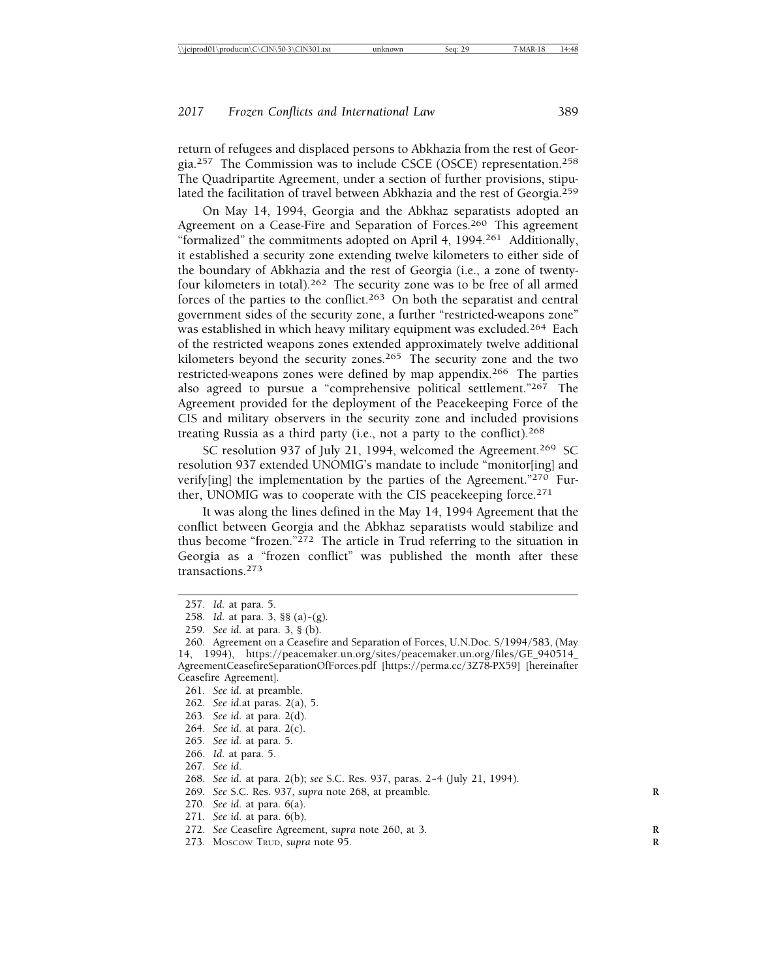return of refugees and displaced persons to Abkhazia from the rest of Georgia.257 The Commission was to include CSCE (OSCE) representation.258 The Quadripartite Agreement, under a section of further provisions, stipulated the facilitation of travel between Abkhazia and the rest of Georgia.259

On May 14, 1994, Georgia and the Abkhaz separatists adopted an Agreement on a Cease-Fire and Separation of Forces.<sup>260</sup> This agreement "formalized" the commitments adopted on April 4, 1994.261 Additionally, it established a security zone extending twelve kilometers to either side of the boundary of Abkhazia and the rest of Georgia (i.e., a zone of twentyfour kilometers in total).262 The security zone was to be free of all armed forces of the parties to the conflict.263 On both the separatist and central government sides of the security zone, a further "restricted-weapons zone" was established in which heavy military equipment was excluded.264 Each of the restricted weapons zones extended approximately twelve additional kilometers beyond the security zones.<sup>265</sup> The security zone and the two restricted-weapons zones were defined by map appendix.266 The parties also agreed to pursue a "comprehensive political settlement."267 The Agreement provided for the deployment of the Peacekeeping Force of the CIS and military observers in the security zone and included provisions treating Russia as a third party (i.e., not a party to the conflict).<sup>268</sup>

SC resolution 937 of July 21, 1994, welcomed the Agreement.<sup>269</sup> SC resolution 937 extended UNOMIG's mandate to include "monitor[ing] and verify[ing] the implementation by the parties of the Agreement."<sup>270</sup> Further, UNOMIG was to cooperate with the CIS peacekeeping force.<sup>271</sup>

It was along the lines defined in the May 14, 1994 Agreement that the conflict between Georgia and the Abkhaz separatists would stabilize and thus become "frozen." $^{272}$  The article in Trud referring to the situation in Georgia as a "frozen conflict" was published the month after these transactions.<sup>273</sup>

- 262. *See id.*at paras. 2(a), 5.
- 263. *See id.* at para. 2(d).
- 264. *See id.* at para. 2(c).
- 265. *See id.* at para. 5.
- 266. *Id.* at para. 5.
- 267. *See id.*

- 269. *See* S.C. Res. 937, *supra* note 268, at preamble. **R**
- 270. *See id.* at para. 6(a).
- 271. *See id.* at para. 6(b).
- 272. *See* Ceasefire Agreement, *supra* note 260, at 3. **R**
- 273. MOSCOW TRUD, *supra* note 95. **R**

<sup>257.</sup> *Id.* at para. 5.

<sup>258.</sup> *Id.* at para. 3, §§ (a)– (g).

<sup>259.</sup> *See id.* at para. 3, § (b).

<sup>260.</sup> Agreement on a Ceasefire and Separation of Forces, U.N.Doc. S/1994/583, (May 14, 1994), https://peacemaker.un.org/sites/peacemaker.un.org/files/GE\_940514\_ AgreementCeasefireSeparationOfForces.pdf [https://perma.cc/3Z78-PX59] [hereinafter Ceasefire Agreement].

<sup>261.</sup> *See id.* at preamble.

<sup>268.</sup> *See id.* at para. 2(b); *see* S.C. Res. 937, paras. 2-4 (July 21, 1994).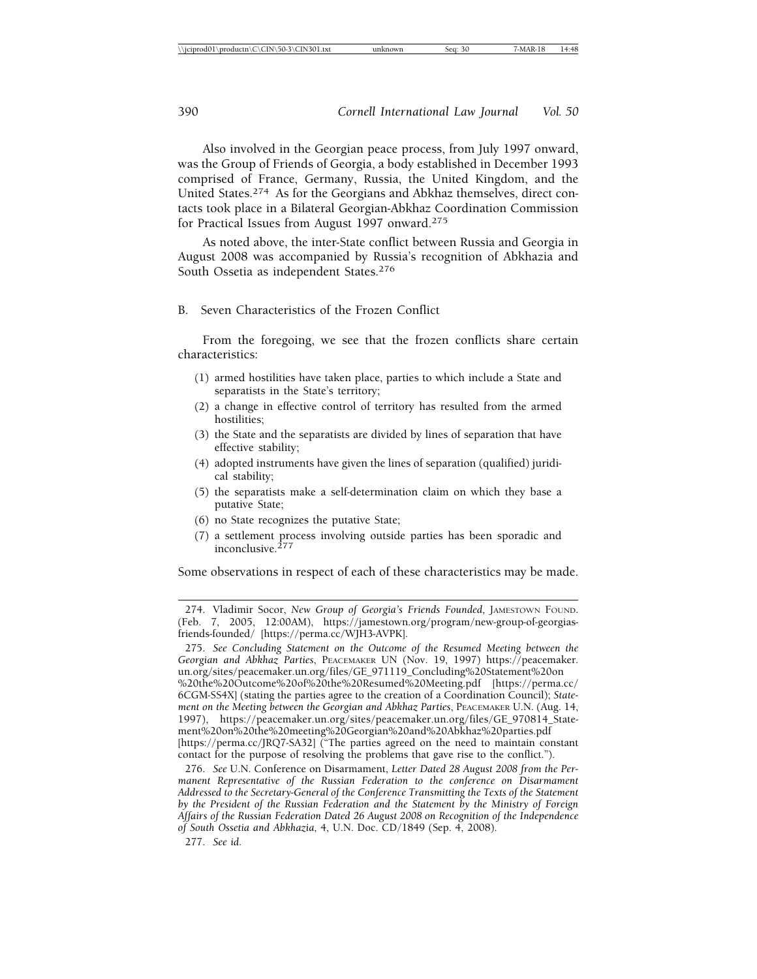Also involved in the Georgian peace process, from July 1997 onward, was the Group of Friends of Georgia, a body established in December 1993 comprised of France, Germany, Russia, the United Kingdom, and the United States.274 As for the Georgians and Abkhaz themselves, direct contacts took place in a Bilateral Georgian-Abkhaz Coordination Commission for Practical Issues from August 1997 onward.<sup>275</sup>

As noted above, the inter-State conflict between Russia and Georgia in August 2008 was accompanied by Russia's recognition of Abkhazia and South Ossetia as independent States.<sup>276</sup>

#### B. Seven Characteristics of the Frozen Conflict

From the foregoing, we see that the frozen conflicts share certain characteristics:

- (1) armed hostilities have taken place, parties to which include a State and separatists in the State's territory;
- (2) a change in effective control of territory has resulted from the armed hostilities;
- (3) the State and the separatists are divided by lines of separation that have effective stability;
- (4) adopted instruments have given the lines of separation (qualified) juridical stability;
- (5) the separatists make a self-determination claim on which they base a putative State;
- (6) no State recognizes the putative State;
- (7) a settlement process involving outside parties has been sporadic and inconclusive.<sup>277</sup>

Some observations in respect of each of these characteristics may be made.

277. *See id.*

<sup>274.</sup> Vladimir Socor, *New Group of Georgia's Friends Founded*, JAMESTOWN FOUND. (Feb. 7, 2005, 12:00AM), https://jamestown.org/program/new-group-of-georgiasfriends-founded/ [https://perma.cc/WJH3-AVPK].

<sup>275.</sup> *See Concluding Statement on the Outcome of the Resumed Meeting between the Georgian and Abkhaz Parties*, PEACEMAKER UN (Nov. 19, 1997) https://peacemaker. un.org/sites/peacemaker.un.org/files/GE\_971119\_Concluding%20Statement%20on %20the%20Outcome%20of%20the%20Resumed%20Meeting.pdf [https://perma.cc/ 6CGM-SS4X] (stating the parties agree to the creation of a Coordination Council); *Statement on the Meeting between the Georgian and Abkhaz Parties*, PEACEMAKER U.N. (Aug. 14, 1997), https://peacemaker.un.org/sites/peacemaker.un.org/files/GE\_970814\_Statement%20on%20the%20meeting%20Georgian%20and%20Abkhaz%20parties.pdf [https://perma.cc/JRQ7-SA32] ("The parties agreed on the need to maintain constant contact for the purpose of resolving the problems that gave rise to the conflict.").

<sup>276.</sup> *See* U.N. Conference on Disarmament, *Letter Dated 28 August 2008 from the Permanent Representative of the Russian Federation to the conference on Disarmament Addressed to the Secretary-General of the Conference Transmitting the Texts of the Statement by the President of the Russian Federation and the Statement by the Ministry of Foreign Affairs of the Russian Federation Dated 26 August 2008 on Recognition of the Independence of South Ossetia and Abkhazia*, 4, U.N. Doc. CD/1849 (Sep. 4, 2008).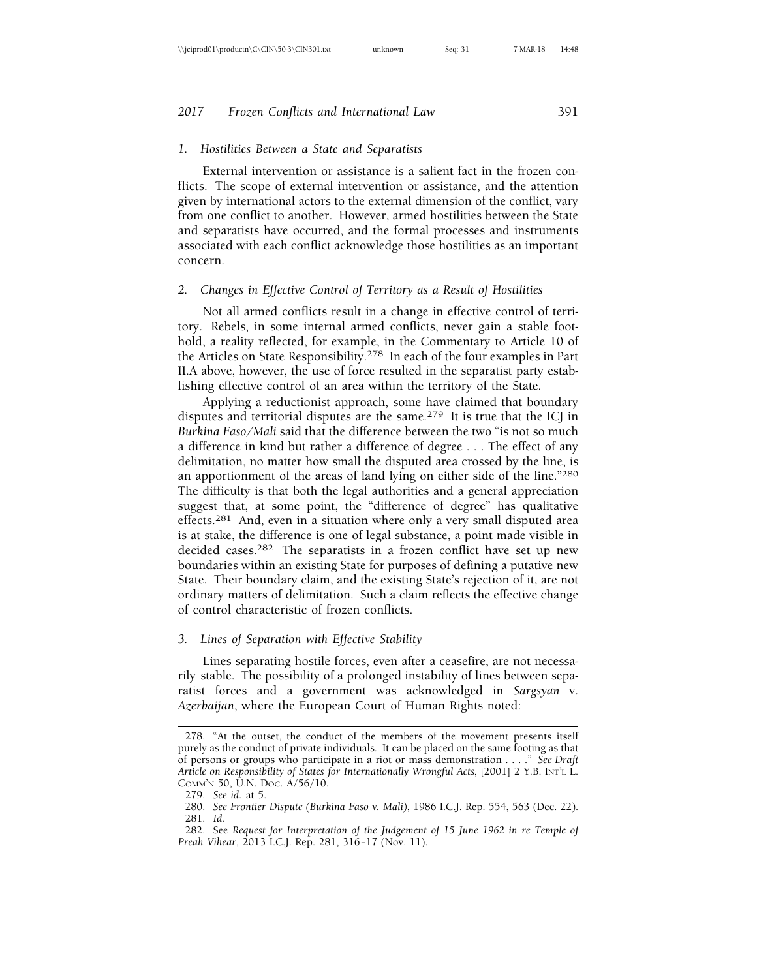#### *1. Hostilities Between a State and Separatists*

External intervention or assistance is a salient fact in the frozen conflicts. The scope of external intervention or assistance, and the attention given by international actors to the external dimension of the conflict, vary from one conflict to another. However, armed hostilities between the State and separatists have occurred, and the formal processes and instruments associated with each conflict acknowledge those hostilities as an important concern.

#### *2. Changes in Effective Control of Territory as a Result of Hostilities*

Not all armed conflicts result in a change in effective control of territory. Rebels, in some internal armed conflicts, never gain a stable foothold, a reality reflected, for example, in the Commentary to Article 10 of the Articles on State Responsibility.278 In each of the four examples in Part II.A above, however, the use of force resulted in the separatist party establishing effective control of an area within the territory of the State.

Applying a reductionist approach, some have claimed that boundary disputes and territorial disputes are the same.279 It is true that the ICJ in *Burkina Faso/Mali* said that the difference between the two "is not so much a difference in kind but rather a difference of degree . . . The effect of any delimitation, no matter how small the disputed area crossed by the line, is an apportionment of the areas of land lying on either side of the line."<sup>280</sup> The difficulty is that both the legal authorities and a general appreciation suggest that, at some point, the "difference of degree" has qualitative effects.<sup>281</sup> And, even in a situation where only a very small disputed area is at stake, the difference is one of legal substance, a point made visible in decided cases.<sup>282</sup> The separatists in a frozen conflict have set up new boundaries within an existing State for purposes of defining a putative new State. Their boundary claim, and the existing State's rejection of it, are not ordinary matters of delimitation. Such a claim reflects the effective change of control characteristic of frozen conflicts.

#### *3. Lines of Separation with Effective Stability*

Lines separating hostile forces, even after a ceasefire, are not necessarily stable. The possibility of a prolonged instability of lines between separatist forces and a government was acknowledged in *Sargsyan* v. *Azerbaijan*, where the European Court of Human Rights noted:

<sup>278. &</sup>quot;At the outset, the conduct of the members of the movement presents itself purely as the conduct of private individuals. It can be placed on the same footing as that of persons or groups who participate in a riot or mass demonstration . . . ." *See Draft Article on Responsibility of States for Internationally Wrongful Acts*, [2001] 2 Y.B. INT'L L. COMM'N 50, U.N. DOC. A/56/10.

<sup>279.</sup> *See id.* at 5.

<sup>280.</sup> *See Frontier Dispute (Burkina Faso v. Mali)*, 1986 I.C.J. Rep. 554, 563 (Dec. 22). 281. *Id.*

<sup>282.</sup> See *Request for Interpretation of the Judgement of 15 June 1962 in re Temple of Preah Vihear*, 2013 I.C.J. Rep. 281, 316– 17 (Nov. 11).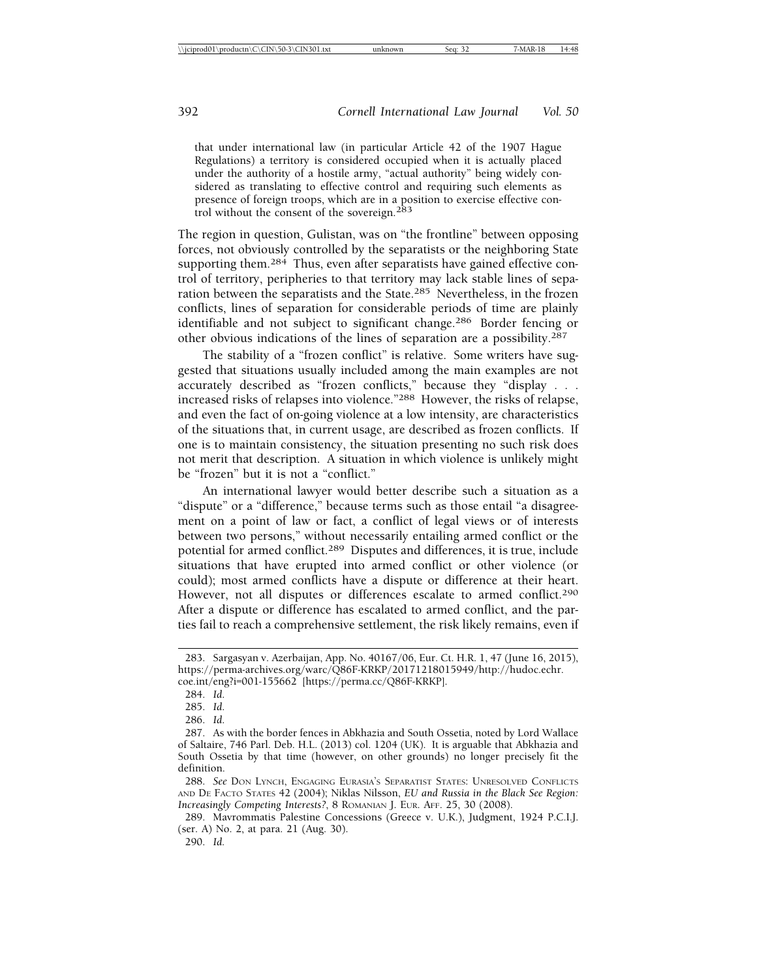that under international law (in particular Article 42 of the 1907 Hague Regulations) a territory is considered occupied when it is actually placed under the authority of a hostile army, "actual authority" being widely considered as translating to effective control and requiring such elements as presence of foreign troops, which are in a position to exercise effective control without the consent of the sovereign.<sup>283</sup>

The region in question, Gulistan, was on "the frontline" between opposing forces, not obviously controlled by the separatists or the neighboring State supporting them.<sup>284</sup> Thus, even after separatists have gained effective control of territory, peripheries to that territory may lack stable lines of separation between the separatists and the State.<sup>285</sup> Nevertheless, in the frozen conflicts, lines of separation for considerable periods of time are plainly identifiable and not subject to significant change.286 Border fencing or other obvious indications of the lines of separation are a possibility.287

The stability of a "frozen conflict" is relative. Some writers have suggested that situations usually included among the main examples are not accurately described as "frozen conflicts," because they "display . . . increased risks of relapses into violence."288 However, the risks of relapse, and even the fact of on-going violence at a low intensity, are characteristics of the situations that, in current usage, are described as frozen conflicts. If one is to maintain consistency, the situation presenting no such risk does not merit that description. A situation in which violence is unlikely might be "frozen" but it is not a "conflict."

An international lawyer would better describe such a situation as a "dispute" or a "difference," because terms such as those entail "a disagreement on a point of law or fact, a conflict of legal views or of interests between two persons," without necessarily entailing armed conflict or the potential for armed conflict.289 Disputes and differences, it is true, include situations that have erupted into armed conflict or other violence (or could); most armed conflicts have a dispute or difference at their heart. However, not all disputes or differences escalate to armed conflict.<sup>290</sup> After a dispute or difference has escalated to armed conflict, and the parties fail to reach a comprehensive settlement, the risk likely remains, even if

<sup>283.</sup> Sargasyan v. Azerbaijan, App. No. 40167/06, Eur. Ct. H.R. 1, 47 (June 16, 2015), https://perma-archives.org/warc/Q86F-KRKP/20171218015949/http://hudoc.echr. coe.int/eng?i=001-155662 [https://perma.cc/Q86F-KRKP].

<sup>284.</sup> *Id*.

<sup>285.</sup> *Id*.

<sup>286.</sup> *Id*.

<sup>287.</sup> As with the border fences in Abkhazia and South Ossetia, noted by Lord Wallace of Saltaire, 746 Parl. Deb. H.L. (2013) col. 1204 (UK). It is arguable that Abkhazia and South Ossetia by that time (however, on other grounds) no longer precisely fit the definition.

<sup>288.</sup> *See* DON LYNCH, ENGAGING EURASIA'S SEPARATIST STATES: UNRESOLVED CONFLICTS AND DE FACTO STATES 42 (2004); Niklas Nilsson, *EU and Russia in the Black See Region: Increasingly Competing Interests?*, 8 ROMANIAN J. EUR. AFF. 25, 30 (2008).

<sup>289.</sup> Mavrommatis Palestine Concessions (Greece v. U.K.), Judgment, 1924 P.C.I.J. (ser. A) No. 2, at para. 21 (Aug. 30).

<sup>290.</sup> *Id.*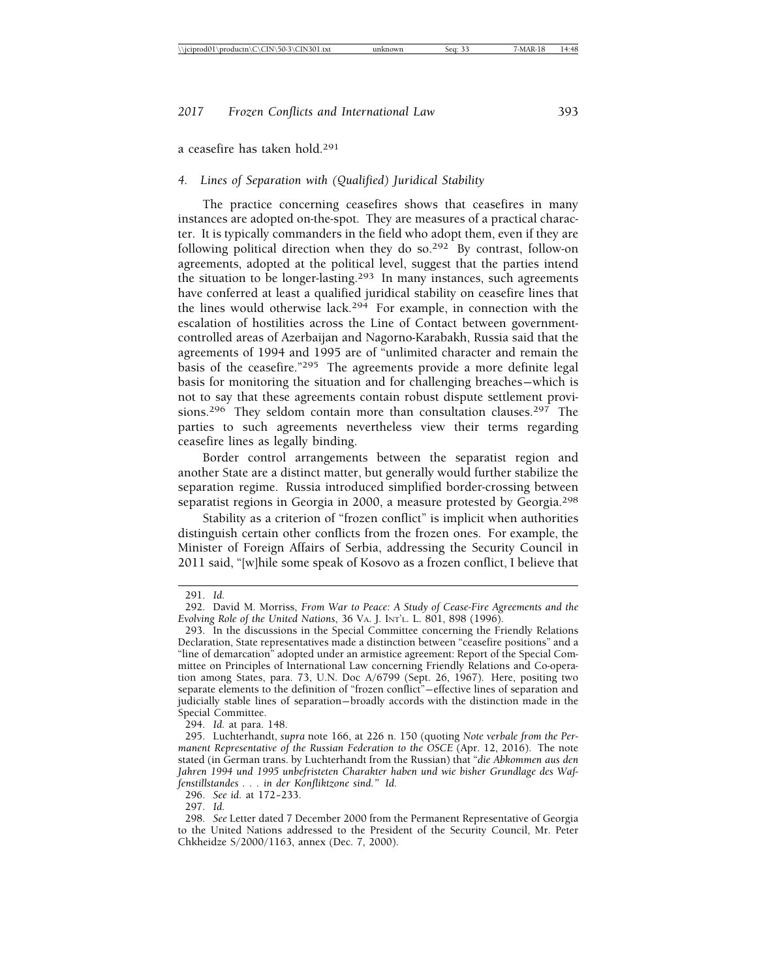a ceasefire has taken hold.291

#### *4. Lines of Separation with (Qualified) Juridical Stability*

The practice concerning ceasefires shows that ceasefires in many instances are adopted on-the-spot. They are measures of a practical character. It is typically commanders in the field who adopt them, even if they are following political direction when they do so.292 By contrast, follow-on agreements, adopted at the political level, suggest that the parties intend the situation to be longer-lasting.293 In many instances, such agreements have conferred at least a qualified juridical stability on ceasefire lines that the lines would otherwise lack.294 For example, in connection with the escalation of hostilities across the Line of Contact between governmentcontrolled areas of Azerbaijan and Nagorno-Karabakh, Russia said that the agreements of 1994 and 1995 are of "unlimited character and remain the basis of the ceasefire."295 The agreements provide a more definite legal basis for monitoring the situation and for challenging breaches— which is not to say that these agreements contain robust dispute settlement provisions.<sup>296</sup> They seldom contain more than consultation clauses.<sup>297</sup> The parties to such agreements nevertheless view their terms regarding ceasefire lines as legally binding.

Border control arrangements between the separatist region and another State are a distinct matter, but generally would further stabilize the separation regime. Russia introduced simplified border-crossing between separatist regions in Georgia in 2000, a measure protested by Georgia.<sup>298</sup>

Stability as a criterion of "frozen conflict" is implicit when authorities distinguish certain other conflicts from the frozen ones. For example, the Minister of Foreign Affairs of Serbia, addressing the Security Council in 2011 said, "[w]hile some speak of Kosovo as a frozen conflict, I believe that

294. *Id.* at para. 148.

<sup>291.</sup> *Id.*

<sup>292.</sup> David M. Morriss, *From War to Peace: A Study of Cease-Fire Agreements and the Evolving Role of the United Nations*, 36 VA. J. INT'L. L. 801, 898 (1996).

<sup>293.</sup> In the discussions in the Special Committee concerning the Friendly Relations Declaration, State representatives made a distinction between "ceasefire positions" and a "line of demarcation" adopted under an armistice agreement: Report of the Special Committee on Principles of International Law concerning Friendly Relations and Co-operation among States, para. 73, U.N. Doc A/6799 (Sept. 26, 1967). Here, positing two separate elements to the definition of "frozen conflict"— effective lines of separation and judicially stable lines of separation— broadly accords with the distinction made in the Special Committee.

<sup>295.</sup> Luchterhandt, *supra* note 166, at 226 n. 150 (quoting *Note verbale from the Permanent Representative of the Russian Federation to the OSCE* (Apr. 12, 2016). The note stated (in German trans. by Luchterhandt from the Russian) that "*die Abkommen aus den Jahren 1994 und 1995 unbefristeten Charakter haben und wie bisher Grundlage des Waffenstillstandes . . . in der Konfliktzone sind." Id.*

<sup>296.</sup> *See id.* at 172– 233.

<sup>297.</sup> *Id.*

<sup>298.</sup> *See* Letter dated 7 December 2000 from the Permanent Representative of Georgia to the United Nations addressed to the President of the Security Council, Mr. Peter Chkheidze S/2000/1163, annex (Dec. 7, 2000).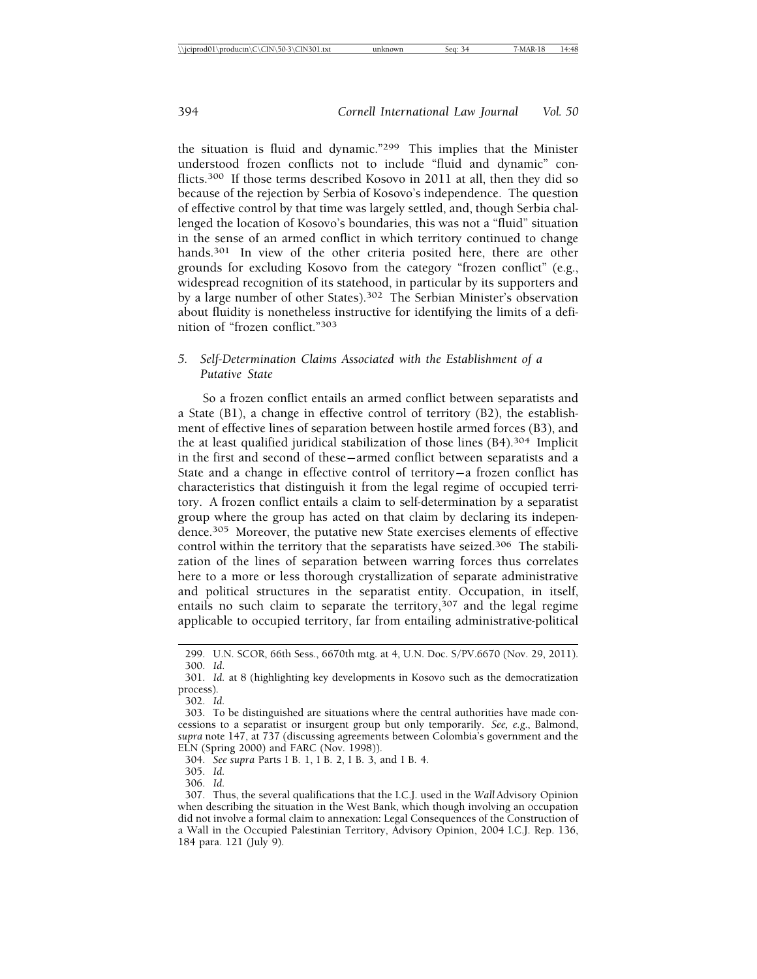the situation is fluid and dynamic."299 This implies that the Minister understood frozen conflicts not to include "fluid and dynamic" conflicts.300 If those terms described Kosovo in 2011 at all, then they did so because of the rejection by Serbia of Kosovo's independence. The question of effective control by that time was largely settled, and, though Serbia challenged the location of Kosovo's boundaries, this was not a "fluid" situation in the sense of an armed conflict in which territory continued to change hands.<sup>301</sup> In view of the other criteria posited here, there are other grounds for excluding Kosovo from the category "frozen conflict" (e.g., widespread recognition of its statehood, in particular by its supporters and by a large number of other States).302 The Serbian Minister's observation about fluidity is nonetheless instructive for identifying the limits of a definition of "frozen conflict."303

#### *5. Self-Determination Claims Associated with the Establishment of a Putative State*

So a frozen conflict entails an armed conflict between separatists and a State (B1), a change in effective control of territory (B2), the establishment of effective lines of separation between hostile armed forces (B3), and the at least qualified juridical stabilization of those lines (B4).304 Implicit in the first and second of these— armed conflict between separatists and a State and a change in effective control of territory-a frozen conflict has characteristics that distinguish it from the legal regime of occupied territory. A frozen conflict entails a claim to self-determination by a separatist group where the group has acted on that claim by declaring its independence.305 Moreover, the putative new State exercises elements of effective control within the territory that the separatists have seized.306 The stabilization of the lines of separation between warring forces thus correlates here to a more or less thorough crystallization of separate administrative and political structures in the separatist entity. Occupation, in itself, entails no such claim to separate the territory,  $307$  and the legal regime applicable to occupied territory, far from entailing administrative-political

304. *See supra* Parts I B. 1, I B. 2, I B. 3, and I B. 4.

305. *Id.*

306. *Id.*

<sup>299.</sup> U.N. SCOR, 66th Sess., 6670th mtg. at 4, U.N. Doc. S/PV.6670 (Nov. 29, 2011). 300. *Id*.

<sup>301.</sup> *Id.* at 8 (highlighting key developments in Kosovo such as the democratization process).

<sup>302.</sup> *Id.*

<sup>303.</sup> To be distinguished are situations where the central authorities have made concessions to a separatist or insurgent group but only temporarily. *See, e.g*., Balmond, *supra* note 147, at 737 (discussing agreements between Colombia's government and the ELN (Spring 2000) and FARC (Nov. 1998)).

<sup>307.</sup> Thus, the several qualifications that the I.C.J. used in the *Wall* Advisory Opinion when describing the situation in the West Bank, which though involving an occupation did not involve a formal claim to annexation: Legal Consequences of the Construction of a Wall in the Occupied Palestinian Territory, Advisory Opinion, 2004 I.C.J. Rep. 136, 184 para. 121 (July 9).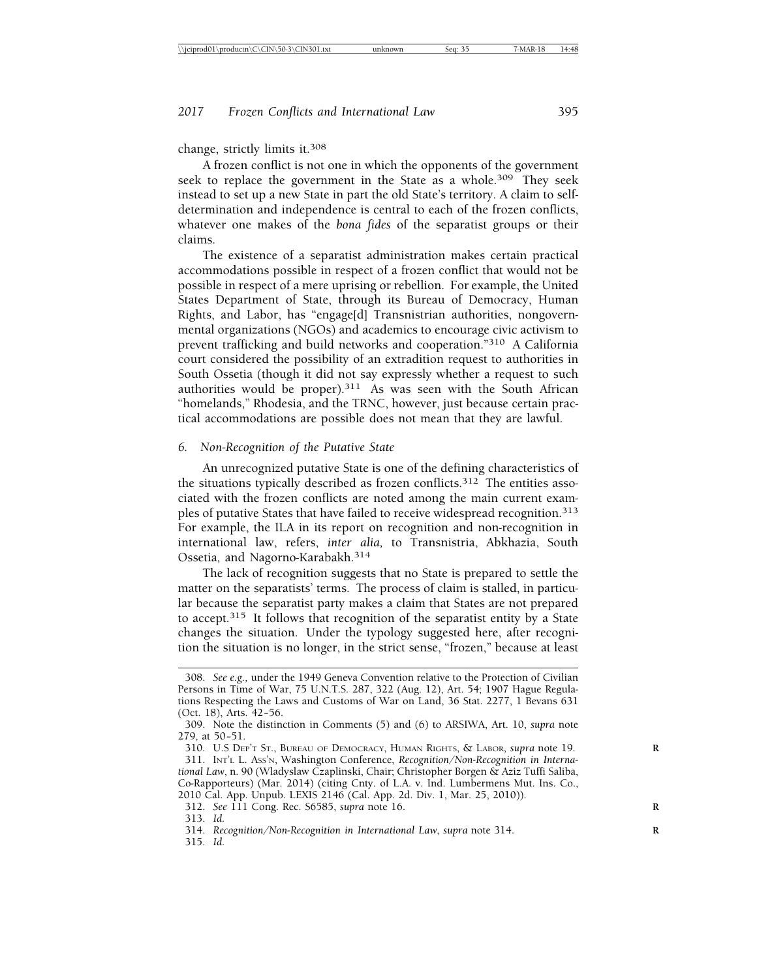change, strictly limits it.308

A frozen conflict is not one in which the opponents of the government seek to replace the government in the State as a whole.<sup>309</sup> They seek instead to set up a new State in part the old State's territory. A claim to selfdetermination and independence is central to each of the frozen conflicts, whatever one makes of the *bona fides* of the separatist groups or their claims.

The existence of a separatist administration makes certain practical accommodations possible in respect of a frozen conflict that would not be possible in respect of a mere uprising or rebellion. For example, the United States Department of State, through its Bureau of Democracy, Human Rights, and Labor, has "engage[d] Transnistrian authorities, nongovernmental organizations (NGOs) and academics to encourage civic activism to prevent trafficking and build networks and cooperation."310 A California court considered the possibility of an extradition request to authorities in South Ossetia (though it did not say expressly whether a request to such authorities would be proper).311 As was seen with the South African "homelands," Rhodesia, and the TRNC, however, just because certain practical accommodations are possible does not mean that they are lawful.

#### *6. Non-Recognition of the Putative State*

An unrecognized putative State is one of the defining characteristics of the situations typically described as frozen conflicts.<sup>312</sup> The entities associated with the frozen conflicts are noted among the main current examples of putative States that have failed to receive widespread recognition.<sup>313</sup> For example, the ILA in its report on recognition and non-recognition in international law, refers, *inter alia,* to Transnistria, Abkhazia, South Ossetia, and Nagorno-Karabakh.314

The lack of recognition suggests that no State is prepared to settle the matter on the separatists' terms. The process of claim is stalled, in particular because the separatist party makes a claim that States are not prepared to accept.315 It follows that recognition of the separatist entity by a State changes the situation. Under the typology suggested here, after recognition the situation is no longer, in the strict sense, "frozen," because at least

<sup>308.</sup> *See e.g.,* under the 1949 Geneva Convention relative to the Protection of Civilian Persons in Time of War, 75 U.N.T.S. 287, 322 (Aug. 12), Art. 54; 1907 Hague Regulations Respecting the Laws and Customs of War on Land, 36 Stat. 2277, 1 Bevans 631 (Oct. 18), Arts. 42-56.

<sup>309.</sup> Note the distinction in Comments (5) and (6) to ARSIWA, Art. 10, *supra* note 279, at 50-51.

<sup>310.</sup> U.S DEP'T ST., BUREAU OF DEMOCRACY, HUMAN RIGHTS, & LABOR, *supra* note 19. **R**

<sup>311.</sup> INT'L L. ASS'N, Washington Conference, *Recognition/Non-Recognition in International Law*, n. 90 (Wladyslaw Czaplinski, Chair; Christopher Borgen & Aziz Tuffi Saliba, Co-Rapporteurs) (Mar. 2014) (citing Cnty. of L.A. v. Ind. Lumbermens Mut. Ins. Co., 2010 Cal. App. Unpub. LEXIS 2146 (Cal. App. 2d. Div. 1, Mar. 25, 2010)).

<sup>312.</sup> *See* 111 Cong. Rec. S6585, *supra* note 16. **R**

<sup>313.</sup> *Id.*

<sup>314.</sup> *Recognition/Non-Recognition in International Law*, *supra* note 314. **R**

<sup>315.</sup> *Id.*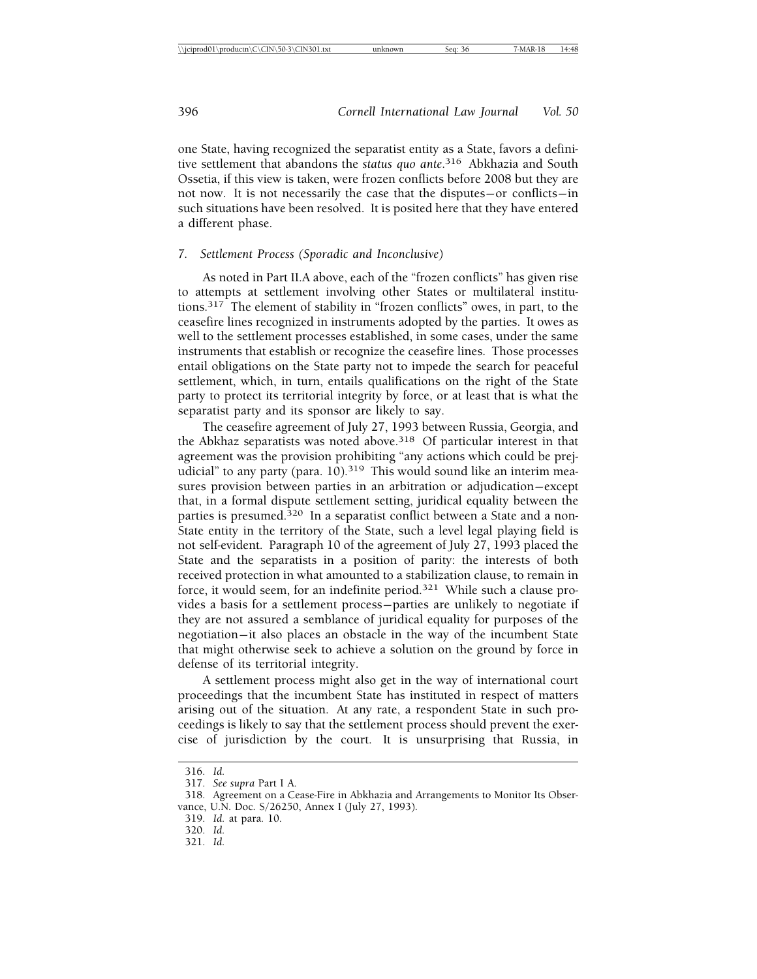one State, having recognized the separatist entity as a State, favors a definitive settlement that abandons the *status quo ante*. 316 Abkhazia and South Ossetia, if this view is taken, were frozen conflicts before 2008 but they are not now. It is not necessarily the case that the disputes— or conflicts— in such situations have been resolved. It is posited here that they have entered a different phase.

#### *7. Settlement Process (Sporadic and Inconclusive)*

As noted in Part II.A above, each of the "frozen conflicts" has given rise to attempts at settlement involving other States or multilateral institutions.317 The element of stability in "frozen conflicts" owes, in part, to the ceasefire lines recognized in instruments adopted by the parties. It owes as well to the settlement processes established, in some cases, under the same instruments that establish or recognize the ceasefire lines. Those processes entail obligations on the State party not to impede the search for peaceful settlement, which, in turn, entails qualifications on the right of the State party to protect its territorial integrity by force, or at least that is what the separatist party and its sponsor are likely to say.

The ceasefire agreement of July 27, 1993 between Russia, Georgia, and the Abkhaz separatists was noted above.<sup>318</sup> Of particular interest in that agreement was the provision prohibiting "any actions which could be prejudicial" to any party (para. 10).<sup>319</sup> This would sound like an interim measures provision between parties in an arbitration or adjudication-except that, in a formal dispute settlement setting, juridical equality between the parties is presumed.<sup>320</sup> In a separatist conflict between a State and a non-State entity in the territory of the State, such a level legal playing field is not self-evident. Paragraph 10 of the agreement of July 27, 1993 placed the State and the separatists in a position of parity: the interests of both received protection in what amounted to a stabilization clause, to remain in force, it would seem, for an indefinite period.321 While such a clause provides a basis for a settlement process— parties are unlikely to negotiate if they are not assured a semblance of juridical equality for purposes of the negotiation— it also places an obstacle in the way of the incumbent State that might otherwise seek to achieve a solution on the ground by force in defense of its territorial integrity.

A settlement process might also get in the way of international court proceedings that the incumbent State has instituted in respect of matters arising out of the situation. At any rate, a respondent State in such proceedings is likely to say that the settlement process should prevent the exercise of jurisdiction by the court. It is unsurprising that Russia, in

320. *Id.*

<sup>316.</sup> *Id.*

<sup>317.</sup> *See supra* Part I A.

<sup>318.</sup> Agreement on a Cease-Fire in Abkhazia and Arrangements to Monitor Its Observance, U.N. Doc. S/26250, Annex I (July 27, 1993).

<sup>319.</sup> *Id.* at para. 10.

<sup>321.</sup> *Id.*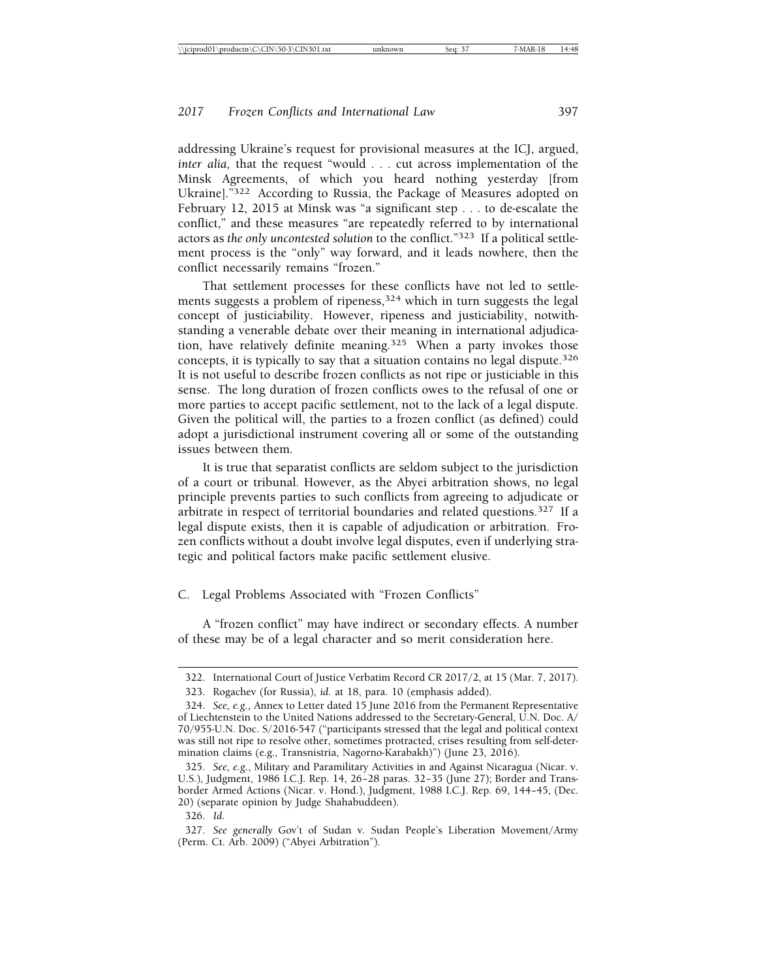addressing Ukraine's request for provisional measures at the ICJ, argued, *inter alia,* that the request "would . . . cut across implementation of the Minsk Agreements, of which you heard nothing yesterday [from Ukraine].<sup>"322</sup> According to Russia, the Package of Measures adopted on February 12, 2015 at Minsk was "a significant step . . . to de-escalate the conflict," and these measures "are repeatedly referred to by international actors as *the only uncontested solution* to the conflict."323 If a political settlement process is the "only" way forward, and it leads nowhere, then the conflict necessarily remains "frozen."

That settlement processes for these conflicts have not led to settlements suggests a problem of ripeness,<sup>324</sup> which in turn suggests the legal concept of justiciability. However, ripeness and justiciability, notwithstanding a venerable debate over their meaning in international adjudication, have relatively definite meaning.<sup>325</sup> When a party invokes those concepts, it is typically to say that a situation contains no legal dispute.326 It is not useful to describe frozen conflicts as not ripe or justiciable in this sense. The long duration of frozen conflicts owes to the refusal of one or more parties to accept pacific settlement, not to the lack of a legal dispute. Given the political will, the parties to a frozen conflict (as defined) could adopt a jurisdictional instrument covering all or some of the outstanding issues between them.

It is true that separatist conflicts are seldom subject to the jurisdiction of a court or tribunal. However, as the Abyei arbitration shows, no legal principle prevents parties to such conflicts from agreeing to adjudicate or arbitrate in respect of territorial boundaries and related questions.327 If a legal dispute exists, then it is capable of adjudication or arbitration. Frozen conflicts without a doubt involve legal disputes, even if underlying strategic and political factors make pacific settlement elusive.

C. Legal Problems Associated with "Frozen Conflicts"

A "frozen conflict" may have indirect or secondary effects. A number of these may be of a legal character and so merit consideration here.

<sup>322.</sup> International Court of Justice Verbatim Record CR 2017/2, at 15 (Mar. 7, 2017).

<sup>323.</sup> Rogachev (for Russia), *id.* at 18, para. 10 (emphasis added).

<sup>324.</sup> *See, e.g.,* Annex to Letter dated 15 June 2016 from the Permanent Representative of Liechtenstein to the United Nations addressed to the Secretary-General, U.N. Doc. A/ 70/955-U.N. Doc. S/2016-547 ("participants stressed that the legal and political context was still not ripe to resolve other, sometimes protracted, crises resulting from self-determination claims (e.g., Transnistria, Nagorno-Karabakh)") (June 23, 2016).

<sup>325.</sup> *See, e.g.*, Military and Paramilitary Activities in and Against Nicaragua (Nicar. v. U.S.), Judgment, 1986 I.C.J. Rep. 14, 26-28 paras. 32-35 (June 27); Border and Transborder Armed Actions (Nicar. v. Hond.), Judgment, 1988 I.C.J. Rep. 69, 144-45, (Dec. 20) (separate opinion by Judge Shahabuddeen).

<sup>326.</sup> *Id.*

<sup>327.</sup> *See generally* Gov't of Sudan v. Sudan People's Liberation Movement/Army (Perm. Ct. Arb. 2009) ("Abyei Arbitration").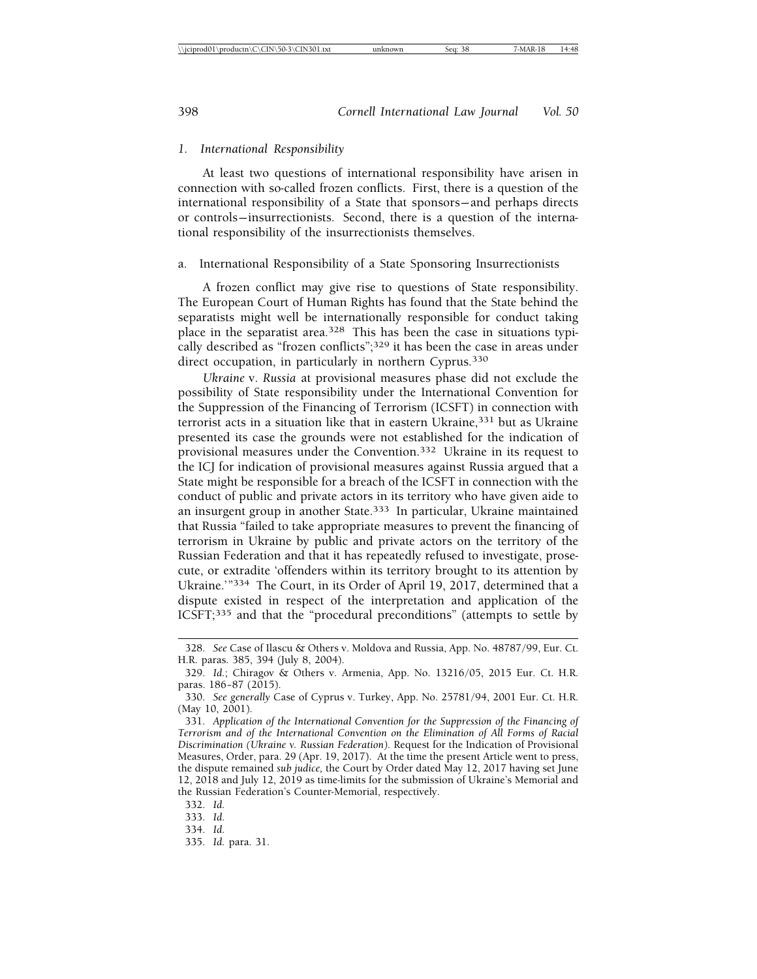#### *1. International Responsibility*

At least two questions of international responsibility have arisen in connection with so-called frozen conflicts. First, there is a question of the international responsibility of a State that sponsors— and perhaps directs or controls— insurrectionists. Second, there is a question of the international responsibility of the insurrectionists themselves.

#### a. International Responsibility of a State Sponsoring Insurrectionists

A frozen conflict may give rise to questions of State responsibility. The European Court of Human Rights has found that the State behind the separatists might well be internationally responsible for conduct taking place in the separatist area.<sup>328</sup> This has been the case in situations typically described as "frozen conflicts";329 it has been the case in areas under direct occupation, in particularly in northern Cyprus.<sup>330</sup>

*Ukraine* v. *Russia* at provisional measures phase did not exclude the possibility of State responsibility under the International Convention for the Suppression of the Financing of Terrorism (ICSFT) in connection with terrorist acts in a situation like that in eastern Ukraine,<sup>331</sup> but as Ukraine presented its case the grounds were not established for the indication of provisional measures under the Convention.332 Ukraine in its request to the ICJ for indication of provisional measures against Russia argued that a State might be responsible for a breach of the ICSFT in connection with the conduct of public and private actors in its territory who have given aide to an insurgent group in another State.333 In particular, Ukraine maintained that Russia "failed to take appropriate measures to prevent the financing of terrorism in Ukraine by public and private actors on the territory of the Russian Federation and that it has repeatedly refused to investigate, prosecute, or extradite 'offenders within its territory brought to its attention by Ukraine.'"334 The Court, in its Order of April 19, 2017, determined that a dispute existed in respect of the interpretation and application of the ICSFT;335 and that the "procedural preconditions" (attempts to settle by

333. *Id.*

<sup>328.</sup> *See* Case of Ilascu & Others v. Moldova and Russia, App. No. 48787/99, Eur. Ct. H.R. paras. 385, 394 (July 8, 2004).

<sup>329.</sup> *Id.*; Chiragov & Others v. Armenia, App. No. 13216/05, 2015 Eur. Ct. H.R. paras.  $186 - 87$  (2015).

<sup>330.</sup> *See generally* Case of Cyprus v. Turkey, App. No. 25781/94, 2001 Eur. Ct. H.R. (May 10, 2001).

<sup>331.</sup> *Application of the International Convention for the Suppression of the Financing of Terrorism and of the International Convention on the Elimination of All Forms of Racial Discrimination (Ukraine v. Russian Federation).* Request for the Indication of Provisional Measures, Order, para. 29 (Apr. 19, 2017). At the time the present Article went to press, the dispute remained *sub judice,* the Court by Order dated May 12, 2017 having set June 12, 2018 and July 12, 2019 as time-limits for the submission of Ukraine's Memorial and the Russian Federation's Counter-Memorial, respectively.

<sup>332.</sup> *Id.*

<sup>334.</sup> *Id.*

<sup>335.</sup> *Id.* para. 31.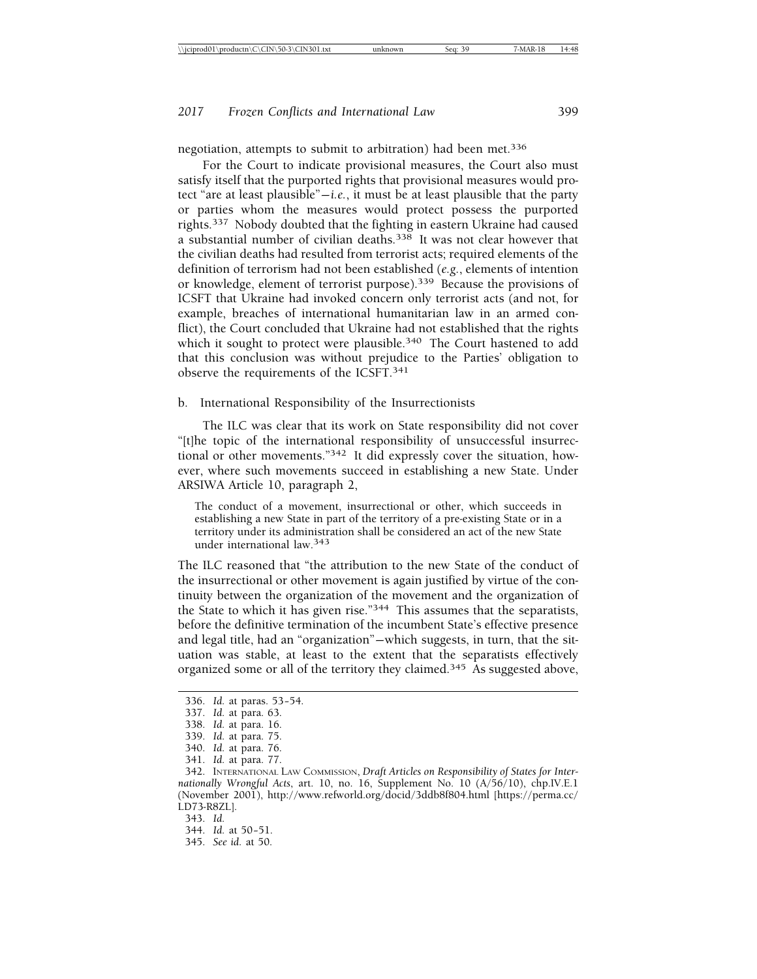negotiation, attempts to submit to arbitration) had been met.<sup>336</sup>

For the Court to indicate provisional measures, the Court also must satisfy itself that the purported rights that provisional measures would protect "are at least plausible"— *i.e.*, it must be at least plausible that the party or parties whom the measures would protect possess the purported rights.337 Nobody doubted that the fighting in eastern Ukraine had caused a substantial number of civilian deaths.<sup>338</sup> It was not clear however that the civilian deaths had resulted from terrorist acts; required elements of the definition of terrorism had not been established (*e.g.*, elements of intention or knowledge, element of terrorist purpose).339 Because the provisions of ICSFT that Ukraine had invoked concern only terrorist acts (and not, for example, breaches of international humanitarian law in an armed conflict), the Court concluded that Ukraine had not established that the rights which it sought to protect were plausible.<sup>340</sup> The Court hastened to add that this conclusion was without prejudice to the Parties' obligation to observe the requirements of the ICSFT.341

b. International Responsibility of the Insurrectionists

The ILC was clear that its work on State responsibility did not cover "[t]he topic of the international responsibility of unsuccessful insurrectional or other movements."342 It did expressly cover the situation, however, where such movements succeed in establishing a new State. Under ARSIWA Article 10, paragraph 2,

The conduct of a movement, insurrectional or other, which succeeds in establishing a new State in part of the territory of a pre-existing State or in a territory under its administration shall be considered an act of the new State under international law.343

The ILC reasoned that "the attribution to the new State of the conduct of the insurrectional or other movement is again justified by virtue of the continuity between the organization of the movement and the organization of the State to which it has given rise."344 This assumes that the separatists, before the definitive termination of the incumbent State's effective presence and legal title, had an "organization"— which suggests, in turn, that the situation was stable, at least to the extent that the separatists effectively organized some or all of the territory they claimed.345 As suggested above,

<sup>336.</sup> *Id.* at paras. 53-54.

<sup>337.</sup> *Id.* at para. 63.

<sup>338.</sup> *Id.* at para. 16.

<sup>339.</sup> *Id.* at para. 75.

<sup>340.</sup> *Id.* at para. 76.

<sup>341.</sup> *Id.* at para. 77.

<sup>342.</sup> INTERNATIONAL LAW COMMISSION, *Draft Articles on Responsibility of States for Internationally Wrongful Acts*, art. 10, no. 16, Supplement No. 10 (A/56/10), chp.IV.E.1 (November 2001), http://www.refworld.org/docid/3ddb8f804.html [https://perma.cc/ LD73-R8ZL].

<sup>343.</sup> *Id.*

<sup>344.</sup> *Id.* at 50-51.

<sup>345.</sup> *See id.* at 50.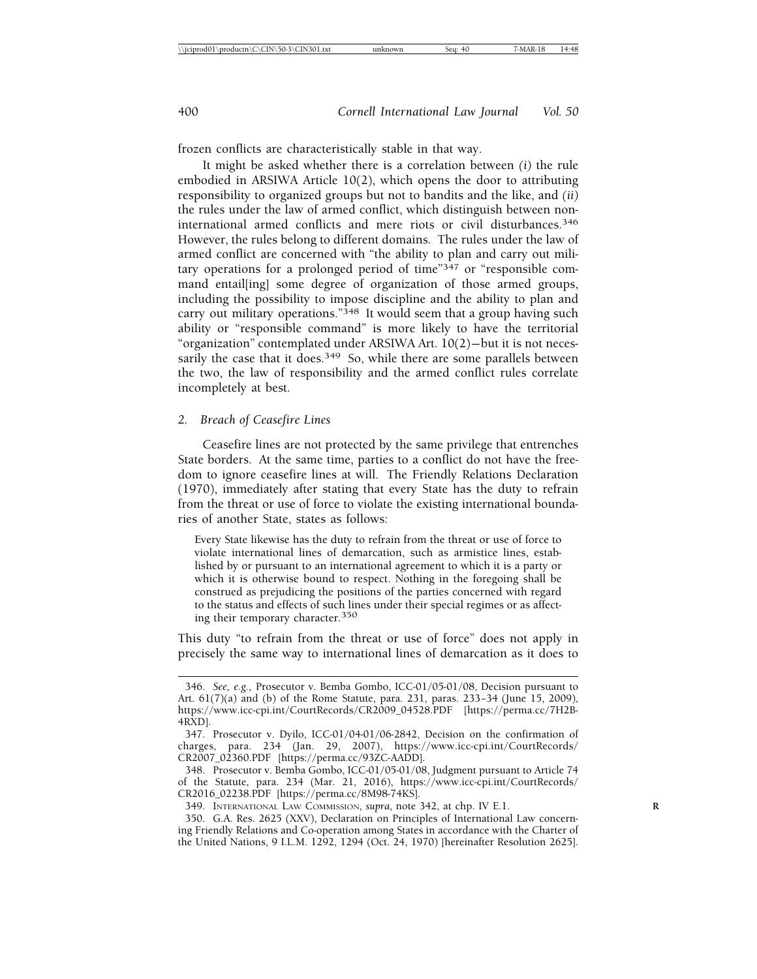frozen conflicts are characteristically stable in that way.

It might be asked whether there is a correlation between *(i)* the rule embodied in ARSIWA Article 10(2), which opens the door to attributing responsibility to organized groups but not to bandits and the like, and *(ii)* the rules under the law of armed conflict, which distinguish between noninternational armed conflicts and mere riots or civil disturbances.346 However, the rules belong to different domains. The rules under the law of armed conflict are concerned with "the ability to plan and carry out military operations for a prolonged period of time" $347$  or "responsible command entail[ing] some degree of organization of those armed groups, including the possibility to impose discipline and the ability to plan and carry out military operations."<sup>348</sup> It would seem that a group having such ability or "responsible command" is more likely to have the territorial "organization" contemplated under ARSIWA Art. 10(2)— but it is not necessarily the case that it does.<sup>349</sup> So, while there are some parallels between the two, the law of responsibility and the armed conflict rules correlate incompletely at best.

#### *2. Breach of Ceasefire Lines*

Ceasefire lines are not protected by the same privilege that entrenches State borders. At the same time, parties to a conflict do not have the freedom to ignore ceasefire lines at will. The Friendly Relations Declaration (1970), immediately after stating that every State has the duty to refrain from the threat or use of force to violate the existing international boundaries of another State, states as follows:

Every State likewise has the duty to refrain from the threat or use of force to violate international lines of demarcation, such as armistice lines, established by or pursuant to an international agreement to which it is a party or which it is otherwise bound to respect. Nothing in the foregoing shall be construed as prejudicing the positions of the parties concerned with regard to the status and effects of such lines under their special regimes or as affecting their temporary character.350

This duty "to refrain from the threat or use of force" does not apply in precisely the same way to international lines of demarcation as it does to

<sup>346.</sup> *See, e.g.,* Prosecutor v. Bemba Gombo, ICC-01/05-01/08, Decision pursuant to Art. 61(7)(a) and (b) of the Rome Statute, para. 231, paras. 233– 34 (June 15, 2009), https://www.icc-cpi.int/CourtRecords/CR2009\_04528.PDF [https://perma.cc/7H2B-4RXD].

<sup>347.</sup> Prosecutor v. Dyilo, ICC-01/04-01/06-2842, Decision on the confirmation of charges, para. 234 (Jan. 29, 2007), https://www.icc-cpi.int/CourtRecords/ CR2007\_02360.PDF [https://perma.cc/93ZC-AADD].

<sup>348.</sup> Prosecutor v. Bemba Gombo, ICC-01/05-01/08, Judgment pursuant to Article 74 of the Statute, para. 234 (Mar. 21, 2016), https://www.icc-cpi.int/CourtRecords/ CR2016\_02238.PDF [https://perma.cc/8M98-74KS].

<sup>349.</sup> INTERNATIONAL LAW COMMISSION, *supra*, note 342, at chp. IV E.1. **R**

<sup>350.</sup> G.A. Res. 2625 (XXV), Declaration on Principles of International Law concerning Friendly Relations and Co-operation among States in accordance with the Charter of the United Nations, 9 I.L.M. 1292, 1294 (Oct. 24, 1970) [hereinafter Resolution 2625].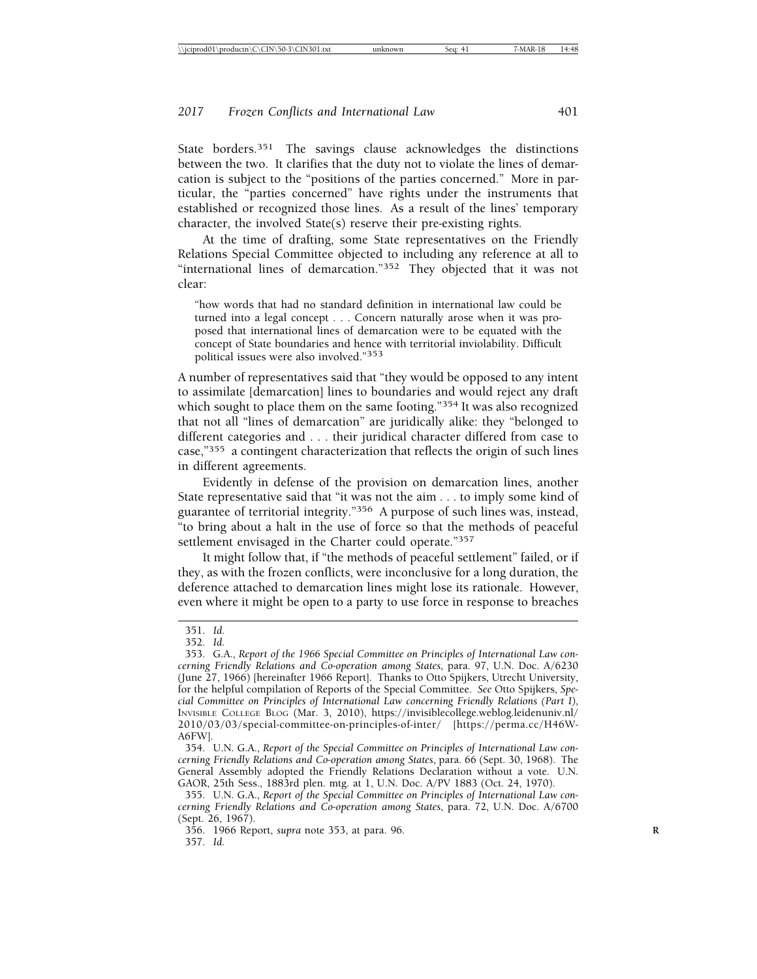State borders.351 The savings clause acknowledges the distinctions between the two. It clarifies that the duty not to violate the lines of demarcation is subject to the "positions of the parties concerned." More in particular, the "parties concerned" have rights under the instruments that established or recognized those lines. As a result of the lines' temporary character, the involved State(s) reserve their pre-existing rights.

At the time of drafting, some State representatives on the Friendly Relations Special Committee objected to including any reference at all to "international lines of demarcation."352 They objected that it was not clear:

"how words that had no standard definition in international law could be turned into a legal concept . . . Concern naturally arose when it was proposed that international lines of demarcation were to be equated with the concept of State boundaries and hence with territorial inviolability. Difficult political issues were also involved."353

A number of representatives said that "they would be opposed to any intent to assimilate [demarcation] lines to boundaries and would reject any draft which sought to place them on the same footing."<sup>354</sup> It was also recognized that not all "lines of demarcation" are juridically alike: they "belonged to different categories and . . . their juridical character differed from case to case,"355 a contingent characterization that reflects the origin of such lines in different agreements.

Evidently in defense of the provision on demarcation lines, another State representative said that "it was not the aim . . . to imply some kind of guarantee of territorial integrity."356 A purpose of such lines was, instead, "to bring about a halt in the use of force so that the methods of peaceful settlement envisaged in the Charter could operate."357

It might follow that, if "the methods of peaceful settlement" failed, or if they, as with the frozen conflicts, were inconclusive for a long duration, the deference attached to demarcation lines might lose its rationale. However, even where it might be open to a party to use force in response to breaches

<sup>351.</sup> *Id.*

<sup>352.</sup> *Id.*

<sup>353.</sup> G.A., *Report of the 1966 Special Committee on Principles of International Law concerning Friendly Relations and Co-operation among States*, para. 97, U.N. Doc. A/6230 (June 27, 1966) [hereinafter 1966 Report]. Thanks to Otto Spijkers, Utrecht University, for the helpful compilation of Reports of the Special Committee. *See* Otto Spijkers, *Special Committee on Principles of International Law concerning Friendly Relations (Part I)*, INVISIBLE COLLEGE BLOG (Mar. 3, 2010), https://invisiblecollege.weblog.leidenuniv.nl/ 2010/03/03/special-committee-on-principles-of-inter/ [https://perma.cc/H46W-A6FW].

<sup>354.</sup> U.N. G.A., *Report of the Special Committee on Principles of International Law concerning Friendly Relations and Co-operation among States*, para. 66 (Sept. 30, 1968). The General Assembly adopted the Friendly Relations Declaration without a vote. U.N. GAOR, 25th Sess., 1883rd plen. mtg. at 1, U.N. Doc. A/PV 1883 (Oct. 24, 1970).

<sup>355.</sup> U.N. G.A., *Report of the Special Committee on Principles of International Law concerning Friendly Relations and Co-operation among States*, para. 72, U.N. Doc. A/6700 (Sept. 26, 1967).

<sup>356. 1966</sup> Report, *supra* note 353, at para. 96. **R** 357. *Id.*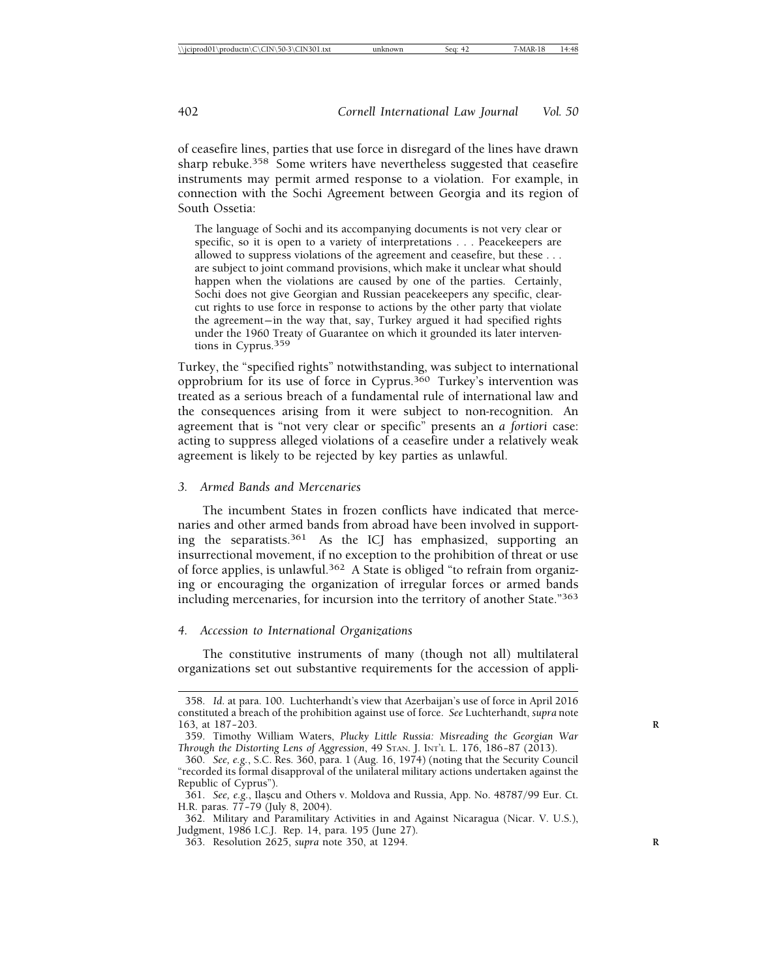of ceasefire lines, parties that use force in disregard of the lines have drawn sharp rebuke.<sup>358</sup> Some writers have nevertheless suggested that ceasefire instruments may permit armed response to a violation. For example, in connection with the Sochi Agreement between Georgia and its region of South Ossetia:

The language of Sochi and its accompanying documents is not very clear or specific, so it is open to a variety of interpretations . . . Peacekeepers are allowed to suppress violations of the agreement and ceasefire, but these . . . are subject to joint command provisions, which make it unclear what should happen when the violations are caused by one of the parties. Certainly, Sochi does not give Georgian and Russian peacekeepers any specific, clearcut rights to use force in response to actions by the other party that violate the agreement— in the way that, say, Turkey argued it had specified rights under the 1960 Treaty of Guarantee on which it grounded its later interventions in Cyprus.359

Turkey, the "specified rights" notwithstanding, was subject to international opprobrium for its use of force in Cyprus.360 Turkey's intervention was treated as a serious breach of a fundamental rule of international law and the consequences arising from it were subject to non-recognition. An agreement that is "not very clear or specific" presents an *a fortiori* case: acting to suppress alleged violations of a ceasefire under a relatively weak agreement is likely to be rejected by key parties as unlawful.

#### *3. Armed Bands and Mercenaries*

The incumbent States in frozen conflicts have indicated that mercenaries and other armed bands from abroad have been involved in supporting the separatists.361 As the ICJ has emphasized, supporting an insurrectional movement, if no exception to the prohibition of threat or use of force applies, is unlawful.362 A State is obliged "to refrain from organizing or encouraging the organization of irregular forces or armed bands including mercenaries, for incursion into the territory of another State."363

#### *4. Accession to International Organizations*

The constitutive instruments of many (though not all) multilateral organizations set out substantive requirements for the accession of appli-

<sup>358.</sup> *Id*. at para. 100. Luchterhandt's view that Azerbaijan's use of force in April 2016 constituted a breach of the prohibition against use of force. *See* Luchterhandt, *supra* note 163, at 187-203.

<sup>359.</sup> Timothy William Waters, *Plucky Little Russia: Misreading the Georgian War Through the Distorting Lens of Aggression*, 49 STAN. J. INT'L L. 176, 186– 87 (2013).

<sup>360.</sup> *See, e.g.*, S.C. Res. 360, para. 1 (Aug. 16, 1974) (noting that the Security Council "recorded its formal disapproval of the unilateral military actions undertaken against the Republic of Cyprus").

<sup>361.</sup> See, e.g., Ilaşcu and Others v. Moldova and Russia, App. No. 48787/99 Eur. Ct. H.R. paras. 77– 79 (July 8, 2004).

<sup>362.</sup> Military and Paramilitary Activities in and Against Nicaragua (Nicar. V. U.S.), Judgment, 1986 I.C.J. Rep. 14, para. 195 (June 27).

<sup>363.</sup> Resolution 2625, *supra* note 350, at 1294. **R**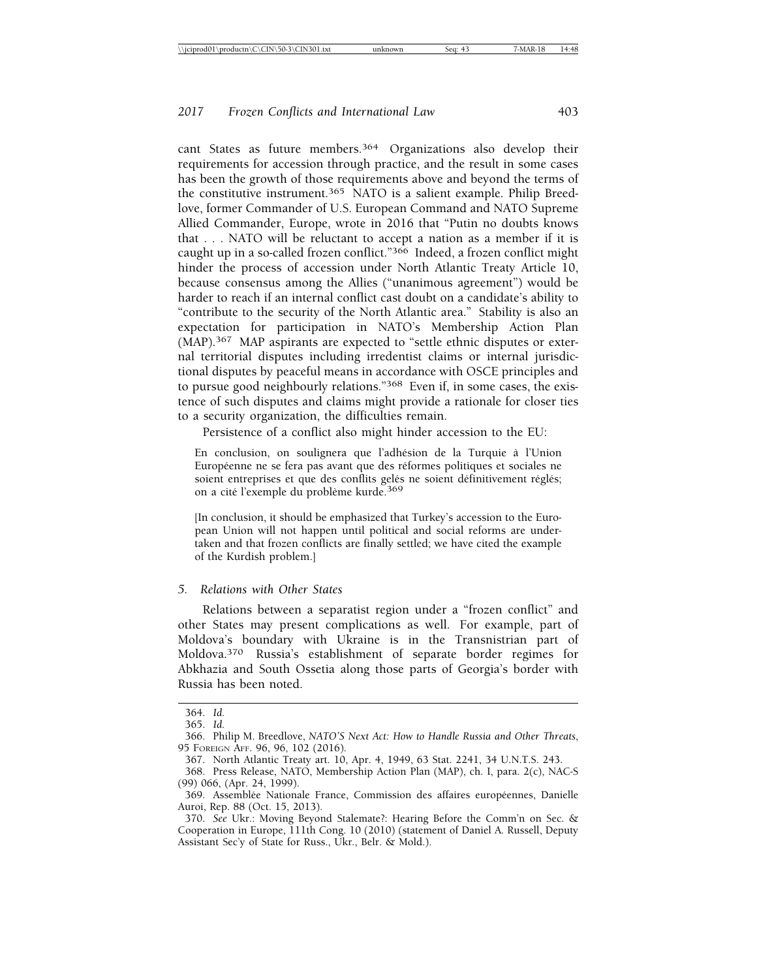cant States as future members.364 Organizations also develop their requirements for accession through practice, and the result in some cases has been the growth of those requirements above and beyond the terms of the constitutive instrument.365 NATO is a salient example. Philip Breedlove, former Commander of U.S. European Command and NATO Supreme Allied Commander, Europe, wrote in 2016 that "Putin no doubts knows that . . . NATO will be reluctant to accept a nation as a member if it is caught up in a so-called frozen conflict."366 Indeed, a frozen conflict might hinder the process of accession under North Atlantic Treaty Article 10, because consensus among the Allies ("unanimous agreement") would be harder to reach if an internal conflict cast doubt on a candidate's ability to "contribute to the security of the North Atlantic area." Stability is also an expectation for participation in NATO's Membership Action Plan (MAP).367 MAP aspirants are expected to "settle ethnic disputes or external territorial disputes including irredentist claims or internal jurisdictional disputes by peaceful means in accordance with OSCE principles and to pursue good neighbourly relations."368 Even if, in some cases, the existence of such disputes and claims might provide a rationale for closer ties to a security organization, the difficulties remain.

Persistence of a conflict also might hinder accession to the EU:

En conclusion, on soulignera que l'adhésion de la Turquie à l'Union Européenne ne se fera pas avant que des réformes politiques et sociales ne soient entreprises et que des conflits gelés ne soient définitivement réglés; on a cité l'exemple du problème kurde.<sup>369</sup>

[In conclusion, it should be emphasized that Turkey's accession to the European Union will not happen until political and social reforms are undertaken and that frozen conflicts are finally settled; we have cited the example of the Kurdish problem.]

#### *5. Relations with Other States*

Relations between a separatist region under a "frozen conflict" and other States may present complications as well. For example, part of Moldova's boundary with Ukraine is in the Transnistrian part of Moldova.370 Russia's establishment of separate border regimes for Abkhazia and South Ossetia along those parts of Georgia's border with Russia has been noted.

<sup>364.</sup> *Id.*

<sup>365.</sup> *Id.*

<sup>366.</sup> Philip M. Breedlove, *NATO'S Next Act: How to Handle Russia and Other Threats*, 95 FOREIGN AFF. 96, 96, 102 (2016).

<sup>367.</sup> North Atlantic Treaty art. 10, Apr. 4, 1949, 63 Stat. 2241, 34 U.N.T.S. 243.

<sup>368.</sup> Press Release, NATO, Membership Action Plan (MAP), ch. I, para. 2(c), NAC-S (99) 066, (Apr. 24, 1999).

<sup>369.</sup> Assemblée Nationale France, Commission des affaires européennes, Danielle Auroi, Rep. 88 (Oct. 15, 2013).

<sup>370.</sup> *See* Ukr.: Moving Beyond Stalemate?: Hearing Before the Comm'n on Sec. & Cooperation in Europe, 111th Cong. 10 (2010) (statement of Daniel A. Russell, Deputy Assistant Sec'y of State for Russ., Ukr., Belr. & Mold.).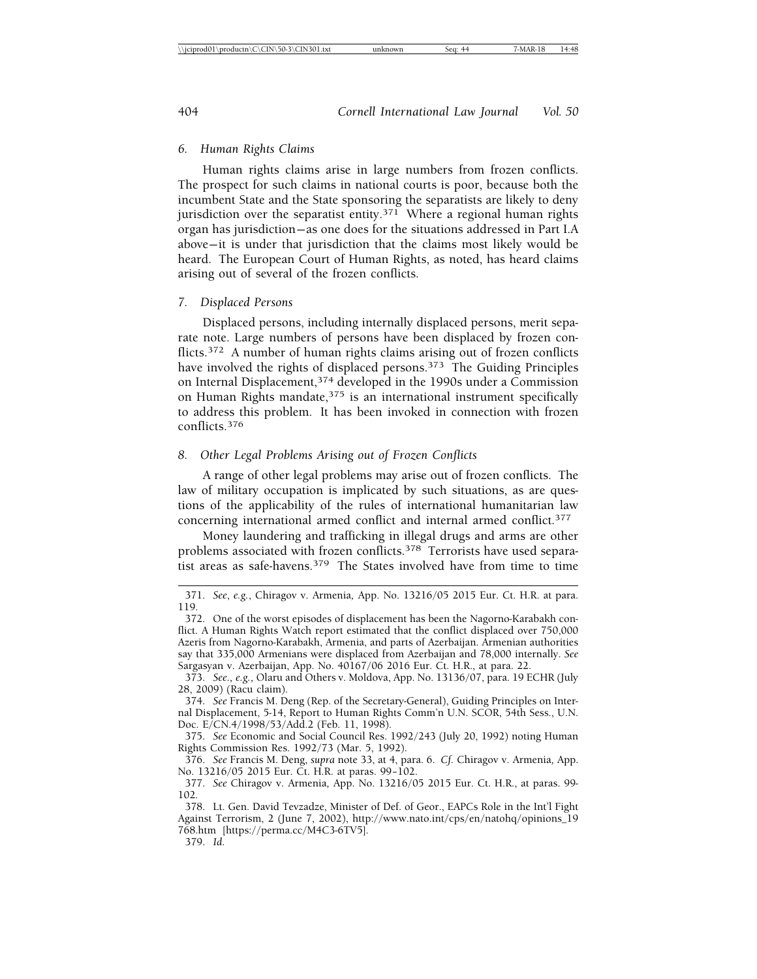#### *6. Human Rights Claims*

Human rights claims arise in large numbers from frozen conflicts. The prospect for such claims in national courts is poor, because both the incumbent State and the State sponsoring the separatists are likely to deny jurisdiction over the separatist entity.<sup>371</sup> Where a regional human rights organ has jurisdiction— as one does for the situations addressed in Part I.A above— it is under that jurisdiction that the claims most likely would be heard. The European Court of Human Rights, as noted, has heard claims arising out of several of the frozen conflicts.

#### *7. Displaced Persons*

Displaced persons, including internally displaced persons, merit separate note. Large numbers of persons have been displaced by frozen conflicts.372 A number of human rights claims arising out of frozen conflicts have involved the rights of displaced persons.373 The Guiding Principles on Internal Displacement,374 developed in the 1990s under a Commission on Human Rights mandate, $375$  is an international instrument specifically to address this problem. It has been invoked in connection with frozen conflicts.<sup>376</sup>

#### *8. Other Legal Problems Arising out of Frozen Conflicts*

A range of other legal problems may arise out of frozen conflicts. The law of military occupation is implicated by such situations, as are questions of the applicability of the rules of international humanitarian law concerning international armed conflict and internal armed conflict.377

Money laundering and trafficking in illegal drugs and arms are other problems associated with frozen conflicts.<sup>378</sup> Terrorists have used separatist areas as safe-havens.379 The States involved have from time to time

<sup>371.</sup> *See*, *e.g.*, Chiragov v. Armenia*,* App. No. 13216/05 2015 Eur. Ct. H.R. at para. 119.

<sup>372.</sup> One of the worst episodes of displacement has been the Nagorno-Karabakh conflict. A Human Rights Watch report estimated that the conflict displaced over 750,000 Azeris from Nagorno-Karabakh, Armenia, and parts of Azerbaijan. Armenian authorities say that 335,000 Armenians were displaced from Azerbaijan and 78,000 internally. *See* Sargasyan v. Azerbaijan, App. No. 40167/06 2016 Eur. Ct. H.R., at para. 22.

<sup>373.</sup> *See., e.g.,* Olaru and Others v. Moldova, App. No. 13136/07, para. 19 ECHR (July 28, 2009) (Racu claim).

<sup>374.</sup> *See* Francis M. Deng (Rep. of the Secretary-General), Guiding Principles on Internal Displacement, 5-14, Report to Human Rights Comm'n U.N. SCOR, 54th Sess., U.N. Doc. E/CN.4/1998/53/Add.2 (Feb. 11, 1998).

<sup>375.</sup> *See* Economic and Social Council Res. 1992/243 (July 20, 1992) noting Human Rights Commission Res. 1992/73 (Mar. 5, 1992).

<sup>376.</sup> *See* Francis M. Deng, *supra* note 33, at 4, para. 6. *Cf.* Chiragov v. Armenia*,* App. No. 13216/05 2015 Eur. Ct. H.R. at paras. 99– 102.

<sup>377.</sup> *See* Chiragov v. Armenia*,* App. No. 13216/05 2015 Eur. Ct. H.R., at paras. 99- 102.

<sup>378.</sup> Lt. Gen. David Tevzadze, Minister of Def. of Geor., EAPCs Role in the Int'l Fight Against Terrorism, 2 (June 7, 2002), http://www.nato.int/cps/en/natohq/opinions\_19 768.htm [https://perma.cc/M4C3-6TV5].

<sup>379.</sup> *Id*.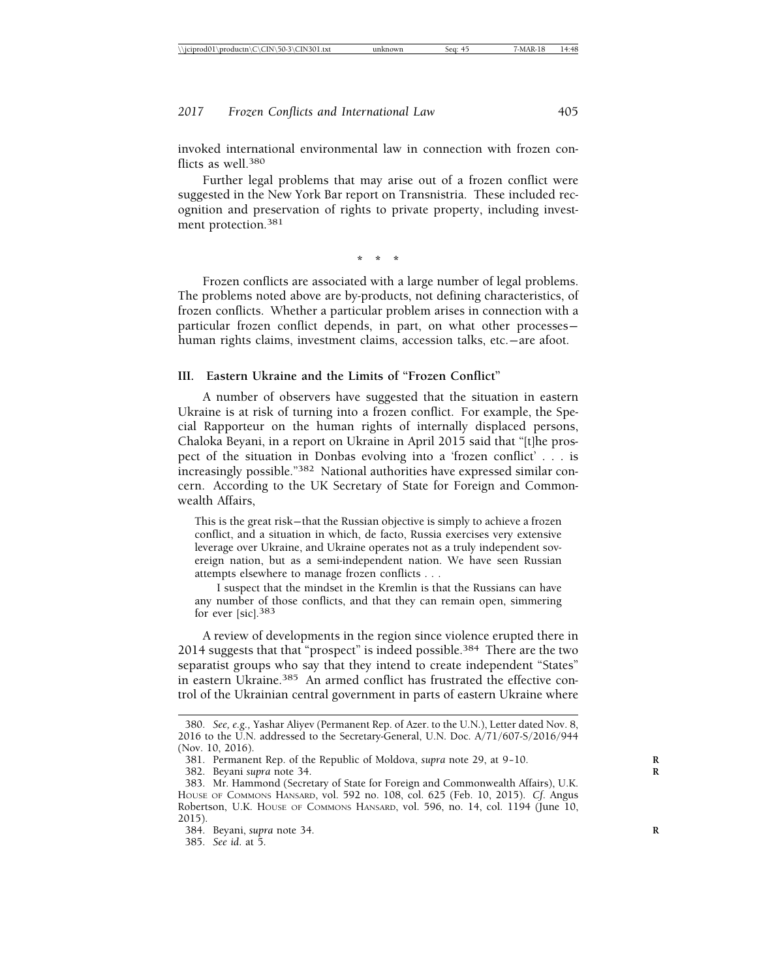invoked international environmental law in connection with frozen conflicts as well  $380$ 

Further legal problems that may arise out of a frozen conflict were suggested in the New York Bar report on Transnistria. These included recognition and preservation of rights to private property, including investment protection.381

**\*\*\***

Frozen conflicts are associated with a large number of legal problems. The problems noted above are by-products, not defining characteristics, of frozen conflicts. Whether a particular problem arises in connection with a particular frozen conflict depends, in part, on what other processes human rights claims, investment claims, accession talks, etc.— are afoot.

#### **III. Eastern Ukraine and the Limits of "Frozen Conflict"**

A number of observers have suggested that the situation in eastern Ukraine is at risk of turning into a frozen conflict. For example, the Special Rapporteur on the human rights of internally displaced persons, Chaloka Beyani, in a report on Ukraine in April 2015 said that "[t]he prospect of the situation in Donbas evolving into a 'frozen conflict' . . . is increasingly possible."382 National authorities have expressed similar concern. According to the UK Secretary of State for Foreign and Commonwealth Affairs,

This is the great risk— that the Russian objective is simply to achieve a frozen conflict, and a situation in which, de facto, Russia exercises very extensive leverage over Ukraine, and Ukraine operates not as a truly independent sovereign nation, but as a semi-independent nation. We have seen Russian attempts elsewhere to manage frozen conflicts . . .

I suspect that the mindset in the Kremlin is that the Russians can have any number of those conflicts, and that they can remain open, simmering for ever [sic].<sup>383</sup>

A review of developments in the region since violence erupted there in 2014 suggests that that "prospect" is indeed possible.384 There are the two separatist groups who say that they intend to create independent "States" in eastern Ukraine.<sup>385</sup> An armed conflict has frustrated the effective control of the Ukrainian central government in parts of eastern Ukraine where

<sup>380.</sup> *See, e.g.,* Yashar Aliyev (Permanent Rep. of Azer. to the U.N.), Letter dated Nov. 8, 2016 to the U.N. addressed to the Secretary-General, U.N. Doc. A/71/607-S/2016/944 (Nov. 10, 2016).

<sup>381.</sup> Permanent Rep. of the Republic of Moldova, *supra* note 29, at 9-10.

<sup>382.</sup> Beyani *supra* note 34. **R**

<sup>383.</sup> Mr. Hammond (Secretary of State for Foreign and Commonwealth Affairs), U.K. HOUSE OF COMMONS HANSARD, vol. 592 no. 108, col. 625 (Feb. 10, 2015). *Cf*. Angus Robertson, U.K. HOUSE OF COMMONS HANSARD, vol. 596, no. 14, col. 1194 (June 10, 2015).

<sup>384.</sup> Beyani, *supra* note 34. **R**

<sup>385.</sup> *See id*. at 5.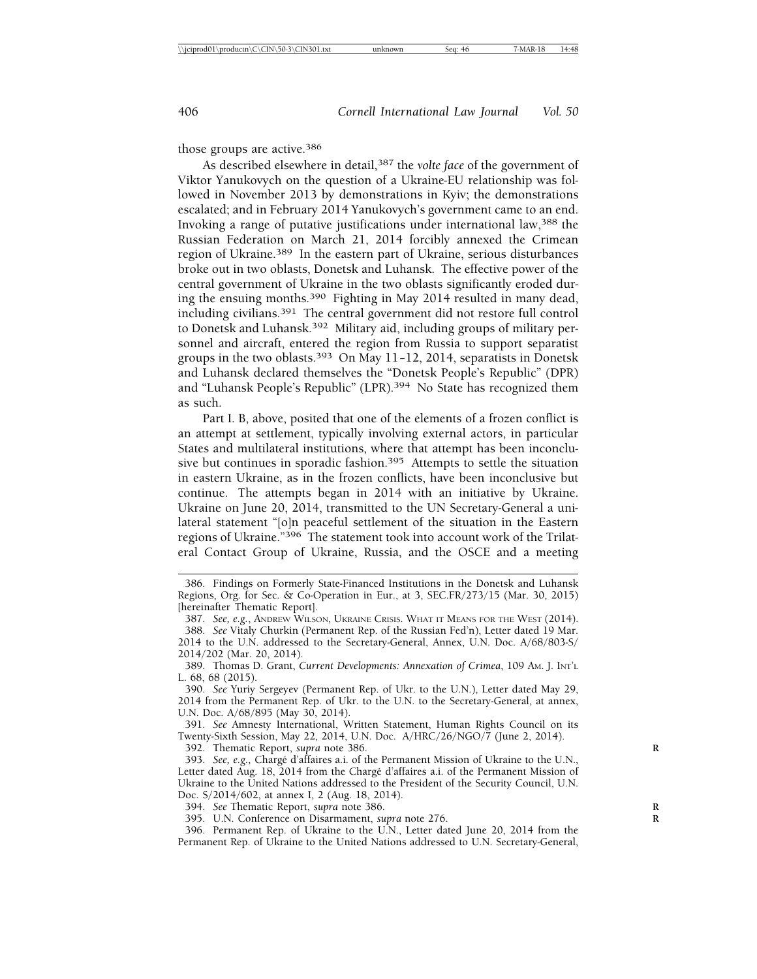those groups are active.386

As described elsewhere in detail,387 the *volte face* of the government of Viktor Yanukovych on the question of a Ukraine-EU relationship was followed in November 2013 by demonstrations in Kyiv; the demonstrations escalated; and in February 2014 Yanukovych's government came to an end. Invoking a range of putative justifications under international law,388 the Russian Federation on March 21, 2014 forcibly annexed the Crimean region of Ukraine.389 In the eastern part of Ukraine, serious disturbances broke out in two oblasts, Donetsk and Luhansk. The effective power of the central government of Ukraine in the two oblasts significantly eroded during the ensuing months.390 Fighting in May 2014 resulted in many dead, including civilians.391 The central government did not restore full control to Donetsk and Luhansk.<sup>392</sup> Military aid, including groups of military personnel and aircraft, entered the region from Russia to support separatist groups in the two oblasts.<sup>393</sup> On May 11-12, 2014, separatists in Donetsk and Luhansk declared themselves the "Donetsk People's Republic" (DPR) and "Luhansk People's Republic" (LPR).<sup>394</sup> No State has recognized them as such.

Part I. B, above, posited that one of the elements of a frozen conflict is an attempt at settlement, typically involving external actors, in particular States and multilateral institutions, where that attempt has been inconclusive but continues in sporadic fashion.<sup>395</sup> Attempts to settle the situation in eastern Ukraine, as in the frozen conflicts, have been inconclusive but continue. The attempts began in 2014 with an initiative by Ukraine. Ukraine on June 20, 2014, transmitted to the UN Secretary-General a unilateral statement "[o]n peaceful settlement of the situation in the Eastern regions of Ukraine."396 The statement took into account work of the Trilateral Contact Group of Ukraine, Russia, and the OSCE and a meeting

391. *See* Amnesty International, Written Statement, Human Rights Council on its Twenty-Sixth Session, May 22, 2014, U.N. Doc. A/HRC/26/NGO/7 (June 2, 2014).

392. Thematic Report, *supra* note 386. **R**

394. *See* Thematic Report, *supra* note 386. **R**

395. U.N. Conference on Disarmament, *supra* note 276. **R**

396. Permanent Rep. of Ukraine to the U.N., Letter dated June 20, 2014 from the Permanent Rep. of Ukraine to the United Nations addressed to U.N. Secretary-General,

<sup>386.</sup> Findings on Formerly State-Financed Institutions in the Donetsk and Luhansk Regions, Org. for Sec. & Co-Operation in Eur., at 3, SEC.FR/273/15 (Mar. 30, 2015) [hereinafter Thematic Report].

<sup>387.</sup> *See, e.g.*, ANDREW WILSON, UKRAINE CRISIS. WHAT IT MEANS FOR THE WEST (2014). 388. *See* Vitaly Churkin (Permanent Rep. of the Russian Fed'n), Letter dated 19 Mar. 2014 to the U.N. addressed to the Secretary-General, Annex, U.N. Doc. A/68/803-S/ 2014/202 (Mar. 20, 2014).

<sup>389.</sup> Thomas D. Grant, *Current Developments: Annexation of Crimea*, 109 AM. J. INT'L L. 68, 68 (2015).

<sup>390.</sup> *See* Yuriy Sergeyev (Permanent Rep. of Ukr. to the U.N.), Letter dated May 29, 2014 from the Permanent Rep. of Ukr. to the U.N. to the Secretary-General, at annex, U.N. Doc. A/68/895 (May 30, 2014).

<sup>393.</sup> *See, e.g., Chargé d'affaires a.i. of the Permanent Mission of Ukraine to the U.N.*, Letter dated Aug. 18, 2014 from the Chargé d'affaires a.i. of the Permanent Mission of Ukraine to the United Nations addressed to the President of the Security Council, U.N. Doc. S/2014/602, at annex I, 2 (Aug. 18, 2014).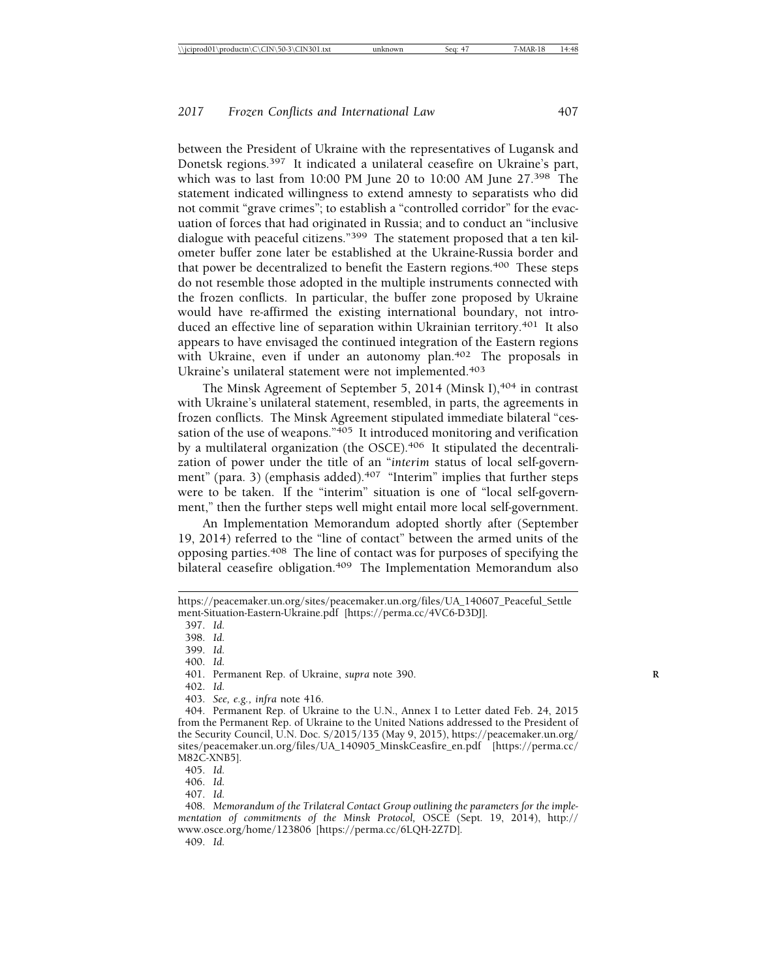between the President of Ukraine with the representatives of Lugansk and Donetsk regions.397 It indicated a unilateral ceasefire on Ukraine's part, which was to last from 10:00 PM June 20 to 10:00 AM June 27.398 The statement indicated willingness to extend amnesty to separatists who did not commit "grave crimes"; to establish a "controlled corridor" for the evacuation of forces that had originated in Russia; and to conduct an "inclusive dialogue with peaceful citizens."399 The statement proposed that a ten kilometer buffer zone later be established at the Ukraine-Russia border and that power be decentralized to benefit the Eastern regions.<sup>400</sup> These steps do not resemble those adopted in the multiple instruments connected with the frozen conflicts. In particular, the buffer zone proposed by Ukraine would have re-affirmed the existing international boundary, not introduced an effective line of separation within Ukrainian territory.<sup>401</sup> It also appears to have envisaged the continued integration of the Eastern regions with Ukraine, even if under an autonomy plan.<sup>402</sup> The proposals in Ukraine's unilateral statement were not implemented.403

The Minsk Agreement of September 5, 2014 (Minsk I),<sup>404</sup> in contrast with Ukraine's unilateral statement, resembled, in parts, the agreements in frozen conflicts. The Minsk Agreement stipulated immediate bilateral "cessation of the use of weapons."<sup>405</sup> It introduced monitoring and verification by a multilateral organization (the OSCE).<sup>406</sup> It stipulated the decentralization of power under the title of an "*interim* status of local self-government" (para. 3) (emphasis added).<sup>407</sup> "Interim" implies that further steps were to be taken. If the "interim" situation is one of "local self-government," then the further steps well might entail more local self-government.

An Implementation Memorandum adopted shortly after (September 19, 2014) referred to the "line of contact" between the armed units of the opposing parties.408 The line of contact was for purposes of specifying the bilateral ceasefire obligation.<sup>409</sup> The Implementation Memorandum also

397. *Id.*

398. *Id.*

399. *Id.*

400. *Id.*

401. Permanent Rep. of Ukraine, *supra* note 390. **R**

402. *Id.*

403. *See, e.g., infra* note 416.

404. Permanent Rep. of Ukraine to the U.N., Annex I to Letter dated Feb. 24, 2015 from the Permanent Rep. of Ukraine to the United Nations addressed to the President of the Security Council, U.N. Doc. S/2015/135 (May 9, 2015), https://peacemaker.un.org/ sites/peacemaker.un.org/files/UA\_140905\_MinskCeasfire\_en.pdf [https://perma.cc/ M82C-XNB5].

405. *Id.*

406. *Id.*

407. *Id.*

408. *Memorandum of the Trilateral Contact Group outlining the parameters for the implementation of commitments of the Minsk Protocol,* OSCE (Sept. 19, 2014), http:// www.osce.org/home/123806 [https://perma.cc/6LQH-2Z7D].

409. *Id.*

https://peacemaker.un.org/sites/peacemaker.un.org/files/UA\_140607\_Peaceful\_Settle ment-Situation-Eastern-Ukraine.pdf [https://perma.cc/4VC6-D3DJ].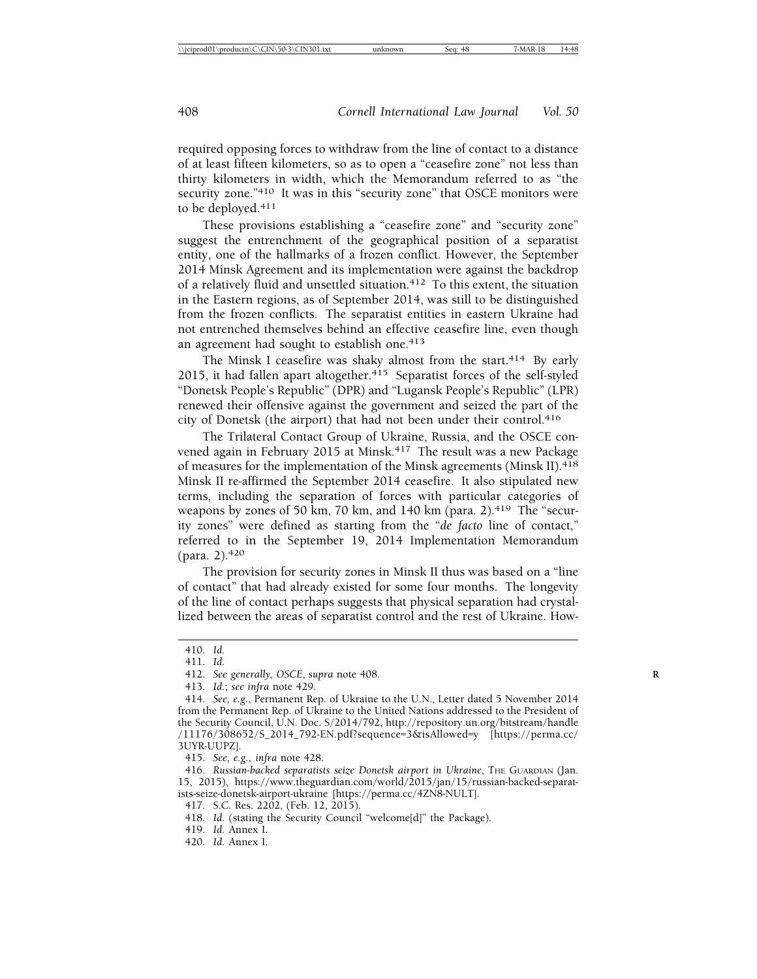required opposing forces to withdraw from the line of contact to a distance of at least fifteen kilometers, so as to open a "ceasefire zone" not less than thirty kilometers in width, which the Memorandum referred to as "the security zone."<sup>410</sup> It was in this "security zone" that OSCE monitors were to be deployed.<sup>411</sup>

These provisions establishing a "ceasefire zone" and "security zone" suggest the entrenchment of the geographical position of a separatist entity, one of the hallmarks of a frozen conflict. However, the September 2014 Minsk Agreement and its implementation were against the backdrop of a relatively fluid and unsettled situation.<sup>412</sup> To this extent, the situation in the Eastern regions, as of September 2014, was still to be distinguished from the frozen conflicts. The separatist entities in eastern Ukraine had not entrenched themselves behind an effective ceasefire line, even though an agreement had sought to establish one.<sup>413</sup>

The Minsk I ceasefire was shaky almost from the start.<sup>414</sup> By early 2015, it had fallen apart altogether. $415$  Separatist forces of the self-styled "Donetsk People's Republic" (DPR) and "Lugansk People's Republic" (LPR) renewed their offensive against the government and seized the part of the city of Donetsk (the airport) that had not been under their control.<sup>416</sup>

The Trilateral Contact Group of Ukraine, Russia, and the OSCE convened again in February 2015 at Minsk.<sup>417</sup> The result was a new Package of measures for the implementation of the Minsk agreements (Minsk II).418 Minsk II re-affirmed the September 2014 ceasefire. It also stipulated new terms, including the separation of forces with particular categories of weapons by zones of 50 km, 70 km, and 140 km (para. 2).<sup>419</sup> The "security zones" were defined as starting from the "*de facto* line of contact," referred to in the September 19, 2014 Implementation Memorandum (para. 2).420

The provision for security zones in Minsk II thus was based on a "line of contact" that had already existed for some four months. The longevity of the line of contact perhaps suggests that physical separation had crystallized between the areas of separatist control and the rest of Ukraine. How-

<sup>410.</sup> *Id.*

<sup>411.</sup> *Id.*

<sup>412.</sup> *See generally*, *OSCE*, *supra* note 408. **R**

<sup>413.</sup> *Id.*; *see infra* note 429.

<sup>414.</sup> *See, e.g.*, Permanent Rep. of Ukraine to the U.N., Letter dated 5 November 2014 from the Permanent Rep. of Ukraine to the United Nations addressed to the President of the Security Council, U.N. Doc. S/2014/792, http://repository.un.org/bitstream/handle /11176/308652/S\_2014\_792-EN.pdf?sequence=3&isAllowed=y [https://perma.cc/ 3UYR-UUPZ].

<sup>415.</sup> *See, e.g., infra* note 428.

<sup>416.</sup> Russian-backed separatists seize Donetsk airport in Ukraine, THE GUARDIAN (Jan. 15, 2015), https://www.theguardian.com/world/2015/jan/15/russian-backed-separatists-seize-donetsk-airport-ukraine [https://perma.cc/4ZN8-NULT].

<sup>417.</sup> S.C. Res. 2202, (Feb. 12, 2015).

<sup>418.</sup> *Id.* (stating the Security Council "welcome[d]" the Package).

<sup>419.</sup> *Id.* Annex I.

<sup>420.</sup> *Id.* Annex I.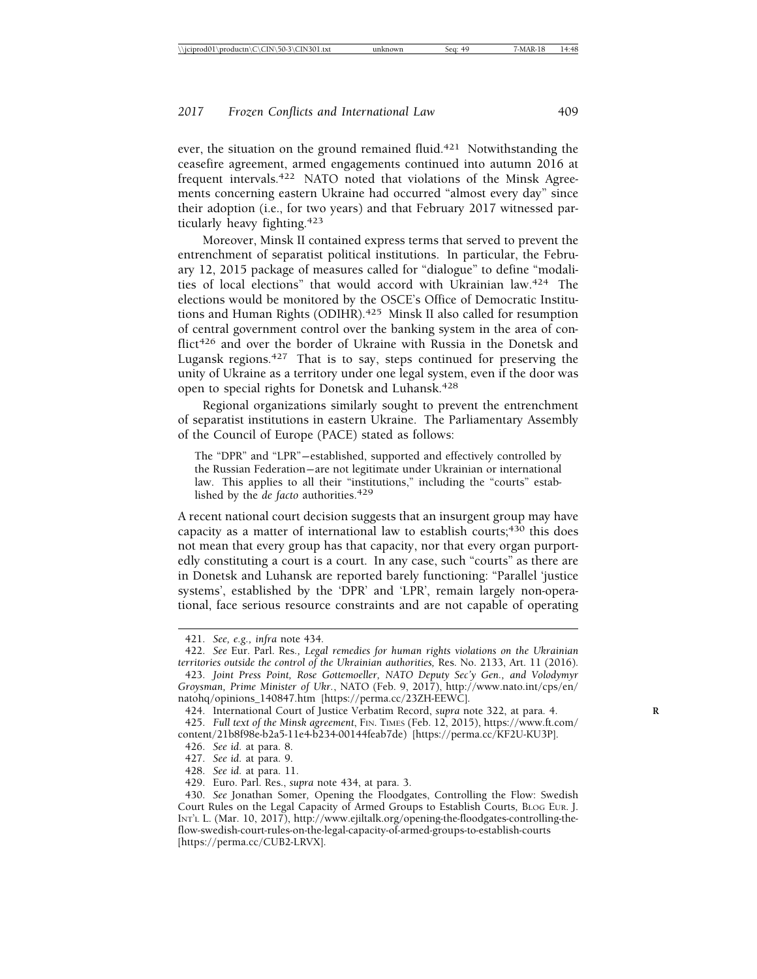ever, the situation on the ground remained fluid.<sup>421</sup> Notwithstanding the ceasefire agreement, armed engagements continued into autumn 2016 at frequent intervals.<sup>422</sup> NATO noted that violations of the Minsk Agreements concerning eastern Ukraine had occurred "almost every day" since their adoption (i.e., for two years) and that February 2017 witnessed particularly heavy fighting.423

Moreover, Minsk II contained express terms that served to prevent the entrenchment of separatist political institutions. In particular, the February 12, 2015 package of measures called for "dialogue" to define "modalities of local elections" that would accord with Ukrainian law.424 The elections would be monitored by the OSCE's Office of Democratic Institutions and Human Rights (ODIHR).425 Minsk II also called for resumption of central government control over the banking system in the area of conflict<sup>426</sup> and over the border of Ukraine with Russia in the Donetsk and Lugansk regions.427 That is to say, steps continued for preserving the unity of Ukraine as a territory under one legal system, even if the door was open to special rights for Donetsk and Luhansk.428

Regional organizations similarly sought to prevent the entrenchment of separatist institutions in eastern Ukraine. The Parliamentary Assembly of the Council of Europe (PACE) stated as follows:

The "DPR" and "LPR"— established, supported and effectively controlled by the Russian Federation— are not legitimate under Ukrainian or international law. This applies to all their "institutions," including the "courts" established by the *de facto* authorities.<sup>429</sup>

A recent national court decision suggests that an insurgent group may have capacity as a matter of international law to establish courts; $430$  this does not mean that every group has that capacity, nor that every organ purportedly constituting a court is a court. In any case, such "courts" as there are in Donetsk and Luhansk are reported barely functioning: "Parallel 'justice systems', established by the 'DPR' and 'LPR', remain largely non-operational, face serious resource constraints and are not capable of operating

<sup>421.</sup> *See, e.g., infra* note 434.

<sup>422.</sup> *See* Eur. Parl. Res*., Legal remedies for human rights violations on the Ukrainian territories outside the control of the Ukrainian authorities,* Res. No. 2133, Art. 11 (2016).

<sup>423.</sup> *Joint Press Point, Rose Gottemoeller, NATO Deputy Sec'y Gen., and Volodymyr Groysman, Prime Minister of Ukr.*, NATO (Feb. 9, 2017), http://www.nato.int/cps/en/ natohq/opinions\_140847.htm [https://perma.cc/23ZH-EEWC].

<sup>424.</sup> International Court of Justice Verbatim Record, *supra* note 322, at para. 4. **R**

<sup>425.</sup> *Full text of the Minsk agreement*, FIN. TIMES (Feb. 12, 2015), https://www.ft.com/ content/21b8f98e-b2a5-11e4-b234-00144feab7de) [https://perma.cc/KF2U-KU3P].

<sup>426.</sup> *See id.* at para. 8.

<sup>427.</sup> *See id.* at para. 9.

<sup>428.</sup> *See id.* at para. 11.

<sup>429.</sup> Euro. Parl. Res., *supra* note 434, at para. 3.

<sup>430.</sup> *See* Jonathan Somer*,* Opening the Floodgates, Controlling the Flow: Swedish Court Rules on the Legal Capacity of Armed Groups to Establish Courts*,* BLOG EUR. J. INT'L L. (Mar. 10, 2017), http://www.ejiltalk.org/opening-the-floodgates-controlling-theflow-swedish-court-rules-on-the-legal-capacity-of-armed-groups-to-establish-courts [https://perma.cc/CUB2-LRVX].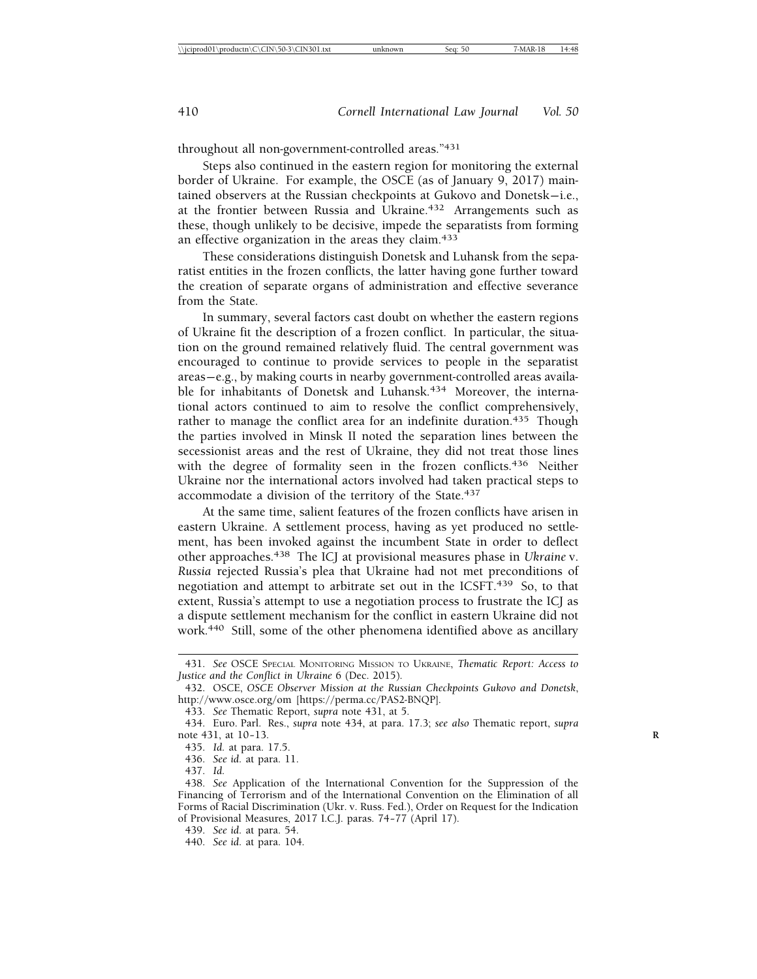throughout all non-government-controlled areas."431

Steps also continued in the eastern region for monitoring the external border of Ukraine. For example, the OSCE (as of January 9, 2017) maintained observers at the Russian checkpoints at Gukovo and Donetsk-i.e., at the frontier between Russia and Ukraine.<sup>432</sup> Arrangements such as these, though unlikely to be decisive, impede the separatists from forming an effective organization in the areas they claim.<sup>433</sup>

These considerations distinguish Donetsk and Luhansk from the separatist entities in the frozen conflicts, the latter having gone further toward the creation of separate organs of administration and effective severance from the State.

In summary, several factors cast doubt on whether the eastern regions of Ukraine fit the description of a frozen conflict. In particular, the situation on the ground remained relatively fluid. The central government was encouraged to continue to provide services to people in the separatist areas— e.g., by making courts in nearby government-controlled areas available for inhabitants of Donetsk and Luhansk.<sup>434</sup> Moreover, the international actors continued to aim to resolve the conflict comprehensively, rather to manage the conflict area for an indefinite duration.<sup>435</sup> Though the parties involved in Minsk II noted the separation lines between the secessionist areas and the rest of Ukraine, they did not treat those lines with the degree of formality seen in the frozen conflicts.<sup>436</sup> Neither Ukraine nor the international actors involved had taken practical steps to accommodate a division of the territory of the State.<sup>437</sup>

At the same time, salient features of the frozen conflicts have arisen in eastern Ukraine. A settlement process, having as yet produced no settlement, has been invoked against the incumbent State in order to deflect other approaches.438 The ICJ at provisional measures phase in *Ukraine* v. *Russia* rejected Russia's plea that Ukraine had not met preconditions of negotiation and attempt to arbitrate set out in the ICSFT.<sup>439</sup> So, to that extent, Russia's attempt to use a negotiation process to frustrate the ICJ as a dispute settlement mechanism for the conflict in eastern Ukraine did not work.440 Still, some of the other phenomena identified above as ancillary

<sup>431.</sup> *See* OSCE SPECIAL MONITORING MISSION TO UKRAINE, *Thematic Report: Access to Justice and the Conflict in Ukraine* 6 (Dec. 2015).

<sup>432.</sup> OSCE, *OSCE Observer Mission at the Russian Checkpoints Gukovo and Donetsk*, http://www.osce.org/om [https://perma.cc/PAS2-BNQP].

<sup>433.</sup> *See* Thematic Report, *supra* note 431, at 5.

<sup>434.</sup> Euro. Parl. Res., *supra* note 434, at para. 17.3; *see also* Thematic report, *supra* note 431, at 10-13.

<sup>435.</sup> *Id.* at para. 17.5.

<sup>436.</sup> *See id.* at para. 11.

<sup>437.</sup> *Id.*

<sup>438.</sup> *See* Application of the International Convention for the Suppression of the Financing of Terrorism and of the International Convention on the Elimination of all Forms of Racial Discrimination (Ukr. v. Russ. Fed.), Order on Request for the Indication of Provisional Measures, 2017 I.C.J. paras. 74-77 (April 17).

<sup>439.</sup> *See id.* at para. 54.

<sup>440.</sup> *See id.* at para. 104.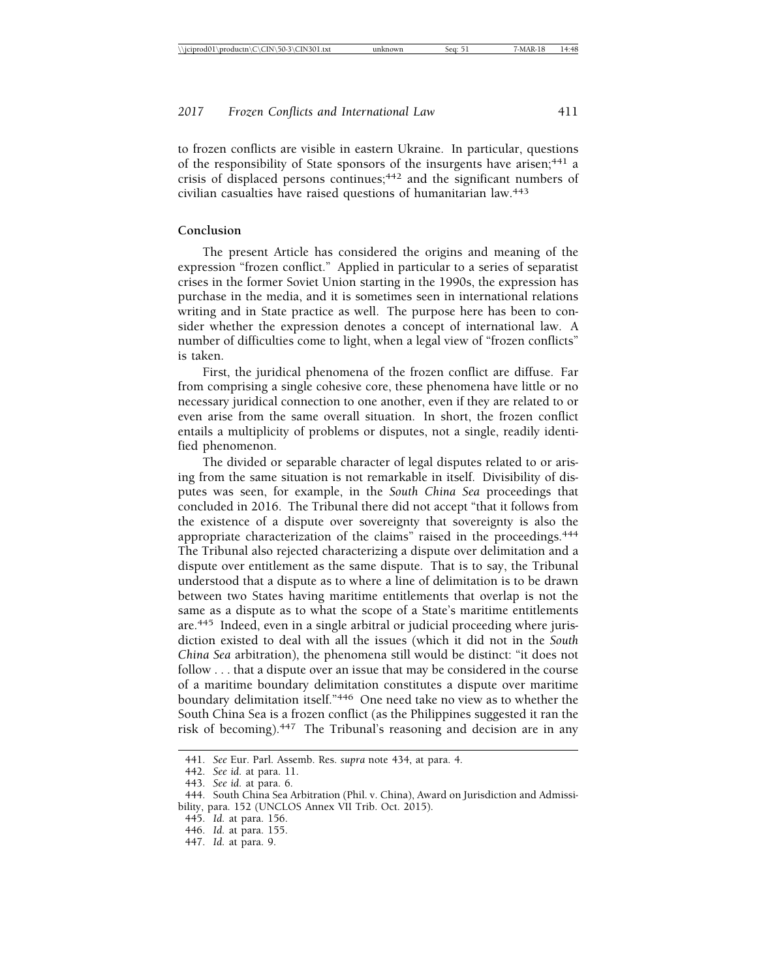to frozen conflicts are visible in eastern Ukraine. In particular, questions of the responsibility of State sponsors of the insurgents have arisen;<sup>441</sup> a crisis of displaced persons continues;<sup>442</sup> and the significant numbers of civilian casualties have raised questions of humanitarian law.443

#### **Conclusion**

The present Article has considered the origins and meaning of the expression "frozen conflict." Applied in particular to a series of separatist crises in the former Soviet Union starting in the 1990s, the expression has purchase in the media, and it is sometimes seen in international relations writing and in State practice as well. The purpose here has been to consider whether the expression denotes a concept of international law. A number of difficulties come to light, when a legal view of "frozen conflicts" is taken.

First, the juridical phenomena of the frozen conflict are diffuse. Far from comprising a single cohesive core, these phenomena have little or no necessary juridical connection to one another, even if they are related to or even arise from the same overall situation. In short, the frozen conflict entails a multiplicity of problems or disputes, not a single, readily identified phenomenon.

The divided or separable character of legal disputes related to or arising from the same situation is not remarkable in itself. Divisibility of disputes was seen, for example, in the *South China Sea* proceedings that concluded in 2016. The Tribunal there did not accept "that it follows from the existence of a dispute over sovereignty that sovereignty is also the appropriate characterization of the claims" raised in the proceedings.444 The Tribunal also rejected characterizing a dispute over delimitation and a dispute over entitlement as the same dispute. That is to say, the Tribunal understood that a dispute as to where a line of delimitation is to be drawn between two States having maritime entitlements that overlap is not the same as a dispute as to what the scope of a State's maritime entitlements are.445 Indeed, even in a single arbitral or judicial proceeding where jurisdiction existed to deal with all the issues (which it did not in the *South China Sea* arbitration), the phenomena still would be distinct: "it does not follow . . . that a dispute over an issue that may be considered in the course of a maritime boundary delimitation constitutes a dispute over maritime boundary delimitation itself."446 One need take no view as to whether the South China Sea is a frozen conflict (as the Philippines suggested it ran the risk of becoming).447 The Tribunal's reasoning and decision are in any

<sup>441.</sup> *See* Eur. Parl. Assemb. Res. *supra* note 434, at para. 4.

<sup>442.</sup> *See id.* at para. 11.

<sup>443.</sup> *See id.* at para. 6.

<sup>444.</sup> South China Sea Arbitration (Phil. v. China), Award on Jurisdiction and Admissibility, para. 152 (UNCLOS Annex VII Trib. Oct. 2015).

<sup>445.</sup> *Id.* at para. 156.

<sup>446.</sup> *Id.* at para. 155.

<sup>447.</sup> *Id.* at para. 9.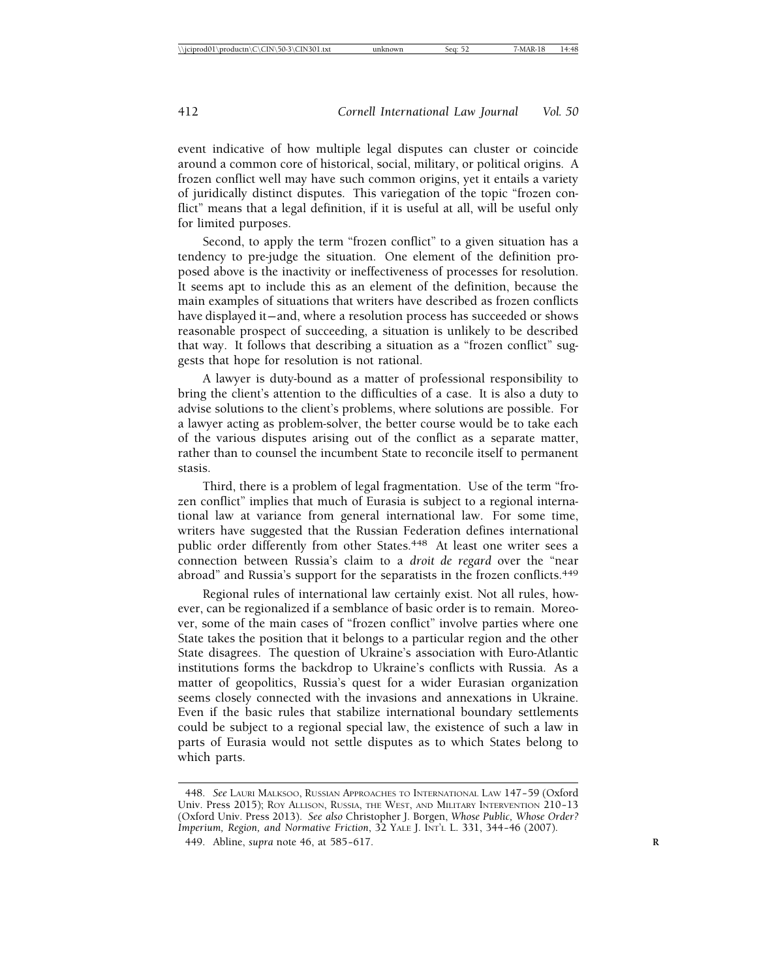event indicative of how multiple legal disputes can cluster or coincide around a common core of historical, social, military, or political origins. A frozen conflict well may have such common origins, yet it entails a variety of juridically distinct disputes. This variegation of the topic "frozen conflict" means that a legal definition, if it is useful at all, will be useful only for limited purposes.

Second, to apply the term "frozen conflict" to a given situation has a tendency to pre-judge the situation. One element of the definition proposed above is the inactivity or ineffectiveness of processes for resolution. It seems apt to include this as an element of the definition, because the main examples of situations that writers have described as frozen conflicts have displayed it—and, where a resolution process has succeeded or shows reasonable prospect of succeeding, a situation is unlikely to be described that way. It follows that describing a situation as a "frozen conflict" suggests that hope for resolution is not rational.

A lawyer is duty-bound as a matter of professional responsibility to bring the client's attention to the difficulties of a case. It is also a duty to advise solutions to the client's problems, where solutions are possible. For a lawyer acting as problem-solver, the better course would be to take each of the various disputes arising out of the conflict as a separate matter, rather than to counsel the incumbent State to reconcile itself to permanent stasis.

Third, there is a problem of legal fragmentation. Use of the term "frozen conflict" implies that much of Eurasia is subject to a regional international law at variance from general international law. For some time, writers have suggested that the Russian Federation defines international public order differently from other States.<sup>448</sup> At least one writer sees a connection between Russia's claim to a *droit de regard* over the "near abroad" and Russia's support for the separatists in the frozen conflicts.<sup>449</sup>

Regional rules of international law certainly exist. Not all rules, however, can be regionalized if a semblance of basic order is to remain. Moreover, some of the main cases of "frozen conflict" involve parties where one State takes the position that it belongs to a particular region and the other State disagrees. The question of Ukraine's association with Euro-Atlantic institutions forms the backdrop to Ukraine's conflicts with Russia. As a matter of geopolitics, Russia's quest for a wider Eurasian organization seems closely connected with the invasions and annexations in Ukraine. Even if the basic rules that stabilize international boundary settlements could be subject to a regional special law, the existence of such a law in parts of Eurasia would not settle disputes as to which States belong to which parts.

<sup>448.</sup> *See* LAURI MALKSOO, RUSSIAN APPROACHES TO INTERNATIONAL LAW 147– 59 (Oxford Univ. Press 2015); ROY ALLISON, RUSSIA, THE WEST, AND MILITARY INTERVENTION 210-13 (Oxford Univ. Press 2013). *See also* Christopher J. Borgen, *Whose Public, Whose Order? Imperium, Region, and Normative Friction*, 32 YALE J. INT'L L. 331, 344– 46 (2007). 449. Abline, *supra* note 46, at 585-617.